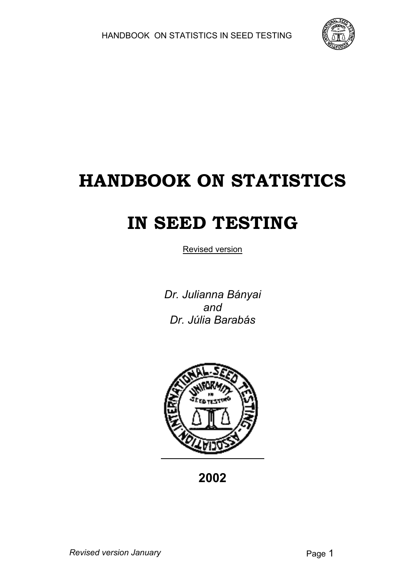

# **HANDBOOK ON STATISTICS**

# **IN SEED TESTING**

Revised version

*Dr. Julianna Bányai and Dr. Júlia Barabás*



**2002**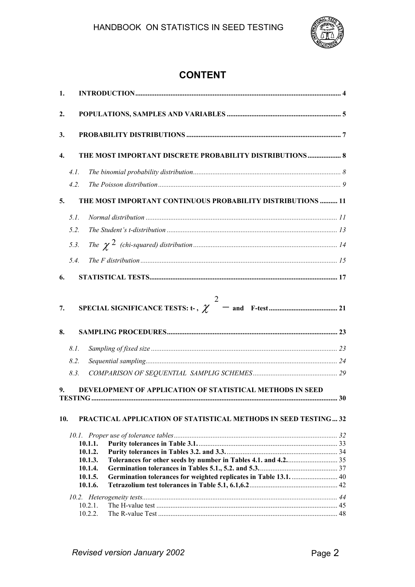

# **CONTENT**

| 1.       |      |                                                                        |  |
|----------|------|------------------------------------------------------------------------|--|
| 2.       |      |                                                                        |  |
| 3.       |      |                                                                        |  |
| 4.       |      | THE MOST IMPORTANT DISCRETE PROBABILITY DISTRIBUTIONS 8                |  |
|          | 4.1. |                                                                        |  |
|          | 4.2. |                                                                        |  |
| 5.       |      | THE MOST IMPORTANT CONTINUOUS PROBABILITY DISTRIBUTIONS  11            |  |
|          | 5.1. |                                                                        |  |
|          | 5.2. |                                                                        |  |
|          | 5.3. |                                                                        |  |
|          | 5.4. |                                                                        |  |
| 6.       |      |                                                                        |  |
| 7.<br>8. |      |                                                                        |  |
|          | 8.1. |                                                                        |  |
|          | 8.2. |                                                                        |  |
|          | 8.3. |                                                                        |  |
| 9.       |      | DEVELOPMENT OF APPLICATION OF STATISTICAL METHODS IN SEED              |  |
| 10.      |      | <b>PRACTICAL APPLICATION OF STATISTICAL METHODS IN SEED TESTING 32</b> |  |
|          |      |                                                                        |  |
|          |      | 10.1.1.                                                                |  |
|          |      | 10.1.2.                                                                |  |
|          |      | 10.1.3.<br>10.1.4.                                                     |  |
|          |      | 10.1.5.                                                                |  |
|          |      | 10.1.6.                                                                |  |
|          |      |                                                                        |  |
|          |      | 10.2.1.                                                                |  |
|          |      | 10.2.2.                                                                |  |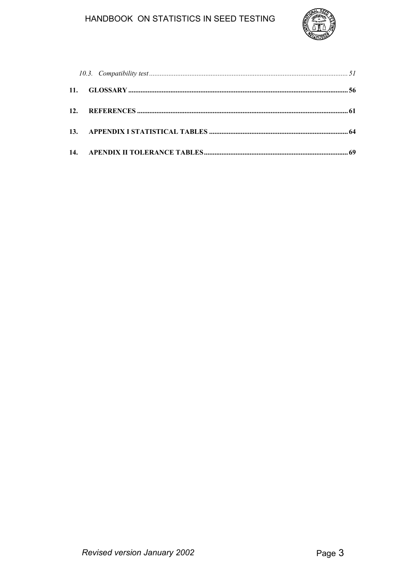# HANDBOOK ON STATISTICS IN SEED TESTING

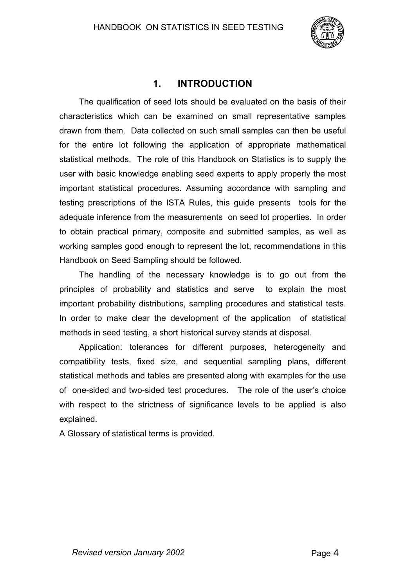

# **1. INTRODUCTION**

The qualification of seed lots should be evaluated on the basis of their characteristics which can be examined on small representative samples drawn from them. Data collected on such small samples can then be useful for the entire lot following the application of appropriate mathematical statistical methods. The role of this Handbook on Statistics is to supply the user with basic knowledge enabling seed experts to apply properly the most important statistical procedures. Assuming accordance with sampling and testing prescriptions of the ISTA Rules, this guide presents tools for the adequate inference from the measurements on seed lot properties. In order to obtain practical primary, composite and submitted samples, as well as working samples good enough to represent the lot, recommendations in this Handbook on Seed Sampling should be followed.

The handling of the necessary knowledge is to go out from the principles of probability and statistics and serve to explain the most important probability distributions, sampling procedures and statistical tests. In order to make clear the development of the application of statistical methods in seed testing, a short historical survey stands at disposal.

Application: tolerances for different purposes, heterogeneity and compatibility tests, fixed size, and sequential sampling plans, different statistical methods and tables are presented along with examples for the use of one-sided and two-sided test procedures. The role of the user's choice with respect to the strictness of significance levels to be applied is also explained.

A Glossary of statistical terms is provided.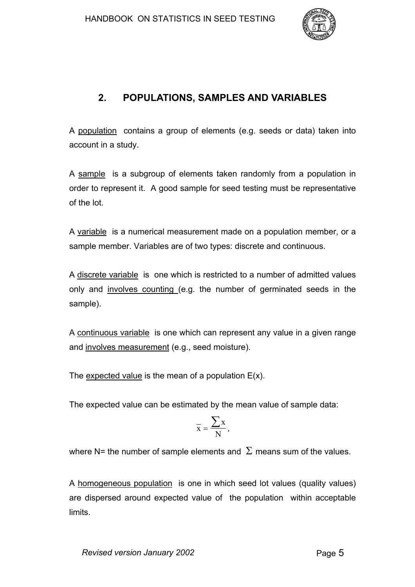

# **2. POPULATIONS, SAMPLES AND VARIABLES**

A population contains a group of elements (e.g. seeds or data) taken into account in a study.

A sample is a subgroup of elements taken randomly from a population in order to represent it. A good sample for seed testing must be representative of the lot.

A variable is a numerical measurement made on a population member, or a sample member. Variables are of two types: discrete and continuous.

A discrete variable is one which is restricted to a number of admitted values only and involves counting (e.g. the number of germinated seeds in the sample).

A continuous variable is one which can represent any value in a given range and involves measurement (e.g., seed moisture).

The expected value is the mean of a population  $E(x)$ .

The expected value can be estimated by the mean value of sample data:

$$
\bar{x} = \frac{\sum x}{N},
$$

where N= the number of sample elements and  $\Sigma$  means sum of the values.

A homogeneous population is one in which seed lot values (quality values) are dispersed around expected value of the population within acceptable limits.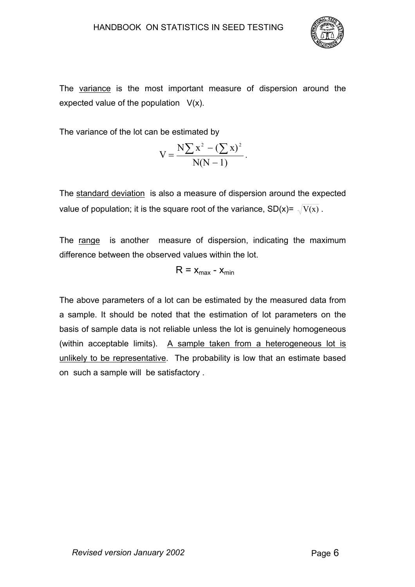

The variance is the most important measure of dispersion around the expected value of the population  $V(x)$ .

The variance of the lot can be estimated by

$$
V = \frac{N \sum x^2 - (\sum x)^2}{N(N-1)}.
$$

The standard deviation is also a measure of dispersion around the expected value of population; it is the square root of the variance,  $SD(x) = \sqrt{V(x)}$ .

The range is another measure of dispersion, indicating the maximum difference between the observed values within the lot.

$$
R = x_{\text{max}} - x_{\text{min}}
$$

The above parameters of a lot can be estimated by the measured data from a sample. It should be noted that the estimation of lot parameters on the basis of sample data is not reliable unless the lot is genuinely homogeneous (within acceptable limits). A sample taken from a heterogeneous lot is unlikely to be representative. The probability is low that an estimate based on such a sample will be satisfactory .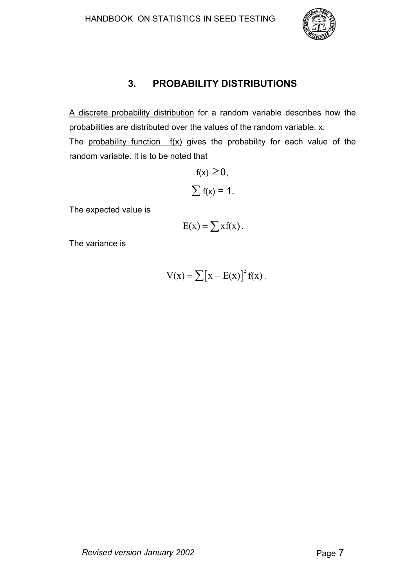

# **3. PROBABILITY DISTRIBUTIONS**

A discrete probability distribution for a random variable describes how the probabilities are distributed over the values of the random variable, x. The probability function  $f(x)$  gives the probability for each value of the random variable. It is to be noted that

$$
f(x) \ge 0,
$$
  

$$
\sum f(x) = 1.
$$

The expected value is

$$
E(x) = \sum x f(x).
$$

The variance is

$$
V(x) = \sum [x - E(x)]^2 f(x).
$$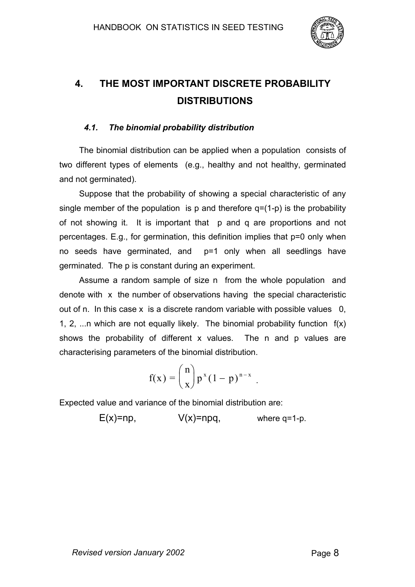

# **4. THE MOST IMPORTANT DISCRETE PROBABILITY DISTRIBUTIONS**

## *4.1. The binomial probability distribution*

The binomial distribution can be applied when a population consists of two different types of elements (e.g., healthy and not healthy, germinated and not germinated).

Suppose that the probability of showing a special characteristic of any single member of the population is p and therefore  $q=(1-p)$  is the probability of not showing it. It is important that p and q are proportions and not percentages. E.g., for germination, this definition implies that p=0 only when no seeds have germinated, and p=1 only when all seedlings have germinated. The p is constant during an experiment.

Assume a random sample of size n from the whole population and denote with x the number of observations having the special characteristic out of n. In this case x is a discrete random variable with possible values 0, 1, 2, ...n which are not equally likely. The binomial probability function  $f(x)$ shows the probability of different x values. The n and p values are characterising parameters of the binomial distribution.

$$
f(x) = {n \choose x} p^x (1-p)^{n-x}.
$$

Expected value and variance of the binomial distribution are:

 $E(x)=np$ ,  $V(x)=npq$ , where q=1-p.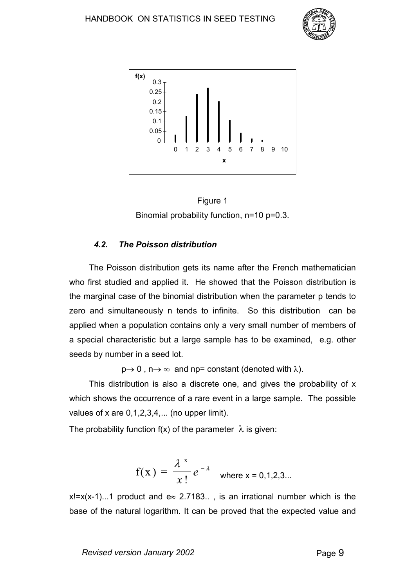





#### *4.2. The Poisson distribution*

The Poisson distribution gets its name after the French mathematician who first studied and applied it. He showed that the Poisson distribution is the marginal case of the binomial distribution when the parameter p tends to zero and simultaneously n tends to infinite. So this distribution can be applied when a population contains only a very small number of members of a special characteristic but a large sample has to be examined, e.g. other seeds by number in a seed lot.

 $p \rightarrow 0$ ,  $n \rightarrow \infty$  and np= constant (denoted with  $\lambda$ ).

This distribution is also a discrete one, and gives the probability of x which shows the occurrence of a rare event in a large sample. The possible values of x are  $0,1,2,3,4,...$  (no upper limit).

The probability function f(x) of the parameter  $\lambda$  is given:

$$
f(x) = \frac{\lambda^{x}}{x!} e^{-\lambda}
$$
 where x = 0,1,2,3...

 $x!=x(x-1)...1$  product and  $e \approx 2.7183...$ , is an irrational number which is the base of the natural logarithm. It can be proved that the expected value and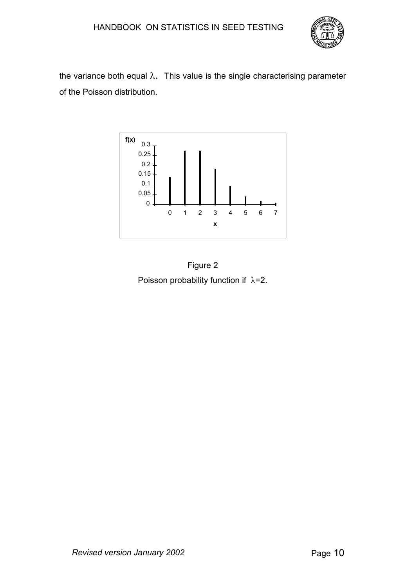

the variance both equal  $\lambda$ . This value is the single characterising parameter of the Poisson distribution.



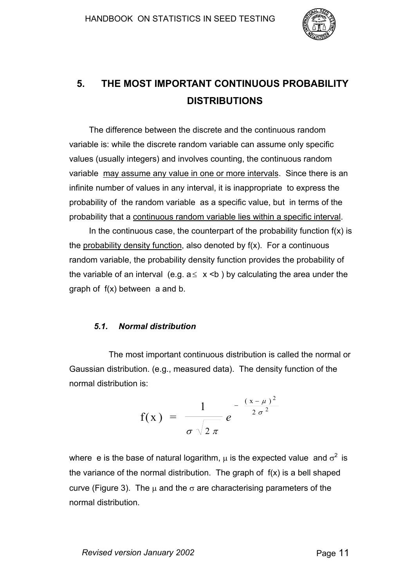

# **5. THE MOST IMPORTANT CONTINUOUS PROBABILITY DISTRIBUTIONS**

The difference between the discrete and the continuous random variable is: while the discrete random variable can assume only specific values (usually integers) and involves counting, the continuous random variable may assume any value in one or more intervals. Since there is an infinite number of values in any interval, it is inappropriate to express the probability of the random variable as a specific value, but in terms of the probability that a continuous random variable lies within a specific interval.

In the continuous case, the counterpart of the probability function  $f(x)$  is the probability density function, also denoted by f(x). For a continuous random variable, the probability density function provides the probability of the variable of an interval (e.g.  $a \le x \le b$ ) by calculating the area under the graph of f(x) between a and b.

#### *5.1. Normal distribution*

The most important continuous distribution is called the normal or Gaussian distribution. (e.g., measured data). The density function of the normal distribution is:

$$
f(x) = \frac{1}{\sigma \sqrt{2 \pi}} e^{-\frac{(x-\mu)^2}{2 \sigma^2}}
$$

where e is the base of natural logarithm,  $\mu$  is the expected value and  $\sigma^2$  is the variance of the normal distribution. The graph of f(x) is a bell shaped curve (Figure 3). The  $\mu$  and the  $\sigma$  are characterising parameters of the normal distribution.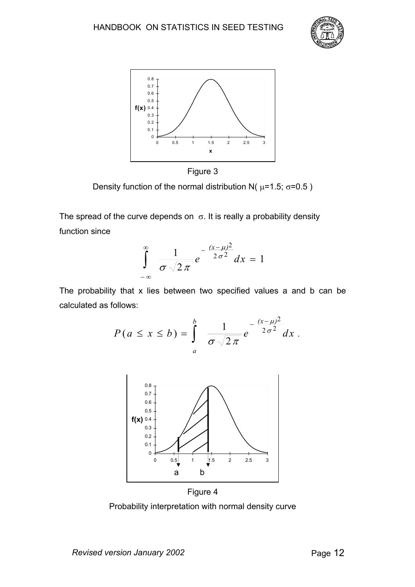





Density function of the normal distribution N( $\mu$ =1.5;  $\sigma$ =0.5)

The spread of the curve depends on  $\sigma$ . It is really a probability density function since

$$
\int_{-\infty}^{\infty} \frac{1}{\sigma \sqrt{2\pi}} e^{-\frac{(x-\mu)^2}{2\sigma^2}} dx = 1
$$

The probability that x lies between two specified values a and b can be calculated as follows:

$$
P(a \leq x \leq b) = \int_{a}^{b} \frac{1}{\sigma \sqrt{2\pi}} e^{-\frac{(x-\mu)^2}{2\sigma^2}} dx.
$$



Figure 4

Probability interpretation with normal density curve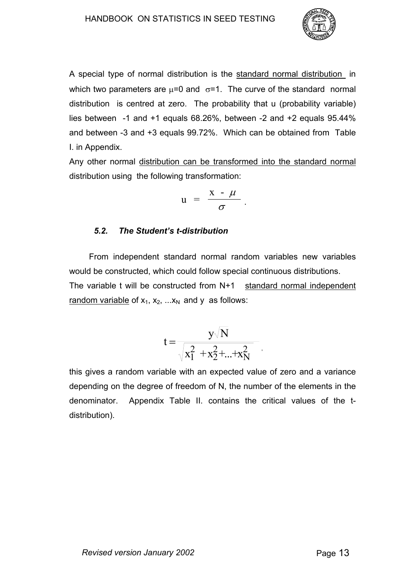

A special type of normal distribution is the standard normal distribution in which two parameters are  $\mu$ =0 and  $\sigma$ =1. The curve of the standard normal distribution is centred at zero. The probability that u (probability variable) lies between -1 and +1 equals 68.26%, between -2 and +2 equals 95.44% and between -3 and +3 equals 99.72%. Which can be obtained from Table I. in Appendix.

Any other normal distribution can be transformed into the standard normal distribution using the following transformation:

$$
u = \frac{x - \mu}{\sigma}.
$$

## *5.2. The Student's t-distribution*

From independent standard normal random variables new variables would be constructed, which could follow special continuous distributions. The variable t will be constructed from N+1 standard normal independent random variable of  $x_1, x_2, \ldots x_N$  and y as follows:

$$
t = \frac{y\sqrt{N}}{\sqrt{x_1^2 + x_2^2 + ... + x_N^2}}\,,
$$

this gives a random variable with an expected value of zero and a variance depending on the degree of freedom of N, the number of the elements in the denominator. Appendix Table II. contains the critical values of the tdistribution).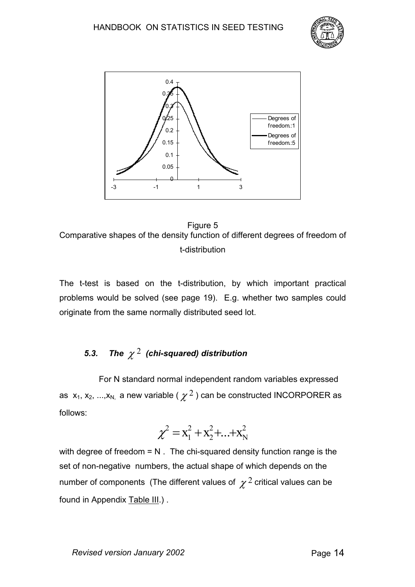



Figure 5 Comparative shapes of the density function of different degrees of freedom of t-distribution

The t-test is based on the t-distribution, by which important practical problems would be solved (see page 19). E.g. whether two samples could originate from the same normally distributed seed lot.

# *5.3. The* <sup>χ</sup> <sup>2</sup> *(chi-squared) distribution*

For N standard normal independent random variables expressed as  $x_1, x_2, ..., x_N$ , a new variable (  $\chi^2$  ) can be constructed INCORPORER as follows:

$$
\chi^2 = x_1^2 + x_2^2 + ... + x_N^2
$$

with degree of freedom  $= N$ . The chi-squared density function range is the set of non-negative numbers, the actual shape of which depends on the number of components (The different values of  $\chi^2$  critical values can be found in Appendix Table III.) .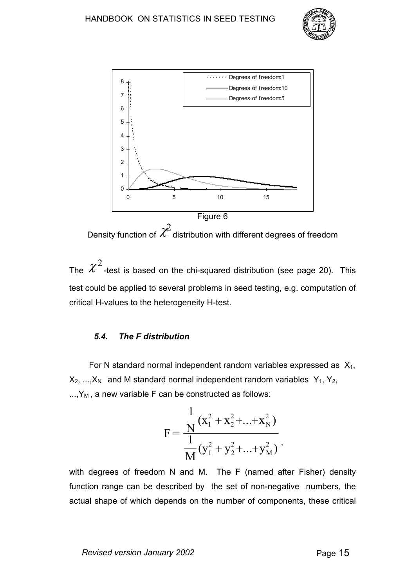



Density function of  $\mathcal{\chi}^2$  distribution with different degrees of freedom

The  $\ \mathcal{X}^{2}$  -test is based on the chi-squared distribution (see page 20). This test could be applied to several problems in seed testing, e.g. computation of critical H-values to the heterogeneity H-test.

#### *5.4. The F distribution*

For N standard normal independent random variables expressed as  $X_1$ ,  $X_2$ , ..., $X_N$  and M standard normal independent random variables  $Y_1$ ,  $Y_2$ ,  $..., Y_M$ , a new variable F can be constructed as follows:

$$
F = \frac{\frac{1}{N}(x_1^2 + x_2^2 + ... + x_N^2)}{\frac{1}{M}(y_1^2 + y_2^2 + ... + y_M^2)},
$$

with degrees of freedom N and M. The F (named after Fisher) density function range can be described by the set of non-negative numbers, the actual shape of which depends on the number of components, these critical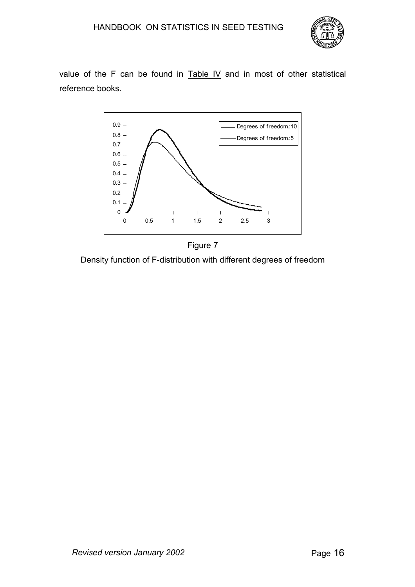

value of the F can be found in Table IV and in most of other statistical reference books.



Figure 7 Density function of F-distribution with different degrees of freedom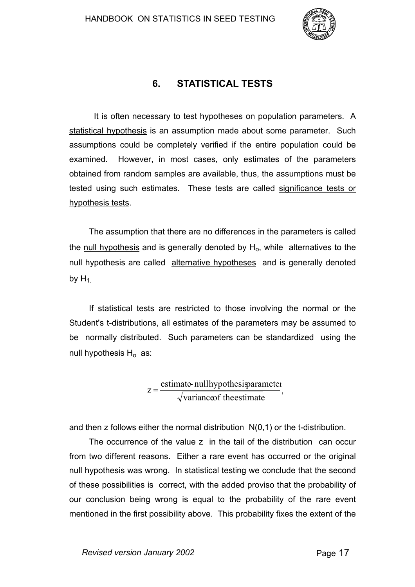

# **6. STATISTICAL TESTS**

It is often necessary to test hypotheses on population parameters. A statistical hypothesis is an assumption made about some parameter. Such assumptions could be completely verified if the entire population could be examined. However, in most cases, only estimates of the parameters obtained from random samples are available, thus, the assumptions must be tested using such estimates. These tests are called significance tests or hypothesis tests.

The assumption that there are no differences in the parameters is called the null hypothesis and is generally denoted by  $H<sub>o</sub>$ , while alternatives to the null hypothesis are called alternative hypotheses and is generally denoted by  $H_1$ .

If statistical tests are restricted to those involving the normal or the Student's t-distributions, all estimates of the parameters may be assumed to be normally distributed. Such parameters can be standardized using the null hypothesis  $H_0$  as:

> $z = \frac{z}{\sqrt{\text{variance of the estimate}}}$ estimate- nullhypothesisparameter  $z = \frac{\text{estimate many} \text{ processes}$

and then z follows either the normal distribution N(0,1) or the t-distribution.

The occurrence of the value z in the tail of the distribution can occur from two different reasons. Either a rare event has occurred or the original null hypothesis was wrong. In statistical testing we conclude that the second of these possibilities is correct, with the added proviso that the probability of our conclusion being wrong is equal to the probability of the rare event mentioned in the first possibility above. This probability fixes the extent of the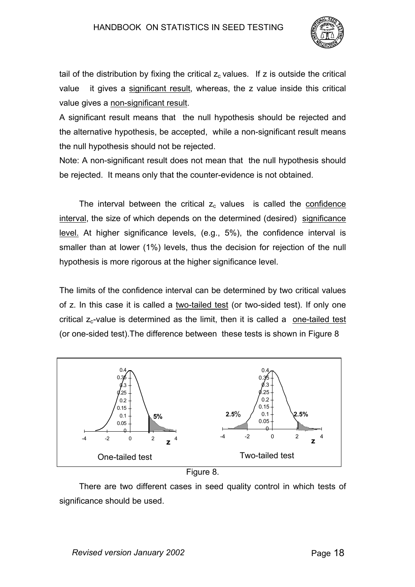

tail of the distribution by fixing the critical  $z_c$  values. If z is outside the critical value it gives a significant result, whereas, the z value inside this critical value gives a non-significant result.

A significant result means that the null hypothesis should be rejected and the alternative hypothesis, be accepted, while a non-significant result means the null hypothesis should not be rejected.

Note: A non-significant result does not mean that the null hypothesis should be rejected. It means only that the counter-evidence is not obtained.

The interval between the critical  $z_c$  values is called the confidence interval, the size of which depends on the determined (desired) significance level. At higher significance levels, (e.g., 5%), the confidence interval is smaller than at lower (1%) levels, thus the decision for rejection of the null hypothesis is more rigorous at the higher significance level.

The limits of the confidence interval can be determined by two critical values of z. In this case it is called a two-tailed test (or two-sided test). If only one critical  $z_c$ -value is determined as the limit, then it is called a one-tailed test (or one-sided test).The difference between these tests is shown in Figure 8



Figure 8.

There are two different cases in seed quality control in which tests of significance should be used.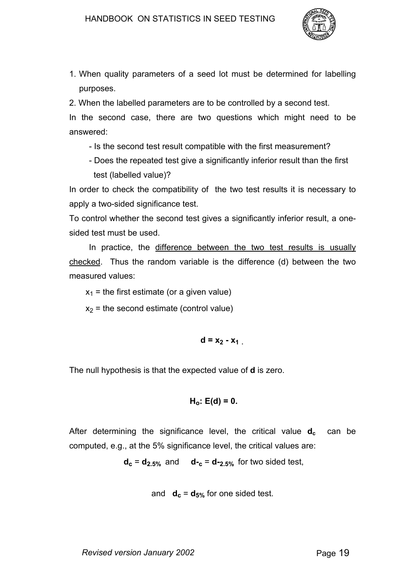

1. When quality parameters of a seed lot must be determined for labelling purposes.

2. When the labelled parameters are to be controlled by a second test.

In the second case, there are two questions which might need to be answered:

- Is the second test result compatible with the first measurement?
- Does the repeated test give a significantly inferior result than the first test (labelled value)?

In order to check the compatibility of the two test results it is necessary to apply a two-sided significance test.

To control whether the second test gives a significantly inferior result, a onesided test must be used.

In practice, the difference between the two test results is usually checked. Thus the random variable is the difference (d) between the two measured values:

 $x_1$  = the first estimate (or a given value)

 $x<sub>2</sub>$  = the second estimate (control value)

 $d = x_2 - x_1$ 

The null hypothesis is that the expected value of **d** is zero.

$$
H_o: E(d) = 0.
$$

After determining the significance level, the critical value  $d_c$  can be computed, e.g., at the 5% significance level, the critical values are:

 $d_c = d_{2.5\%}$  and  $d_{-c} = d_{-2.5\%}$  for two sided test,

and  $d_c = d_{5%}$  for one sided test.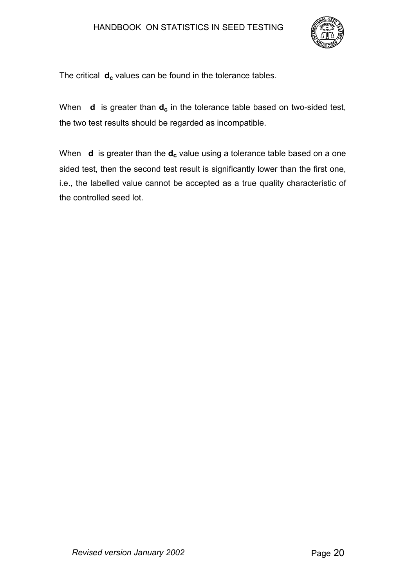## HANDBOOK ON STATISTICS IN SEED TESTING



The critical **d<sub>c</sub>** values can be found in the tolerance tables.

When **d** is greater than  $d_c$  in the tolerance table based on two-sided test, the two test results should be regarded as incompatible.

When **d** is greater than the **d<sub>c</sub>** value using a tolerance table based on a one sided test, then the second test result is significantly lower than the first one, i.e., the labelled value cannot be accepted as a true quality characteristic of the controlled seed lot.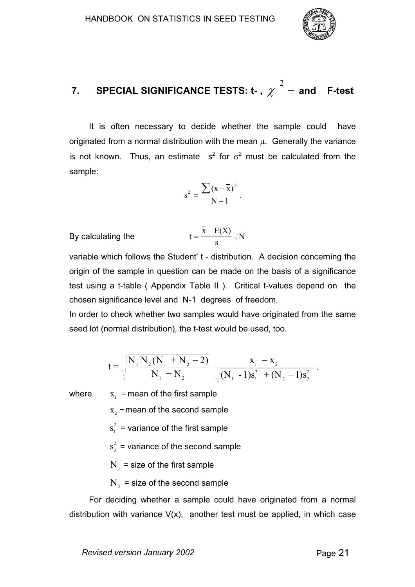

#### **7. SPECIAL SIGNIFICANCE TESTS: t- ,** χ  $\mathrm{^{2}}$   $-$  and  $\,$  F-test

It is often necessary to decide whether the sample could have originated from a normal distribution with the mean  $\mu$ . Generally the variance is not known. Thus, an estimate s<sup>2</sup> for  $\sigma^2$  must be calculated from the sample:

$$
s^{2} = \frac{\sum (x - \bar{x})^{2}}{N - 1}.
$$

By calculating the 
$$
t = \frac{\bar{x} - E(X)}{s} \sqrt{N}
$$

variable which follows the Student' t - distribution. A decision concerning the origin of the sample in question can be made on the basis of a significance test using a t-table ( Appendix Table II ). Critical t-values depend on the chosen significance level and N-1 degrees of freedom.

In order to check whether two samples would have originated from the same seed lot (normal distribution), the t-test would be used, too.

$$
t = \sqrt{\frac{N_1 N_2 (N_1 + N_2 - 2)}{N_1 + N_2}} \frac{x_1 - x_2}{\sqrt{(N_1 - 1)s_1^2 + (N_2 - 1)s_2^2}},
$$

where  $x_1$  = mean of the first sample

 $\bar{x}_2$  = mean of the second sample

 $s_1^2$  = variance of the first sample

 $s_2^2$  = variance of the second sample

 $N_1$  = size of the first sample

 $N<sub>2</sub>$  = size of the second sample

For deciding whether a sample could have originated from a normal distribution with variance  $V(x)$ , another test must be applied, in which case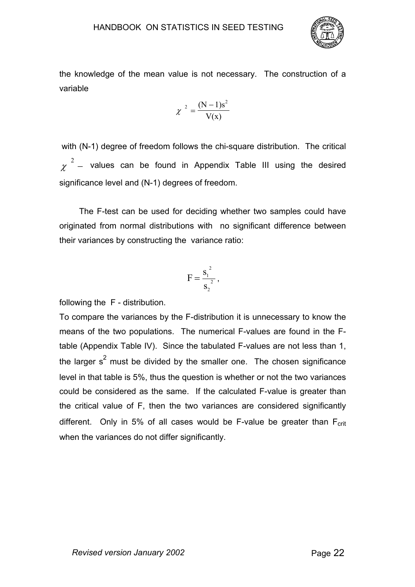

the knowledge of the mean value is not necessary. The construction of a variable

$$
\chi^2 = \frac{(N-1)s^2}{V(x)}
$$

 with (N-1) degree of freedom follows the chi-square distribution. The critical χ  $2$  – values can be found in Appendix Table III using the desired significance level and (N-1) degrees of freedom.

The F-test can be used for deciding whether two samples could have originated from normal distributions with no significant difference between their variances by constructing the variance ratio:

$$
F=\frac{s_1^2}{s_2^2},
$$

following the F - distribution.

To compare the variances by the F-distribution it is unnecessary to know the means of the two populations. The numerical F-values are found in the Ftable (Appendix Table IV). Since the tabulated F-values are not less than 1, the larger s<sup>2</sup> must be divided by the smaller one. The chosen significance level in that table is 5%, thus the question is whether or not the two variances could be considered as the same. If the calculated F-value is greater than the critical value of F, then the two variances are considered significantly different. Only in 5% of all cases would be F-value be greater than  $F_{\text{crit}}$ when the variances do not differ significantly.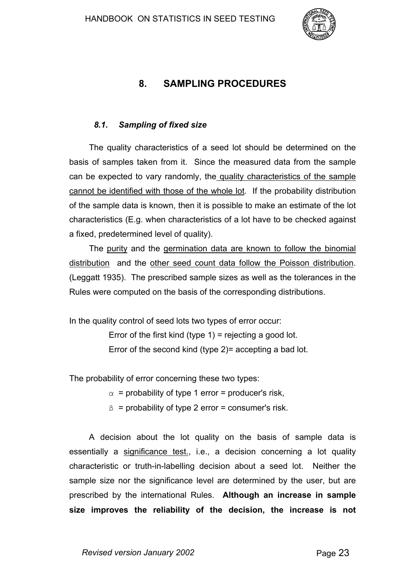

# **8. SAMPLING PROCEDURES**

#### *8.1. Sampling of fixed size*

The quality characteristics of a seed lot should be determined on the basis of samples taken from it. Since the measured data from the sample can be expected to vary randomly, the quality characteristics of the sample cannot be identified with those of the whole lot. If the probability distribution of the sample data is known, then it is possible to make an estimate of the lot characteristics (E.g. when characteristics of a lot have to be checked against a fixed, predetermined level of quality).

The purity and the germination data are known to follow the binomial distribution and the other seed count data follow the Poisson distribution. (Leggatt 1935). The prescribed sample sizes as well as the tolerances in the Rules were computed on the basis of the corresponding distributions.

In the quality control of seed lots two types of error occur:

Error of the first kind (type  $1$ ) = rejecting a good lot. Error of the second kind (type 2)= accepting a bad lot.

The probability of error concerning these two types:

 $\alpha$  = probability of type 1 error = producer's risk.

 $\beta$  = probability of type 2 error = consumer's risk.

A decision about the lot quality on the basis of sample data is essentially a significance test., i.e., a decision concerning a lot quality characteristic or truth-in-labelling decision about a seed lot. Neither the sample size nor the significance level are determined by the user, but are prescribed by the international Rules. **Although an increase in sample size improves the reliability of the decision, the increase is not**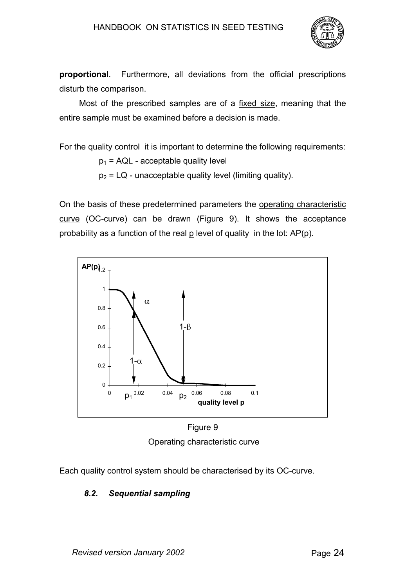## HANDBOOK ON STATISTICS IN SEED TESTING



**proportional**. Furthermore, all deviations from the official prescriptions disturb the comparison.

Most of the prescribed samples are of a fixed size, meaning that the entire sample must be examined before a decision is made.

For the quality control it is important to determine the following requirements:

 $p_1$  = AQL - acceptable quality level

 $p_2 = LQ$  - unacceptable quality level (limiting quality).

On the basis of these predetermined parameters the operating characteristic curve (OC-curve) can be drawn (Figure 9). It shows the acceptance probability as a function of the real  $p$  level of quality in the lot:  $AP(p)$ .



Figure 9 Operating characteristic curve

Each quality control system should be characterised by its OC-curve.

# *8.2. Sequential sampling*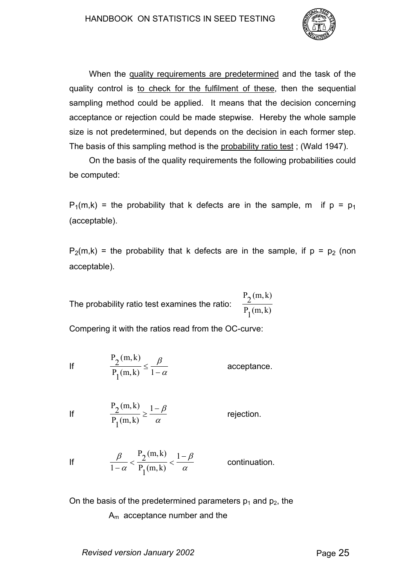

When the quality requirements are predetermined and the task of the quality control is to check for the fulfilment of these, then the sequential sampling method could be applied. It means that the decision concerning acceptance or rejection could be made stepwise. Hereby the whole sample size is not predetermined, but depends on the decision in each former step. The basis of this sampling method is the probability ratio test; (Wald 1947).

On the basis of the quality requirements the following probabilities could be computed:

 $P_1(m,k)$  = the probability that k defects are in the sample, m if  $p = p_1$ (acceptable).

 $P_2(m,k)$  = the probability that k defects are in the sample, if  $p = p_2$  (non acceptable).

The probability ratio test examines the ratio:  $P_2(m,k)$  $P_1(m, k)$ 

Compering it with the ratios read from the OC-curve:

If 
$$
\frac{P_2(m,k)}{P_1(m,k)} \le \frac{\beta}{1-\alpha}
$$
 acceptance.

If 
$$
\frac{P_2(m,k)}{P_1(m,k)} \ge \frac{1-\beta}{\alpha}
$$
 rejection.

If 
$$
\frac{\beta}{1-\alpha} < \frac{P_2(m,k)}{P_1(m,k)} < \frac{1-\beta}{\alpha}
$$
 continuation.

On the basis of the predetermined parameters  $p_1$  and  $p_2$ , the Am acceptance number and the

*Revised version January 2002* Page 25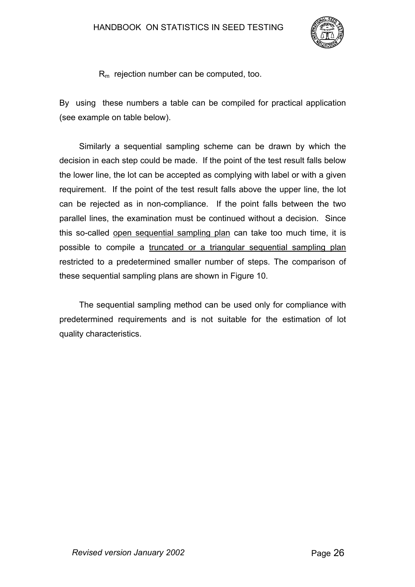

 $R<sub>m</sub>$  rejection number can be computed, too.

By using these numbers a table can be compiled for practical application (see example on table below).

Similarly a sequential sampling scheme can be drawn by which the decision in each step could be made. If the point of the test result falls below the lower line, the lot can be accepted as complying with label or with a given requirement. If the point of the test result falls above the upper line, the lot can be rejected as in non-compliance. If the point falls between the two parallel lines, the examination must be continued without a decision. Since this so-called open sequential sampling plan can take too much time, it is possible to compile a truncated or a triangular sequential sampling plan restricted to a predetermined smaller number of steps. The comparison of these sequential sampling plans are shown in Figure 10.

The sequential sampling method can be used only for compliance with predetermined requirements and is not suitable for the estimation of lot quality characteristics.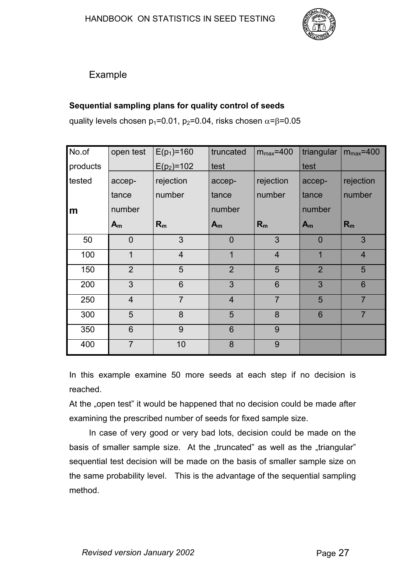

# Example

# **Sequential sampling plans for quality control of seeds**

quality levels chosen  $p_1=0.01$ ,  $p_2=0.04$ , risks chosen  $\alpha = \beta = 0.05$ 

| No.of    | open test      | $E(p_1) = 160$ | truncated      | $m_{max} = 400$ | triangular     | $m_{max} = 400$ |
|----------|----------------|----------------|----------------|-----------------|----------------|-----------------|
| products |                | $E(p_2)=102$   | test           |                 | test           |                 |
| tested   | accep-         | rejection      | accep-         | rejection       | accep-         | rejection       |
|          | tance          | number         | tance          | number          | tance          | number          |
| m        | number         |                | number         |                 | number         |                 |
|          | $A_m$          | $R_m$          | $A_m$          | $R_m$           | $A_m$          | $R_m$           |
| 50       | $\overline{0}$ | $\mathfrak{S}$ | $\overline{0}$ | 3               | $\overline{0}$ | 3               |
| 100      | 1              | $\overline{4}$ | $\mathbf{1}$   | $\overline{4}$  | 1              | $\overline{4}$  |
| 150      | $\overline{2}$ | 5              | $\overline{2}$ | 5               | $\overline{2}$ | 5               |
| 200      | 3              | $6\phantom{1}$ | 3              | 6               | 3              | 6               |
| 250      | $\overline{4}$ | $\overline{7}$ | $\overline{4}$ | $\overline{7}$  | 5              | $\overline{7}$  |
| 300      | 5              | 8              | 5              | 8               | $6\phantom{1}$ | $\overline{7}$  |
| 350      | 6              | 9              | 6              | 9               |                |                 |
| 400      | $\overline{7}$ | 10             | 8              | 9               |                |                 |

In this example examine 50 more seeds at each step if no decision is reached.

At the "open test" it would be happened that no decision could be made after examining the prescribed number of seeds for fixed sample size.

In case of very good or very bad lots, decision could be made on the basis of smaller sample size. At the "truncated" as well as the "triangular" sequential test decision will be made on the basis of smaller sample size on the same probability level. This is the advantage of the sequential sampling method.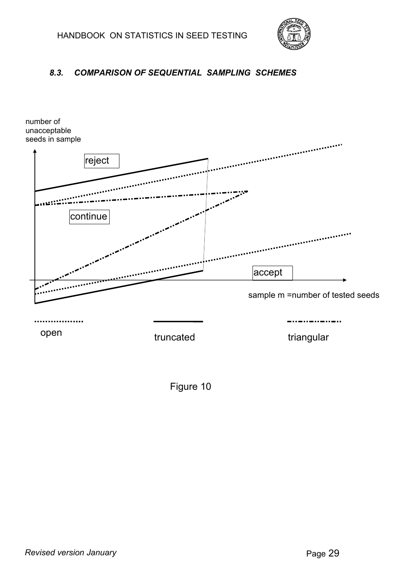

# *8.3. COMPARISON OF SEQUENTIAL SAMPLING SCHEMES*



Figure 10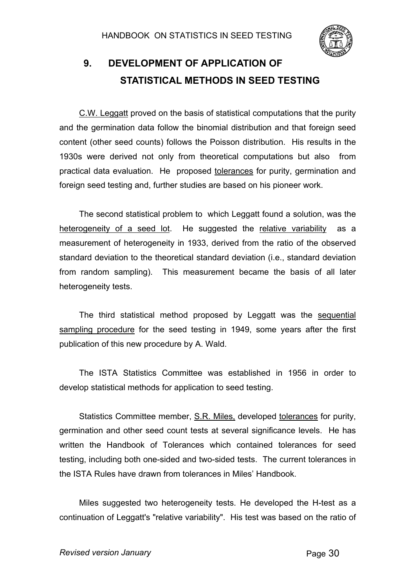

# **9. DEVELOPMENT OF APPLICATION OF STATISTICAL METHODS IN SEED TESTING**

C.W. Leggatt proved on the basis of statistical computations that the purity and the germination data follow the binomial distribution and that foreign seed content (other seed counts) follows the Poisson distribution. His results in the 1930s were derived not only from theoretical computations but also from practical data evaluation. He proposed tolerances for purity, germination and foreign seed testing and, further studies are based on his pioneer work.

The second statistical problem to which Leggatt found a solution, was the heterogeneity of a seed lot. He suggested the relative variability as a measurement of heterogeneity in 1933, derived from the ratio of the observed standard deviation to the theoretical standard deviation (i.e., standard deviation from random sampling). This measurement became the basis of all later heterogeneity tests.

The third statistical method proposed by Leggatt was the sequential sampling procedure for the seed testing in 1949, some years after the first publication of this new procedure by A. Wald.

The ISTA Statistics Committee was established in 1956 in order to develop statistical methods for application to seed testing.

Statistics Committee member, S.R. Miles, developed tolerances for purity, germination and other seed count tests at several significance levels. He has written the Handbook of Tolerances which contained tolerances for seed testing, including both one-sided and two-sided tests. The current tolerances in the ISTA Rules have drawn from tolerances in Miles' Handbook.

Miles suggested two heterogeneity tests. He developed the H-test as a continuation of Leggatt's "relative variability". His test was based on the ratio of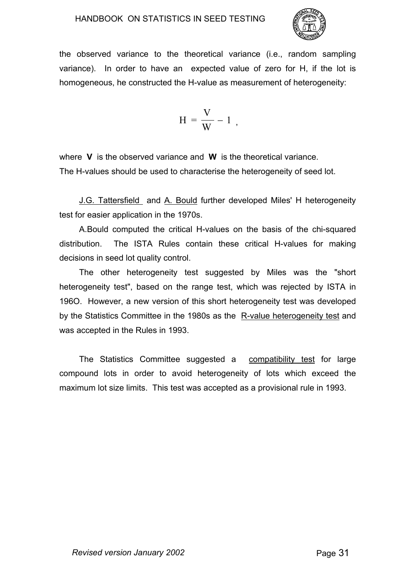

the observed variance to the theoretical variance (i.e., random sampling variance). In order to have an expected value of zero for H, if the lot is homogeneous, he constructed the H-value as measurement of heterogeneity:

$$
H = \frac{V}{W} - 1,
$$

where **V** is the observed variance and **W** is the theoretical variance. The H-values should be used to characterise the heterogeneity of seed lot.

J.G. Tattersfield and A. Bould further developed Miles' H heterogeneity test for easier application in the 1970s.

A.Bould computed the critical H-values on the basis of the chi-squared distribution. The ISTA Rules contain these critical H-values for making decisions in seed lot quality control.

The other heterogeneity test suggested by Miles was the "short heterogeneity test", based on the range test, which was rejected by ISTA in 196O. However, a new version of this short heterogeneity test was developed by the Statistics Committee in the 1980s as the R-value heterogeneity test and was accepted in the Rules in 1993.

The Statistics Committee suggested a compatibility test for large compound lots in order to avoid heterogeneity of lots which exceed the maximum lot size limits. This test was accepted as a provisional rule in 1993.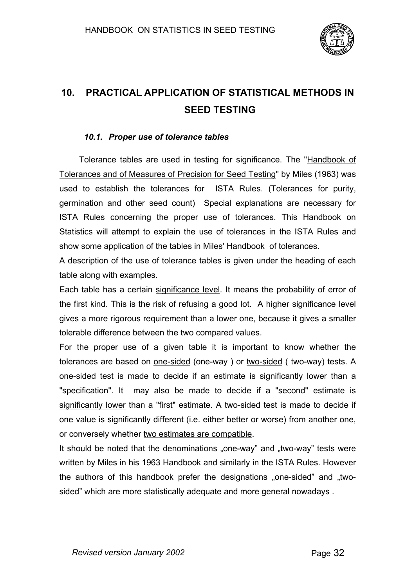

# **10. PRACTICAL APPLICATION OF STATISTICAL METHODS IN SEED TESTING**

#### *10.1. Proper use of tolerance tables*

Tolerance tables are used in testing for significance. The "Handbook of Tolerances and of Measures of Precision for Seed Testing" by Miles (1963) was used to establish the tolerances for ISTA Rules. (Tolerances for purity, germination and other seed count) Special explanations are necessary for ISTA Rules concerning the proper use of tolerances. This Handbook on Statistics will attempt to explain the use of tolerances in the ISTA Rules and show some application of the tables in Miles' Handbook of tolerances.

A description of the use of tolerance tables is given under the heading of each table along with examples.

Each table has a certain significance level. It means the probability of error of the first kind. This is the risk of refusing a good lot. A higher significance level gives a more rigorous requirement than a lower one, because it gives a smaller tolerable difference between the two compared values.

For the proper use of a given table it is important to know whether the tolerances are based on <u>one-sided</u> (one-way) or two-sided ( two-way) tests. A one-sided test is made to decide if an estimate is significantly lower than a "specification". It may also be made to decide if a "second" estimate is significantly lower than a "first" estimate. A two-sided test is made to decide if one value is significantly different (i.e. either better or worse) from another one, or conversely whether two estimates are compatible.

It should be noted that the denominations "one-way" and "two-way" tests were written by Miles in his 1963 Handbook and similarly in the ISTA Rules. However the authors of this handbook prefer the designations .one-sided" and .twosided" which are more statistically adequate and more general nowadays .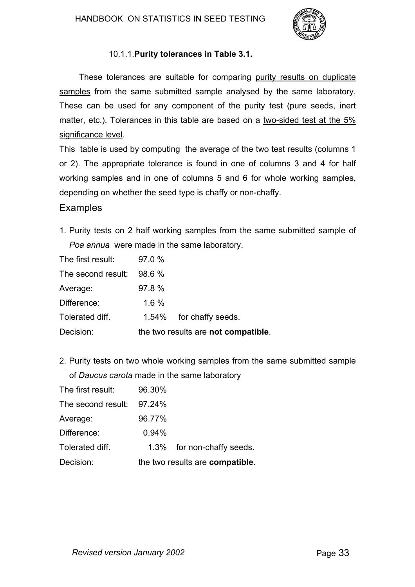

# 10.1.1. **Purity tolerances in Table 3.1.**

These tolerances are suitable for comparing purity results on duplicate samples from the same submitted sample analysed by the same laboratory. These can be used for any component of the purity test (pure seeds, inert matter, etc.). Tolerances in this table are based on a two-sided test at the 5% significance level.

This table is used by computing the average of the two test results (columns 1 or 2). The appropriate tolerance is found in one of columns 3 and 4 for half working samples and in one of columns 5 and 6 for whole working samples, depending on whether the seed type is chaffy or non-chaffy.

#### **Examples**

1. Purity tests on 2 half working samples from the same submitted sample of *Poa annua* were made in the same laboratory.

| Decision:          |        | the two results are not compatible. |
|--------------------|--------|-------------------------------------|
| Tolerated diff.    |        | 1.54% for chaffy seeds.             |
| Difference:        | 1.6%   |                                     |
| Average:           | 97.8 % |                                     |
| The second result: | 98.6%  |                                     |
| The first result:  | 97.0%  |                                     |

2. Purity tests on two whole working samples from the same submitted sample of *Daucus carota* made in the same laboratory

| Decision:          |        | the two results are compatible. |
|--------------------|--------|---------------------------------|
| Tolerated diff.    |        | 1.3% for non-chaffy seeds.      |
| Difference:        | 0.94%  |                                 |
| Average:           | 96.77% |                                 |
| The second result: | 97.24% |                                 |
| The first result:  | 96.30% |                                 |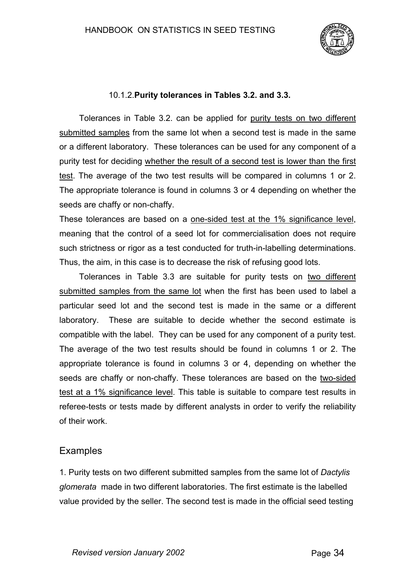

#### 10.1.2. **Purity tolerances in Tables 3.2. and 3.3.**

Tolerances in Table 3.2. can be applied for purity tests on two different submitted samples from the same lot when a second test is made in the same or a different laboratory. These tolerances can be used for any component of a purity test for deciding whether the result of a second test is lower than the first test. The average of the two test results will be compared in columns 1 or 2. The appropriate tolerance is found in columns 3 or 4 depending on whether the seeds are chaffy or non-chaffy.

These tolerances are based on a one-sided test at the 1% significance level, meaning that the control of a seed lot for commercialisation does not require such strictness or rigor as a test conducted for truth-in-labelling determinations. Thus, the aim, in this case is to decrease the risk of refusing good lots.

Tolerances in Table 3.3 are suitable for purity tests on two different submitted samples from the same lot when the first has been used to label a particular seed lot and the second test is made in the same or a different laboratory. These are suitable to decide whether the second estimate is compatible with the label. They can be used for any component of a purity test. The average of the two test results should be found in columns 1 or 2. The appropriate tolerance is found in columns 3 or 4, depending on whether the seeds are chaffy or non-chaffy. These tolerances are based on the two-sided test at a 1% significance level. This table is suitable to compare test results in referee-tests or tests made by different analysts in order to verify the reliability of their work.

# Examples

1. Purity tests on two different submitted samples from the same lot of *Dactylis glomerata* made in two different laboratories. The first estimate is the labelled value provided by the seller. The second test is made in the official seed testing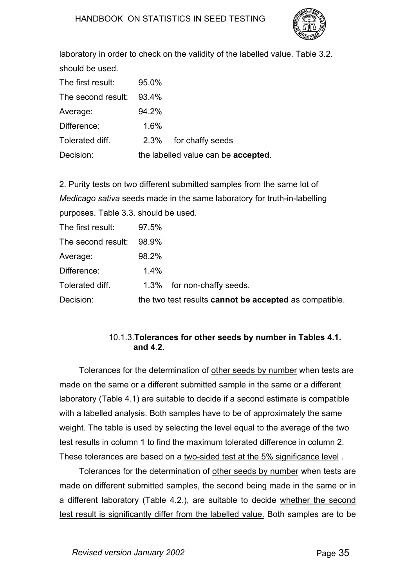

laboratory in order to check on the validity of the labelled value. Table 3.2. should be used.

| The first result:  | 95.0%                               |                       |  |  |
|--------------------|-------------------------------------|-----------------------|--|--|
| The second result: | 93.4%                               |                       |  |  |
| Average:           | 94.2%                               |                       |  |  |
| Difference:        | 1.6%                                |                       |  |  |
| Tolerated diff.    |                                     | 2.3% for chaffy seeds |  |  |
| Decision:          | the labelled value can be accepted. |                       |  |  |

2. Purity tests on two different submitted samples from the same lot of *Medicago sativa* seeds made in the same laboratory for truth-in-labelling purposes. Table 3.3. should be used.

| The first result:  | 97.5% |                                                        |
|--------------------|-------|--------------------------------------------------------|
| The second result: | 98.9% |                                                        |
| Average:           | 98.2% |                                                        |
| Difference:        | 1.4%  |                                                        |
| Tolerated diff.    |       | 1.3% for non-chaffy seeds.                             |
| Decision:          |       | the two test results cannot be accepted as compatible. |

#### 10.1.3. **Tolerances for other seeds by number in Tables 4.1. and 4.2.**

Tolerances for the determination of other seeds by number when tests are made on the same or a different submitted sample in the same or a different laboratory (Table 4.1) are suitable to decide if a second estimate is compatible with a labelled analysis. Both samples have to be of approximately the same weight. The table is used by selecting the level equal to the average of the two test results in column 1 to find the maximum tolerated difference in column 2. These tolerances are based on a two-sided test at the 5% significance level .

Tolerances for the determination of other seeds by number when tests are made on different submitted samples, the second being made in the same or in a different laboratory (Table 4.2.), are suitable to decide whether the second test result is significantly differ from the labelled value. Both samples are to be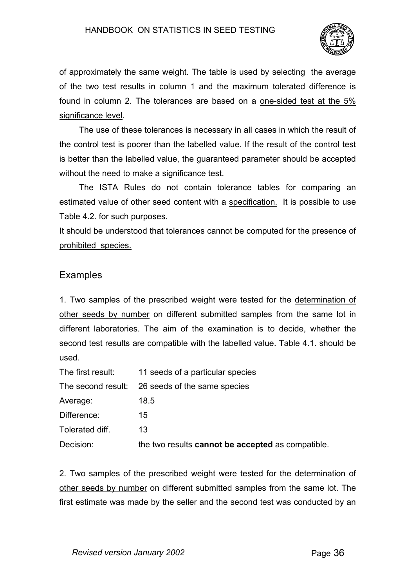

of approximately the same weight. The table is used by selecting the average of the two test results in column 1 and the maximum tolerated difference is found in column 2. The tolerances are based on a one-sided test at the 5% significance level.

The use of these tolerances is necessary in all cases in which the result of the control test is poorer than the labelled value. If the result of the control test is better than the labelled value, the guaranteed parameter should be accepted without the need to make a significance test.

The ISTA Rules do not contain tolerance tables for comparing an estimated value of other seed content with a specification. It is possible to use Table 4.2. for such purposes.

It should be understood that tolerances cannot be computed for the presence of prohibited species.

# Examples

1. Two samples of the prescribed weight were tested for the determination of other seeds by number on different submitted samples from the same lot in different laboratories. The aim of the examination is to decide, whether the second test results are compatible with the labelled value. Table 4.1. should be used.

| The first result:  | 11 seeds of a particular species                  |
|--------------------|---------------------------------------------------|
| The second result: | 26 seeds of the same species                      |
| Average:           | 18.5                                              |
| Difference:        | 15                                                |
| Tolerated diff.    | 13                                                |
| Decision:          | the two results cannot be accepted as compatible. |
|                    |                                                   |

2. Two samples of the prescribed weight were tested for the determination of other seeds by number on different submitted samples from the same lot. The first estimate was made by the seller and the second test was conducted by an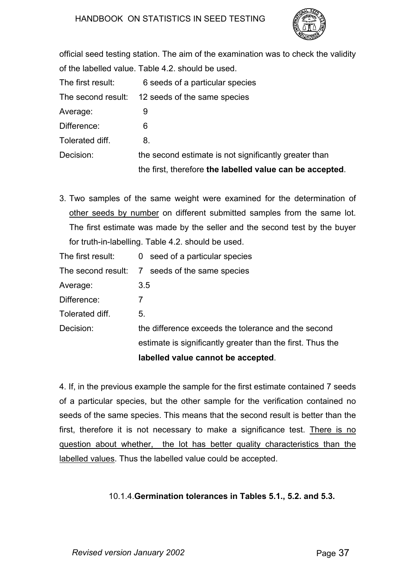

official seed testing station. The aim of the examination was to check the validity of the labelled value. Table 4.2. should be used.

| The first result:  | 6 seeds of a particular species                          |
|--------------------|----------------------------------------------------------|
| The second result: | 12 seeds of the same species                             |
| Average:           | 9                                                        |
| Difference:        | 6                                                        |
| Tolerated diff.    | 8.                                                       |
| Decision:          | the second estimate is not significantly greater than    |
|                    | the first, therefore the labelled value can be accepted. |

3. Two samples of the same weight were examined for the determination of other seeds by number on different submitted samples from the same lot. The first estimate was made by the seller and the second test by the buyer for truth-in-labelling. Table 4.2. should be used.

| The first result:  | 0 seed of a particular species                             |
|--------------------|------------------------------------------------------------|
| The second result: | 7 seeds of the same species                                |
| Average:           | 3.5                                                        |
| Difference:        |                                                            |
| Tolerated diff.    | 5.                                                         |
| Decision:          | the difference exceeds the tolerance and the second        |
|                    | estimate is significantly greater than the first. Thus the |
|                    | labelled value cannot be accepted.                         |

4. If, in the previous example the sample for the first estimate contained 7 seeds of a particular species, but the other sample for the verification contained no seeds of the same species. This means that the second result is better than the first, therefore it is not necessary to make a significance test. There is no question about whether, the lot has better quality characteristics than the labelled values. Thus the labelled value could be accepted.

## 10.1.4. **Germination tolerances in Tables 5.1., 5.2. and 5.3.**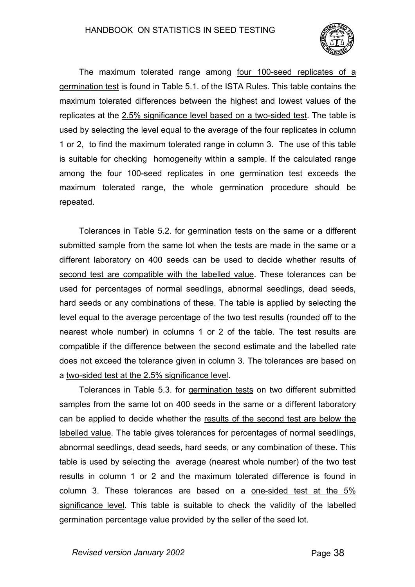

The maximum tolerated range among four 100-seed replicates of a germination test is found in Table 5.1. of the ISTA Rules. This table contains the maximum tolerated differences between the highest and lowest values of the replicates at the 2.5% significance level based on a two-sided test. The table is used by selecting the level equal to the average of the four replicates in column 1 or 2, to find the maximum tolerated range in column 3. The use of this table is suitable for checking homogeneity within a sample. If the calculated range among the four 100-seed replicates in one germination test exceeds the maximum tolerated range, the whole germination procedure should be repeated.

Tolerances in Table 5.2. for germination tests on the same or a different submitted sample from the same lot when the tests are made in the same or a different laboratory on 400 seeds can be used to decide whether results of second test are compatible with the labelled value. These tolerances can be used for percentages of normal seedlings, abnormal seedlings, dead seeds, hard seeds or any combinations of these. The table is applied by selecting the level equal to the average percentage of the two test results (rounded off to the nearest whole number) in columns 1 or 2 of the table. The test results are compatible if the difference between the second estimate and the labelled rate does not exceed the tolerance given in column 3. The tolerances are based on a two-sided test at the 2.5% significance level.

Tolerances in Table 5.3. for germination tests on two different submitted samples from the same lot on 400 seeds in the same or a different laboratory can be applied to decide whether the results of the second test are below the labelled value. The table gives tolerances for percentages of normal seedlings, abnormal seedlings, dead seeds, hard seeds, or any combination of these. This table is used by selecting the average (nearest whole number) of the two test results in column 1 or 2 and the maximum tolerated difference is found in column 3. These tolerances are based on a one-sided test at the 5% significance level. This table is suitable to check the validity of the labelled germination percentage value provided by the seller of the seed lot.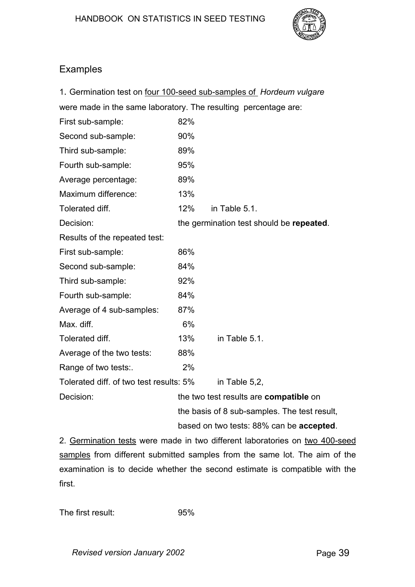

# Examples

|                                                                 |     | 1. Germination test on four 100-seed sub-samples of Hordeum vulgare |  |  |  |  |
|-----------------------------------------------------------------|-----|---------------------------------------------------------------------|--|--|--|--|
| were made in the same laboratory. The resulting percentage are: |     |                                                                     |  |  |  |  |
| First sub-sample:                                               | 82% |                                                                     |  |  |  |  |
| Second sub-sample:                                              | 90% |                                                                     |  |  |  |  |
| Third sub-sample:                                               | 89% |                                                                     |  |  |  |  |
| Fourth sub-sample:                                              | 95% |                                                                     |  |  |  |  |
| Average percentage:                                             | 89% |                                                                     |  |  |  |  |
| Maximum difference:                                             | 13% |                                                                     |  |  |  |  |
| Tolerated diff.                                                 | 12% | in Table 5.1.                                                       |  |  |  |  |
| Decision:                                                       |     | the germination test should be repeated.                            |  |  |  |  |
| Results of the repeated test:                                   |     |                                                                     |  |  |  |  |
| First sub-sample:                                               | 86% |                                                                     |  |  |  |  |
| Second sub-sample:                                              | 84% |                                                                     |  |  |  |  |
| Third sub-sample:                                               | 92% |                                                                     |  |  |  |  |
| Fourth sub-sample:                                              | 84% |                                                                     |  |  |  |  |
| Average of 4 sub-samples:                                       | 87% |                                                                     |  |  |  |  |
| Max. diff.                                                      | 6%  |                                                                     |  |  |  |  |
| Tolerated diff.                                                 | 13% | in Table 5.1.                                                       |  |  |  |  |
| Average of the two tests:                                       | 88% |                                                                     |  |  |  |  |
| Range of two tests:.                                            | 2%  |                                                                     |  |  |  |  |
| Tolerated diff. of two test results: 5%                         |     | in Table 5,2,                                                       |  |  |  |  |
| Decision:                                                       |     | the two test results are compatible on                              |  |  |  |  |
|                                                                 |     | the basis of 8 sub-samples. The test result,                        |  |  |  |  |
| based on two tests: 88% can be accepted.                        |     |                                                                     |  |  |  |  |

2. Germination tests were made in two different laboratories on two 400-seed samples from different submitted samples from the same lot. The aim of the examination is to decide whether the second estimate is compatible with the first.

The first result: 95%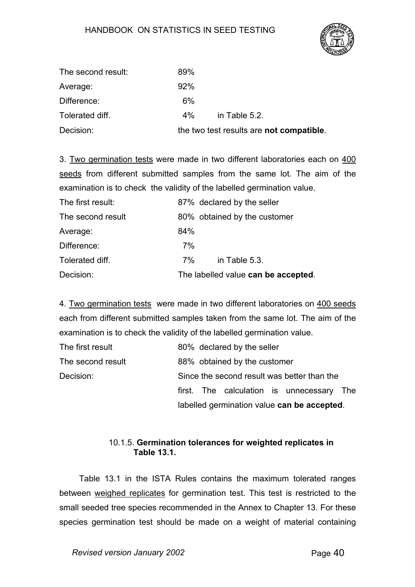

| The second result: | 89%   |                                          |
|--------------------|-------|------------------------------------------|
| Average:           | 92%   |                                          |
| Difference:        | 6%    |                                          |
| Tolerated diff.    | $4\%$ | in Table 5.2.                            |
| Decision:          |       | the two test results are not compatible. |

3. Two germination tests were made in two different laboratories each on 400 seeds from different submitted samples from the same lot. The aim of the examination is to check the validity of the labelled germination value.

| The first result: |     | 87% declared by the seller          |
|-------------------|-----|-------------------------------------|
| The second result |     | 80% obtained by the customer        |
| Average:          | 84% |                                     |
| Difference:       | 7%  |                                     |
| Tolerated diff.   | 7%  | in Table 5.3.                       |
| Decision:         |     | The labelled value can be accepted. |

4. Two germination tests were made in two different laboratories on 400 seeds each from different submitted samples taken from the same lot. The aim of the examination is to check the validity of the labelled germination value.

| The first result  |                                             |  | 80% declared by the seller |  |                                             |     |  |
|-------------------|---------------------------------------------|--|----------------------------|--|---------------------------------------------|-----|--|
| The second result | 88% obtained by the customer                |  |                            |  |                                             |     |  |
| Decision:         | Since the second result was better than the |  |                            |  |                                             |     |  |
|                   |                                             |  |                            |  | first. The calculation is unnecessary       | The |  |
|                   |                                             |  |                            |  | labelled germination value can be accepted. |     |  |

## 10.1.5. **Germination tolerances for weighted replicates in Table 13.1.**

Table 13.1 in the ISTA Rules contains the maximum tolerated ranges between weighed replicates for germination test. This test is restricted to the small seeded tree species recommended in the Annex to Chapter 13. For these species germination test should be made on a weight of material containing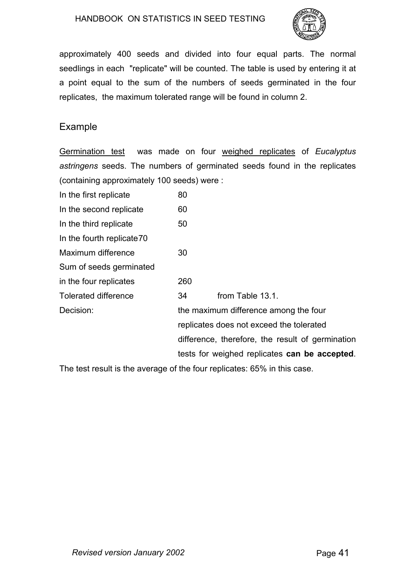

approximately 400 seeds and divided into four equal parts. The normal seedlings in each "replicate" will be counted. The table is used by entering it at a point equal to the sum of the numbers of seeds germinated in the four replicates, the maximum tolerated range will be found in column 2.

# Example

Germination test was made on four weighed replicates of *Eucalyptus astringens* seeds. The numbers of germinated seeds found in the replicates (containing approximately 100 seeds) were :

| In the first replicate      | 80  |                                                  |
|-----------------------------|-----|--------------------------------------------------|
| In the second replicate     | 60  |                                                  |
| In the third replicate      | 50  |                                                  |
| In the fourth replicate 70  |     |                                                  |
| Maximum difference          | 30  |                                                  |
| Sum of seeds germinated     |     |                                                  |
| in the four replicates      | 260 |                                                  |
| <b>Tolerated difference</b> | 34  | from Table 13.1.                                 |
| Decision:                   |     | the maximum difference among the four            |
|                             |     | replicates does not exceed the tolerated         |
|                             |     | difference, therefore, the result of germination |
|                             |     | tests for weighed replicates can be accepted.    |
|                             |     |                                                  |

The test result is the average of the four replicates: 65% in this case.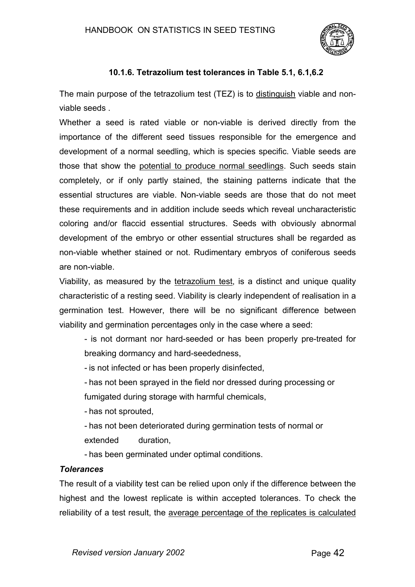

# **10.1.6.Tetrazolium test tolerances in Table 5.1, 6.1,6.2**

The main purpose of the tetrazolium test (TEZ) is to distinguish viable and nonviable seeds .

Whether a seed is rated viable or non-viable is derived directly from the importance of the different seed tissues responsible for the emergence and development of a normal seedling, which is species specific. Viable seeds are those that show the potential to produce normal seedlings. Such seeds stain completely, or if only partly stained, the staining patterns indicate that the essential structures are viable. Non-viable seeds are those that do not meet these requirements and in addition include seeds which reveal uncharacteristic coloring and/or flaccid essential structures. Seeds with obviously abnormal development of the embryo or other essential structures shall be regarded as non-viable whether stained or not. Rudimentary embryos of coniferous seeds are non-viable.

Viability, as measured by the tetrazolium test, is a distinct and unique quality characteristic of a resting seed. Viability is clearly independent of realisation in a germination test. However, there will be no significant difference between viability and germination percentages only in the case where a seed:

- is not dormant nor hard-seeded or has been properly pre-treated for breaking dormancy and hard-seededness,

- is not infected or has been properly disinfected,

- has not been sprayed in the field nor dressed during processing or

fumigated during storage with harmful chemicals,

- has not sprouted,

- has not been deteriorated during germination tests of normal or extended duration,

- has been germinated under optimal conditions.

## *Tolerances*

The result of a viability test can be relied upon only if the difference between the highest and the lowest replicate is within accepted tolerances. To check the reliability of a test result, the average percentage of the replicates is calculated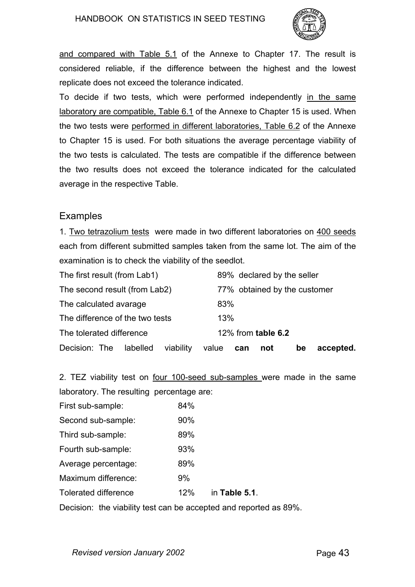

and compared with Table 5.1 of the Annexe to Chapter 17. The result is considered reliable, if the difference between the highest and the lowest replicate does not exceed the tolerance indicated.

To decide if two tests, which were performed independently in the same laboratory are compatible, Table 6.1 of the Annexe to Chapter 15 is used. When the two tests were performed in different laboratories, Table 6.2 of the Annexe to Chapter 15 is used. For both situations the average percentage viability of the two tests is calculated. The tests are compatible if the difference between the two results does not exceed the tolerance indicated for the calculated average in the respective Table.

# Examples

1. Two tetrazolium tests were made in two different laboratories on 400 seeds each from different submitted samples taken from the same lot. The aim of the examination is to check the viability of the seedlot.

| The first result (from Lab1)        | 89% declared by the seller             |
|-------------------------------------|----------------------------------------|
| The second result (from Lab2)       | 77% obtained by the customer           |
| The calculated avarage              | 83%                                    |
| The difference of the two tests     | 13%                                    |
| The tolerated difference            | 12% from <b>table 6.2</b>              |
| Decision: The labelled<br>viability | accepted.<br>value<br>be<br>not<br>can |

2. TEZ viability test on four 100-seed sub-samples were made in the same laboratory. The resulting percentage are:

| First sub-sample:    | 84% |               |
|----------------------|-----|---------------|
| Second sub-sample:   | 90% |               |
| Third sub-sample:    | 89% |               |
| Fourth sub-sample:   | 93% |               |
| Average percentage:  | 89% |               |
| Maximum difference:  | 9%  |               |
| Tolerated difference | 12% | in Table 5.1. |

Decision: the viability test can be accepted and reported as 89%.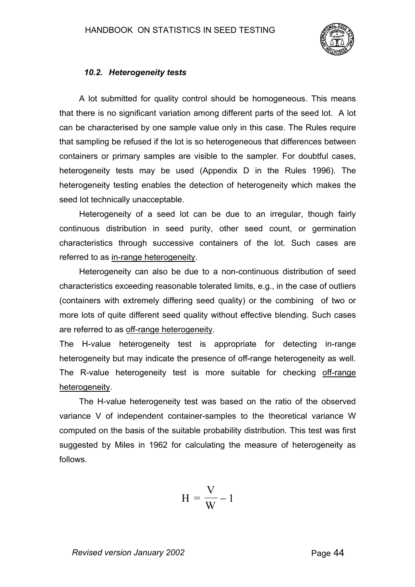

## *10.2. Heterogeneity tests*

A lot submitted for quality control should be homogeneous. This means that there is no significant variation among different parts of the seed lot. A lot can be characterised by one sample value only in this case. The Rules require that sampling be refused if the lot is so heterogeneous that differences between containers or primary samples are visible to the sampler. For doubtful cases, heterogeneity tests may be used (Appendix D in the Rules 1996). The heterogeneity testing enables the detection of heterogeneity which makes the seed lot technically unacceptable.

Heterogeneity of a seed lot can be due to an irregular, though fairly continuous distribution in seed purity, other seed count, or germination characteristics through successive containers of the lot. Such cases are referred to as in-range heterogeneity.

Heterogeneity can also be due to a non-continuous distribution of seed characteristics exceeding reasonable tolerated limits, e.g., in the case of outliers (containers with extremely differing seed quality) or the combining of two or more lots of quite different seed quality without effective blending. Such cases are referred to as off-range heterogeneity.

The H-value heterogeneity test is appropriate for detecting in-range heterogeneity but may indicate the presence of off-range heterogeneity as well. The R-value heterogeneity test is more suitable for checking off-range heterogeneity.

The H-value heterogeneity test was based on the ratio of the observed variance V of independent container-samples to the theoretical variance W computed on the basis of the suitable probability distribution. This test was first suggested by Miles in 1962 for calculating the measure of heterogeneity as follows.

$$
H = \frac{V}{W} - 1
$$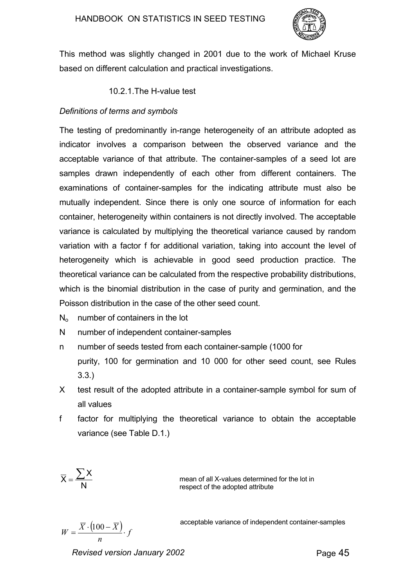

This method was slightly changed in 2001 due to the work of Michael Kruse based on different calculation and practical investigations.

10.2.1. The H-value test

## *Definitions of terms and symbols*

The testing of predominantly in-range heterogeneity of an attribute adopted as indicator involves a comparison between the observed variance and the acceptable variance of that attribute. The container-samples of a seed lot are samples drawn independently of each other from different containers. The examinations of container-samples for the indicating attribute must also be mutually independent. Since there is only one source of information for each container, heterogeneity within containers is not directly involved. The acceptable variance is calculated by multiplying the theoretical variance caused by random variation with a factor f for additional variation, taking into account the level of heterogeneity which is achievable in good seed production practice. The theoretical variance can be calculated from the respective probability distributions, which is the binomial distribution in the case of purity and germination, and the Poisson distribution in the case of the other seed count.

- $N<sub>o</sub>$  number of containers in the lot
- N number of independent container-samples
- n number of seeds tested from each container-sample (1000 for purity, 100 for germination and 10 000 for other seed count, see Rules 3.3.)
- X test result of the adopted attribute in a container-sample symbol for sum of all values
- f factor for multiplying the theoretical variance to obtain the acceptable variance (see Table D.1.)

$$
\overline{X} = \frac{\sum X}{N}
$$

mean of all X-values determined for the lot in respect of the adopted attribute

*n*  $W = \frac{\overline{X} \cdot (100 - \overline{X})}{\overline{X}}$ . acceptable variance of independent container-samples

*Revised version January 2002* Page 45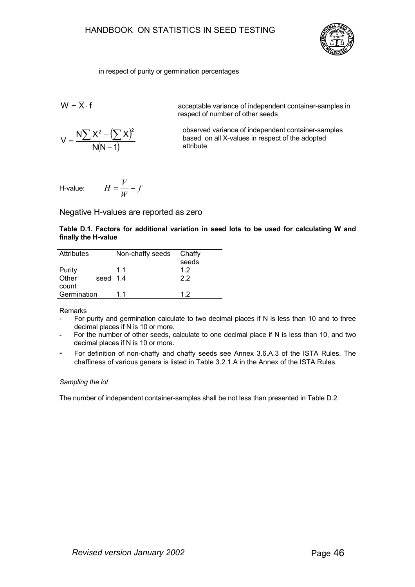

#### in respect of purity or germination percentages

$$
W=\overline{X}\cdot f
$$

 $(\sum X)$  $N(N - 1)$  $N$   $X^2 - ($   $) X$ V 2  $(\nabla \vee)^2$ −  $=\frac{N\sum X^2-(\sum x)^2}{N(1-x)}$ 

acceptable variance of independent container-samples in respect of number of other seeds

 observed variance of independent container-samples based on all X-values in respect of the adopted attribute

H-value: 
$$
H = \frac{V}{W} - f
$$

#### Negative H-values are reported as zero

|                     |  |  |  |  |  | Table D.1. Factors for additional variation in seed lots to be used for calculating W and |  |
|---------------------|--|--|--|--|--|-------------------------------------------------------------------------------------------|--|
| finally the H-value |  |  |  |  |  |                                                                                           |  |

| <b>Attributes</b> | Non-chaffy seeds | Chaffy |
|-------------------|------------------|--------|
|                   |                  | seeds  |
| Purity            | 11               | 1.2    |
| Other<br>seed 1.4 |                  | 22     |
| count             |                  |        |
| Germination       | 11               | 12     |

Remarks

- For purity and germination calculate to two decimal places if N is less than 10 and to three decimal places if N is 10 or more.
- For the number of other seeds, calculate to one decimal place if N is less than 10, and two decimal places if N is 10 or more.
- For definition of non-chaffy and chaffy seeds see Annex 3.6.A.3 of the ISTA Rules. The chaffiness of various genera is listed in Table 3.2.1.A in the Annex of the ISTA Rules.

#### *Sampling the lot*

The number of independent container-samples shall be not less than presented in Table D.2.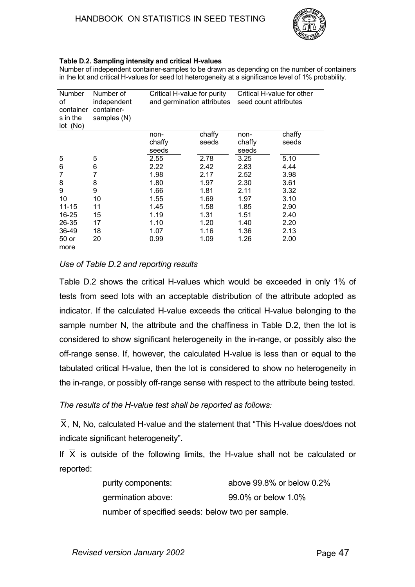

#### **Table D.2. Sampling intensity and critical H-values**

Number of independent container-samples to be drawn as depending on the number of containers in the lot and critical H-values for seed lot heterogeneity at a significance level of 1% probability.

| Number<br>of<br>container<br>s in the<br>lot (No) | Number of<br>independent<br>container-<br>samples (N) | Critical H-value for purity<br>and germination attributes |        | Critical H-value for other<br>seed count attributes |        |  |
|---------------------------------------------------|-------------------------------------------------------|-----------------------------------------------------------|--------|-----------------------------------------------------|--------|--|
|                                                   |                                                       | non-                                                      | chaffy | non-                                                | chaffy |  |
|                                                   |                                                       | chaffy                                                    | seeds  | chaffy                                              | seeds  |  |
|                                                   |                                                       | seeds                                                     |        | seeds                                               |        |  |
| 5                                                 | 5                                                     | 2.55                                                      | 2.78   | 3.25                                                | 5.10   |  |
| 6                                                 | 6                                                     | 2.22                                                      | 2.42   | 2.83                                                | 4.44   |  |
| 7                                                 | 7                                                     | 1.98                                                      | 2.17   | 2.52                                                | 3.98   |  |
| 8                                                 | 8                                                     | 1.80                                                      | 1.97   | 2.30                                                | 3.61   |  |
| 9                                                 | 9                                                     | 1.66                                                      | 1.81   | 2.11                                                | 3.32   |  |
| 10                                                | 10                                                    | 1.55                                                      | 1.69   | 1.97                                                | 3.10   |  |
| $11 - 15$                                         | 11                                                    | 1.45                                                      | 1.58   | 1.85                                                | 2.90   |  |
| 16-25                                             | 15                                                    | 1.19                                                      | 1.31   | 1.51                                                | 2.40   |  |
| 26-35                                             | 17                                                    | 1.10                                                      | 1.20   | 1.40                                                | 2.20   |  |
| 36-49                                             | 18                                                    | 1.07                                                      | 1.16   | 1.36                                                | 2.13   |  |
| 50 or                                             | 20                                                    | 0.99                                                      | 1.09   | 1.26                                                | 2.00   |  |
| more                                              |                                                       |                                                           |        |                                                     |        |  |

#### *Use of Table D.2 and reporting results*

Table D.2 shows the critical H-values which would be exceeded in only 1% of tests from seed lots with an acceptable distribution of the attribute adopted as indicator. If the calculated H-value exceeds the critical H-value belonging to the sample number N, the attribute and the chaffiness in Table D.2, then the lot is considered to show significant heterogeneity in the in-range, or possibly also the off-range sense. If, however, the calculated H-value is less than or equal to the tabulated critical H-value, then the lot is considered to show no heterogeneity in the in-range, or possibly off-range sense with respect to the attribute being tested.

#### *The results of the H-value test shall be reported as follows:*

 $\overline{X}$ , N, No, calculated H-value and the statement that "This H-value does/does not indicate significant heterogeneity".

If  $\overline{X}$  is outside of the following limits, the H-value shall not be calculated or reported:

| purity components:                               | above 99.8% or below 0.2% |
|--------------------------------------------------|---------------------------|
| germination above:                               | 99.0% or below 1.0%       |
| number of specified seeds: below two per sample. |                           |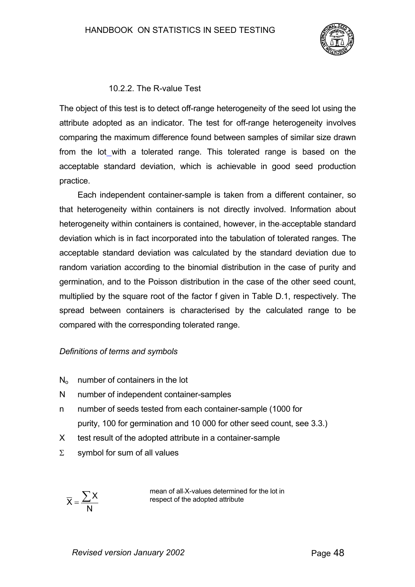

#### 10.2.2.The R-value Test

The object of this test is to detect off-range heterogeneity of the seed lot using the attribute adopted as an indicator. The test for off-range heterogeneity involves comparing the maximum difference found between samples of similar size drawn from the lot with a tolerated range. This tolerated range is based on the acceptable standard deviation, which is achievable in good seed production practice.

Each independent container-sample is taken from a different container, so that heterogeneity within containers is not directly involved. Information about heterogeneity within containers is contained, however, in the acceptable standard deviation which is in fact incorporated into the tabulation of tolerated ranges. The acceptable standard deviation was calculated by the standard deviation due to random variation according to the binomial distribution in the case of purity and germination, and to the Poisson distribution in the case of the other seed count, multiplied by the square root of the factor f given in Table D.1, respectively. The spread between containers is characterised by the calculated range to be compared with the corresponding tolerated range.

#### *Definitions of terms and symbols*

- $N<sub>o</sub>$  number of containers in the lot
- N number of independent container-samples
- n number of seeds tested from each container-sample (1000 for purity, 100 for germination and 10 000 for other seed count, see 3.3.)
- X test result of the adopted attribute in a container-sample
- $Σ$  symbol for sum of all values

N  $\overline{X} = \frac{\sum X}{\sum Y}$ 

mean of all-X-values determined for the lot in respect of the adopted attribute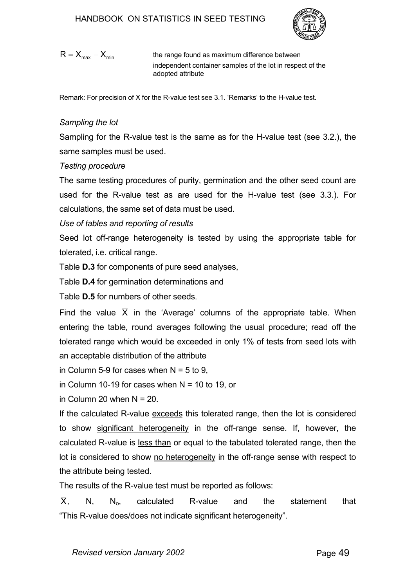

$$
R = X_{\text{max}} - X_{\text{min}}
$$

the range found as maximum difference between independent container samples of the lot in respect of the adopted attribute

Remark: For precision of X for the R-value test see 3.1. 'Remarks' to the H-value test.

## *Sampling the lot*

Sampling for the R-value test is the same as for the H-value test (see 3.2.), the same samples must be used.

## *Testing procedure*

The same testing procedures of purity, germination and the other seed count are used for the R-value test as are used for the H-value test (see 3.3.). For calculations, the same set of data must be used.

*Use of tables and reporting of results*

Seed lot off-range heterogeneity is tested by using the appropriate table for tolerated, i.e. critical range.

Table **D.3** for components of pure seed analyses,

Table **D.4** for germination determinations and

Table **D.5** for numbers of other seeds.

Find the value  $\overline{X}$  in the 'Average' columns of the appropriate table. When entering the table, round averages following the usual procedure; read off the tolerated range which would be exceeded in only 1% of tests from seed lots with an acceptable distribution of the attribute

in Column 5-9 for cases when  $N = 5$  to 9.

in Column 10-19 for cases when  $N = 10$  to 19, or

in Column 20 when  $N = 20$ .

If the calculated R-value exceeds this tolerated range, then the lot is considered to show significant heterogeneity in the off-range sense. If, however, the calculated R-value is less than or equal to the tabulated tolerated range, then the lot is considered to show no heterogeneity in the off-range sense with respect to the attribute being tested.

The results of the R-value test must be reported as follows:

 $X$ , N, N<sub>o</sub>, calculated R-value and the statement that "This R-value does/does not indicate significant heterogeneity".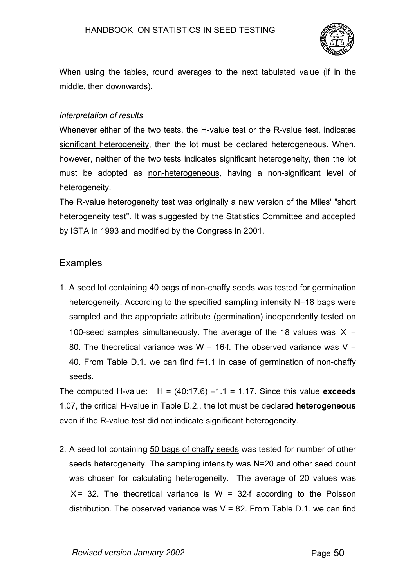

When using the tables, round averages to the next tabulated value (if in the middle, then downwards).

#### *Interpretation of results*

Whenever either of the two tests, the H-value test or the R-value test, indicates significant heterogeneity, then the lot must be declared heterogeneous. When, however, neither of the two tests indicates significant heterogeneity, then the lot must be adopted as non-heterogeneous, having a non-significant level of heterogeneity.

The R-value heterogeneity test was originally a new version of the Miles' "short heterogeneity test". It was suggested by the Statistics Committee and accepted by ISTA in 1993 and modified by the Congress in 2001.

# **Examples**

1. A seed lot containing 40 bags of non-chaffy seeds was tested for germination heterogeneity. According to the specified sampling intensity N=18 bags were sampled and the appropriate attribute (germination) independently tested on 100-seed samples simultaneously. The average of the 18 values was  $\overline{X}$  = 80. The theoretical variance was W = 16⋅f. The observed variance was V = 40. From Table D.1. we can find f=1.1 in case of germination of non-chaffy seeds.

The computed H-value:  $H = (40:17.6) -1.1 = 1.17$ . Since this value **exceeds** 1.07, the critical H-value in Table D.2., the lot must be declared **heterogeneous** even if the R-value test did not indicate significant heterogeneity.

2. A seed lot containing 50 bags of chaffy seeds was tested for number of other seeds heterogeneity. The sampling intensity was N=20 and other seed count was chosen for calculating heterogeneity. The average of 20 values was  $\overline{X}$  = 32. The theoretical variance is W = 32⋅f according to the Poisson distribution. The observed variance was  $V = 82$ . From Table D.1, we can find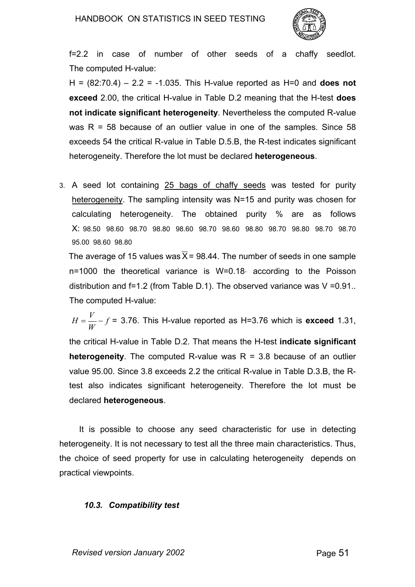

f=2.2 in case of number of other seeds of a chaffy seedlot. The computed H-value:

H = (82:70.4) – 2.2 = -1.035. This H-value reported as H=0 and **does not exceed** 2.00, the critical H-value in Table D.2 meaning that the H-test **does not indicate significant heterogeneity**. Nevertheless the computed R-value was  $R = 58$  because of an outlier value in one of the samples. Since 58 exceeds 54 the critical R-value in Table D.5.B, the R-test indicates significant heterogeneity. Therefore the lot must be declared **heterogeneous**.

3. A seed lot containing 25 bags of chaffy seeds was tested for purity heterogeneity. The sampling intensity was N=15 and purity was chosen for calculating heterogeneity. The obtained purity % are as follows X: 98.50 98.60 98.70 98.80 98.60 98.70 98.60 98.80 98.70 98.80 98.70 98.70 95.00 98.60 98.80

The average of 15 values was  $\overline{X}$  = 98.44. The number of seeds in one sample n=1000 the theoretical variance is W=0.18⋅ according to the Poisson distribution and f=1.2 (from Table D.1). The observed variance was V =0.91.. The computed H-value:

 $H = \frac{V}{W} - f = 3.76$ . This H-value reported as H=3.76 which is **exceed** 1.31, the critical H-value in Table D.2. That means the H-test **indicate significant heterogeneity**. The computed R-value was  $R = 3.8$  because of an outlier value 95.00. Since 3.8 exceeds 2.2 the critical R-value in Table D.3.B, the Rtest also indicates significant heterogeneity. Therefore the lot must be

declared **heterogeneous**.

It is possible to choose any seed characteristic for use in detecting heterogeneity. It is not necessary to test all the three main characteristics. Thus, the choice of seed property for use in calculating heterogeneity depends on practical viewpoints.

## *10.3. Compatibility test*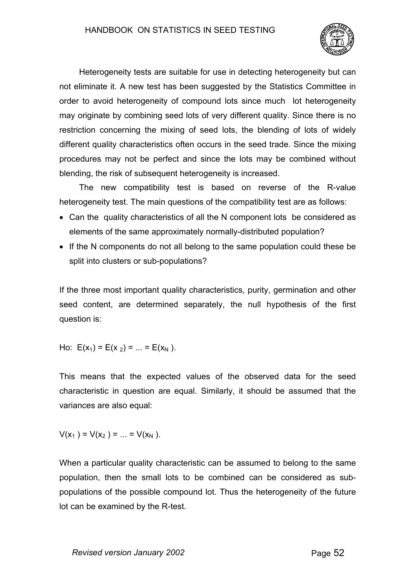

Heterogeneity tests are suitable for use in detecting heterogeneity but can not eliminate it. A new test has been suggested by the Statistics Committee in order to avoid heterogeneity of compound lots since much lot heterogeneity may originate by combining seed lots of very different quality. Since there is no restriction concerning the mixing of seed lots, the blending of lots of widely different quality characteristics often occurs in the seed trade. Since the mixing procedures may not be perfect and since the lots may be combined without blending, the risk of subsequent heterogeneity is increased.

The new compatibility test is based on reverse of the R-value heterogeneity test. The main questions of the compatibility test are as follows:

- Can the quality characteristics of all the N component lots be considered as elements of the same approximately normally-distributed population?
- If the N components do not all belong to the same population could these be split into clusters or sub-populations?

If the three most important quality characteristics, purity, germination and other seed content, are determined separately, the null hypothesis of the first question is:

Ho:  $E(x_1) = E(x_2) = ... = E(x_N)$ .

This means that the expected values of the observed data for the seed characteristic in question are equal. Similarly, it should be assumed that the variances are also equal:

$$
V(x_1) = V(x_2) = ... = V(x_N).
$$

When a particular quality characteristic can be assumed to belong to the same population, then the small lots to be combined can be considered as subpopulations of the possible compound lot. Thus the heterogeneity of the future lot can be examined by the R-test.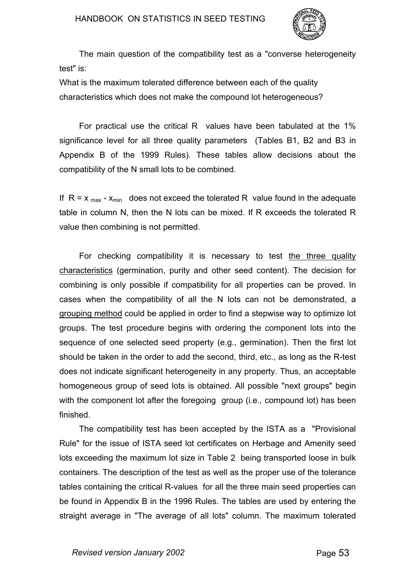

The main question of the compatibility test as a "converse heterogeneity test" is:

What is the maximum tolerated difference between each of the quality characteristics which does not make the compound lot heterogeneous?

For practical use the critical R values have been tabulated at the 1% significance level for all three quality parameters (Tables B1, B2 and B3 in Appendix B of the 1999 Rules). These tables allow decisions about the compatibility of the N small lots to be combined.

If  $R = x_{max} - x_{min}$  does not exceed the tolerated R value found in the adequate table in column N, then the N lots can be mixed. If R exceeds the tolerated R value then combining is not permitted.

For checking compatibility it is necessary to test the three quality characteristics (germination, purity and other seed content). The decision for combining is only possible if compatibility for all properties can be proved. In cases when the compatibility of all the N lots can not be demonstrated, a grouping method could be applied in order to find a stepwise way to optimize lot groups. The test procedure begins with ordering the component lots into the sequence of one selected seed property (e.g., germination). Then the first lot should be taken in the order to add the second, third, etc., as long as the R-test does not indicate significant heterogeneity in any property. Thus, an acceptable homogeneous group of seed lots is obtained. All possible "next groups" begin with the component lot after the foregoing group (i.e., compound lot) has been finished.

The compatibility test has been accepted by the ISTA as a "Provisional Rule" for the issue of ISTA seed lot certificates on Herbage and Amenity seed lots exceeding the maximum lot size in Table 2 being transported loose in bulk containers. The description of the test as well as the proper use of the tolerance tables containing the critical R-values for all the three main seed properties can be found in Appendix B in the 1996 Rules. The tables are used by entering the straight average in "The average of all lots" column. The maximum tolerated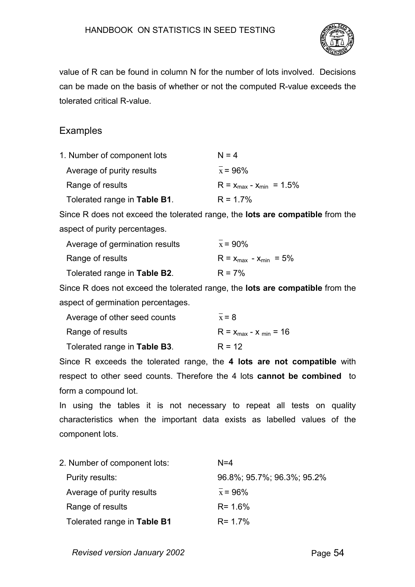

value of R can be found in column N for the number of lots involved. Decisions can be made on the basis of whether or not the computed R-value exceeds the tolerated critical R-value.

# **Examples**

| 1. Number of component lots  | $N = 4$                         |
|------------------------------|---------------------------------|
| Average of purity results    | $x = 96\%$                      |
| Range of results             | $R = x_{max} - x_{min} = 1.5\%$ |
| Tolerated range in Table B1. | $R = 1.7\%$                     |

Since R does not exceed the tolerated range, the **lots are compatible** from the aspect of purity percentages.

| Average of germination results | $x = 90\%$                    |
|--------------------------------|-------------------------------|
| Range of results               | $R = x_{max} - x_{min} = 5\%$ |
| Tolerated range in Table B2.   | $R = 7%$                      |

Since R does not exceed the tolerated range, the **lots are compatible** from the aspect of germination percentages.

| Average of other seed counts | $x = 8$                      |
|------------------------------|------------------------------|
| Range of results             | $R = x_{max} - x_{min} = 16$ |
| Tolerated range in Table B3. | $R = 12$                     |

Since R exceeds the tolerated range, the **4 lots are not compatible** with respect to other seed counts. Therefore the 4 lots **cannot be combined** to form a compound lot.

In using the tables it is not necessary to repeat all tests on quality characteristics when the important data exists as labelled values of the component lots.

| 2. Number of component lots: | $N = 4$                    |
|------------------------------|----------------------------|
| Purity results:              | 96.8%; 95.7%; 96.3%; 95.2% |
| Average of purity results    | $x = 96\%$                 |
| Range of results             | $R = 1.6\%$                |
| Tolerated range in Table B1  | $R = 1.7%$                 |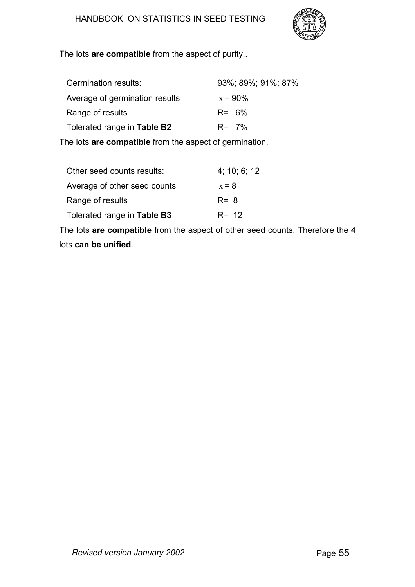

The lots **are compatible** from the aspect of purity..

| Germination results:           | 93%; 89%; 91%; 87% |
|--------------------------------|--------------------|
| Average of germination results | $x = 90\%$         |
| Range of results               | $R = 6\%$          |
| Tolerated range in Table B2    | $R = 7\%$          |
|                                |                    |

The lots **are compatible** from the aspect of germination.

| Other seed counts results:   | 4; 10; 6; 12 |
|------------------------------|--------------|
| Average of other seed counts | $x = 8$      |
| Range of results             | $R = 8$      |
| Tolerated range in Table B3  | $R = 12$     |
|                              |              |

The lots **are compatible** from the aspect of other seed counts. Therefore the 4 lots **can be unified**.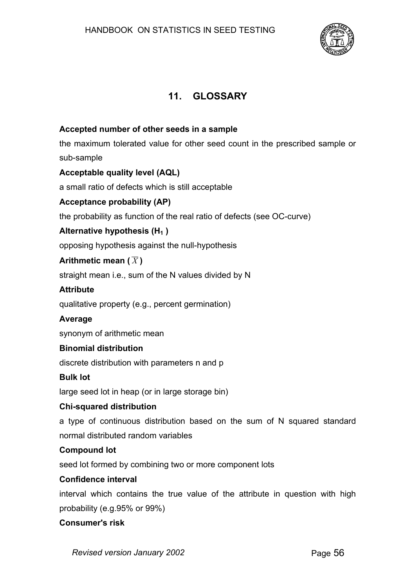

# **11. GLOSSARY**

## **Accepted number of other seeds in a sample**

the maximum tolerated value for other seed count in the prescribed sample or sub-sample

## **Acceptable quality level (AQL)**

a small ratio of defects which is still acceptable

## **Acceptance probability (AP)**

the probability as function of the real ratio of defects (see OC-curve)

## Alternative hypothesis (H<sub>1</sub>)

opposing hypothesis against the null-hypothesis

## **Arithmetic mean (** $\overline{X}$ **)**

straight mean i.e., sum of the N values divided by N

## **Attribute**

qualitative property (e.g., percent germination)

## **Average**

synonym of arithmetic mean

## **Binomial distribution**

discrete distribution with parameters n and p

#### **Bulk lot**

large seed lot in heap (or in large storage bin)

## **Chi-squared distribution**

a type of continuous distribution based on the sum of N squared standard normal distributed random variables

## **Compound lot**

seed lot formed by combining two or more component lots

#### **Confidence interval**

interval which contains the true value of the attribute in question with high probability (e.g.95% or 99%)

#### **Consumer's risk**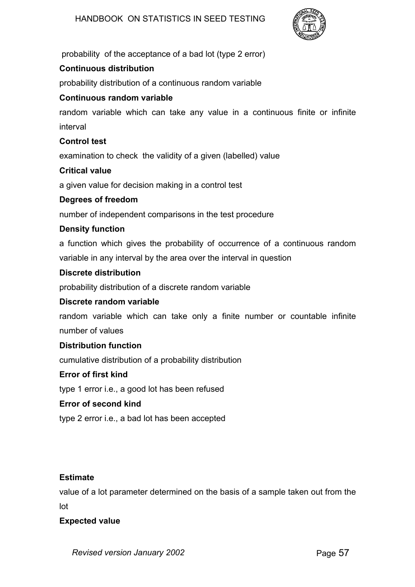

probability of the acceptance of a bad lot (type 2 error)

# **Continuous distribution**

probability distribution of a continuous random variable

# **Continuous random variable**

random variable which can take any value in a continuous finite or infinite interval

# **Control test**

examination to check the validity of a given (labelled) value

## **Critical value**

a given value for decision making in a control test

## **Degrees of freedom**

number of independent comparisons in the test procedure

# **Density function**

a function which gives the probability of occurrence of a continuous random variable in any interval by the area over the interval in question

## **Discrete distribution**

probability distribution of a discrete random variable

# **Discrete random variable**

random variable which can take only a finite number or countable infinite number of values

## **Distribution function**

cumulative distribution of a probability distribution

## **Error of first kind**

type 1 error i.e., a good lot has been refused

## **Error of second kind**

type 2 error i.e., a bad lot has been accepted

## **Estimate**

value of a lot parameter determined on the basis of a sample taken out from the lot

## **Expected value**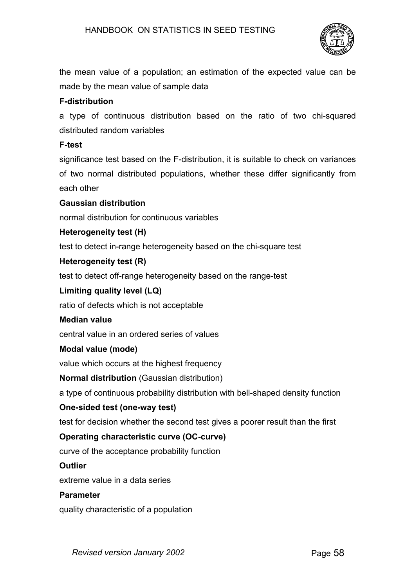

the mean value of a population; an estimation of the expected value can be made by the mean value of sample data

# **F-distribution**

a type of continuous distribution based on the ratio of two chi-squared distributed random variables

## **F-test**

significance test based on the F-distribution, it is suitable to check on variances of two normal distributed populations, whether these differ significantly from each other

# **Gaussian distribution**

normal distribution for continuous variables

# **Heterogeneity test (H)**

test to detect in-range heterogeneity based on the chi-square test

## **Heterogeneity test (R)**

test to detect off-range heterogeneity based on the range-test

# **Limiting quality level (LQ)**

ratio of defects which is not acceptable

## **Median value**

central value in an ordered series of values

## **Modal value (mode)**

value which occurs at the highest frequency

**Normal distribution** (Gaussian distribution)

a type of continuous probability distribution with bell-shaped density function

## **One-sided test (one-way test)**

test for decision whether the second test gives a poorer result than the first

# **Operating characteristic curve (OC-curve)**

curve of the acceptance probability function

## **Outlier**

extreme value in a data series

## **Parameter**

quality characteristic of a population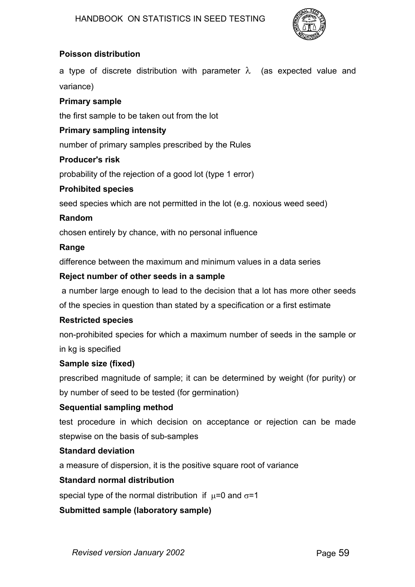

# **Poisson distribution**

a type of discrete distribution with parameter  $\lambda$  (as expected value and variance)

#### **Primary sample**

the first sample to be taken out from the lot

#### **Primary sampling intensity**

number of primary samples prescribed by the Rules

#### **Producer's risk**

probability of the rejection of a good lot (type 1 error)

#### **Prohibited species**

seed species which are not permitted in the lot (e.g. noxious weed seed)

#### **Random**

chosen entirely by chance, with no personal influence

#### **Range**

difference between the maximum and minimum values in a data series

#### **Reject number of other seeds in a sample**

a number large enough to lead to the decision that a lot has more other seeds

of the species in question than stated by a specification or a first estimate

#### **Restricted species**

non-prohibited species for which a maximum number of seeds in the sample or in kg is specified

#### **Sample size (fixed)**

prescribed magnitude of sample; it can be determined by weight (for purity) or by number of seed to be tested (for germination)

## **Sequential sampling method**

test procedure in which decision on acceptance or rejection can be made stepwise on the basis of sub-samples

## **Standard deviation**

a measure of dispersion, it is the positive square root of variance

## **Standard normal distribution**

special type of the normal distribution if  $\mu$ =0 and  $\sigma$ =1

## **Submitted sample (laboratory sample)**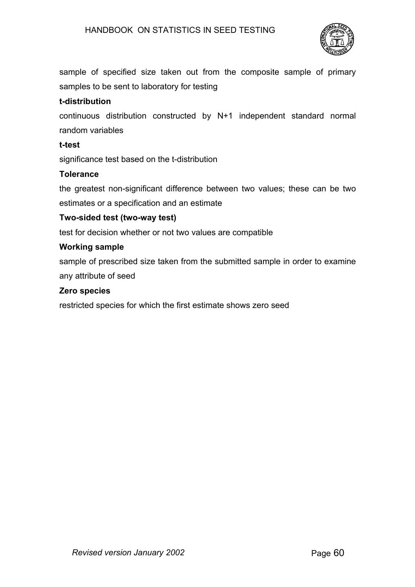

sample of specified size taken out from the composite sample of primary samples to be sent to laboratory for testing

## **t-distribution**

continuous distribution constructed by N+1 independent standard normal random variables

#### **t-test**

significance test based on the t-distribution

## **Tolerance**

the greatest non-significant difference between two values; these can be two estimates or a specification and an estimate

#### **Two-sided test (two-way test)**

test for decision whether or not two values are compatible

#### **Working sample**

sample of prescribed size taken from the submitted sample in order to examine any attribute of seed

#### **Zero species**

restricted species for which the first estimate shows zero seed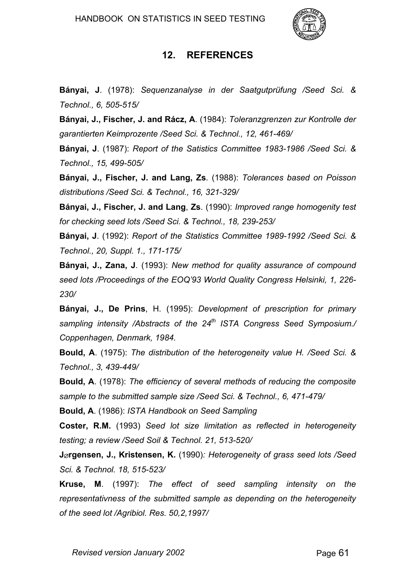

# **12. REFERENCES**

**Bányai, J**. (1978): *Sequenzanalyse in der Saatgutprüfung /Seed Sci. & Technol., 6, 505-515/*

**Bányai, J., Fischer, J. and Rácz, A**. (1984): *Toleranzgrenzen zur Kontrolle der garantierten Keimprozente /Seed Sci. & Technol., 12, 461-469/*

**Bányai, J**. (1987): *Report of the Satistics Committee 1983-1986 /Seed Sci. & Technol., 15, 499-505/*

**Bányai, J., Fischer, J. and Lang, Zs**. (1988): *Tolerances based on Poisson distributions /Seed Sci. & Technol., 16, 321-329/*

**Bányai, J., Fischer, J. and Lang**, **Zs**. (1990): *Improved range homogenity test for checking seed lots /Seed Sci. & Technol., 18, 239-253/*

**Bányai, J**. (1992): *Report of the Statistics Committee 1989-1992 /Seed Sci. & Technol., 20, Suppl. 1., 171-175/*

**Bányai, J., Zana, J**. (1993): *New method for quality assurance of compound seed lots /Proceedings of the EOQ'93 World Quality Congress Helsinki, 1, 226- 230/*

**Bányai, J., De Prins**, H. (1995): *Development of prescription for primary sampling intensity /Abstracts of the 24th ISTA Congress Seed Symposium./ Coppenhagen, Denmark, 1984.*

**Bould, A**. (1975): *The distribution of the heterogeneity value H. /Seed Sci. & Technol., 3, 439-449/*

**Bould, A**. (1978): *The efficiency of several methods of reducing the composite sample to the submitted sample size /Seed Sci. & Technol., 6, 471-479/*

**Bould, A**. (1986): *ISTA Handbook on Seed Sampling*

**Coster, R.M.** (1993) *Seed lot size limitation as reflected in heterogeneity testing; a review /Seed Soil & Technol. 21, 513-520/*

**J**∅**rgensen, J., Kristensen, K.** (1990)*: Heterogeneity of grass seed lots /Seed Sci. & Technol. 18, 515-523/*

**Kruse, M**. (1997): *The effect of seed sampling intensity on the representativness of the submitted sample as depending on the heterogeneity of the seed lot /Agribiol. Res. 50,2,1997/*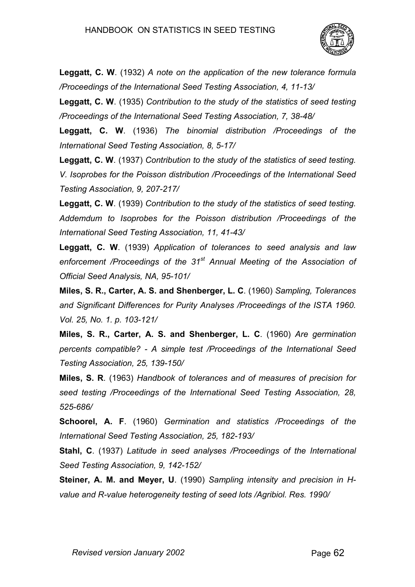

**Leggatt, C. W**. (1932) *A note on the application of the new tolerance formula /Proceedings of the International Seed Testing Association, 4, 11-13/*

**Leggatt, C. W**. (1935) *Contribution to the study of the statistics of seed testing /Proceedings of the International Seed Testing Association, 7, 38-48/*

**Leggatt, C. W**. (1936) *The binomial distribution /Proceedings of the International Seed Testing Association, 8, 5-17/*

**Leggatt, C. W**. (1937) *Contribution to the study of the statistics of seed testing. V. Isoprobes for the Poisson distribution /Proceedings of the International Seed Testing Association, 9, 207-217/*

**Leggatt, C. W**. (1939) *Contribution to the study of the statistics of seed testing. Addemdum to Isoprobes for the Poisson distribution /Proceedings of the International Seed Testing Association, 11, 41-43/*

**Leggatt, C. W**. (1939) *Application of tolerances to seed analysis and law enforcement /Proceedings of the 31st Annual Meeting of the Association of Official Seed Analysis, NA, 95-101/*

**Miles, S. R., Carter, A. S. and Shenberger, L. C**. (1960) *Sampling, Tolerances and Significant Differences for Purity Analyses /Proceedings of the ISTA 1960. Vol. 25, No. 1. p. 103-121/*

**Miles, S. R., Carter, A. S. and Shenberger, L. C**. (1960) *Are germination percents compatible? - A simple test /Proceedings of the International Seed Testing Association, 25, 139-150/*

**Miles, S. R**. (1963) *Handbook of tolerances and of measures of precision for seed testing /Proceedings of the International Seed Testing Association, 28, 525-686/*

**Schoorel, A. F**. (1960) *Germination and statistics /Proceedings of the International Seed Testing Association, 25, 182-193/*

**Stahl, C**. (1937) *Latitude in seed analyses /Proceedings of the International Seed Testing Association, 9, 142-152/*

**Steiner, A. M. and Meyer, U**. (1990) *Sampling intensity and precision in Hvalue and R-value heterogeneity testing of seed lots /Agribiol. Res. 1990/*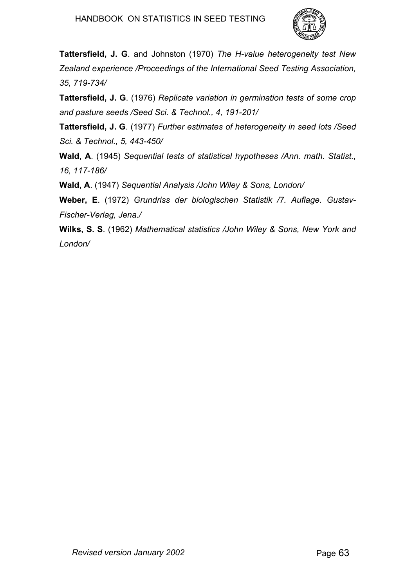

**Tattersfield, J. G**. and Johnston (1970) *The H-value heterogeneity test New Zealand experience /Proceedings of the International Seed Testing Association, 35, 719-734/*

**Tattersfield, J. G**. (1976) *Replicate variation in germination tests of some crop and pasture seeds /Seed Sci. & Technol., 4, 191-201/*

**Tattersfield, J. G**. (1977) *Further estimates of heterogeneity in seed lots /Seed Sci. & Technol., 5, 443-450/*

**Wald, A**. (1945) *Sequential tests of statistical hypotheses /Ann. math. Statist., 16, 117-186/*

**Wald, A**. (1947) *Sequential Analysis /John Wiley & Sons, London/*

**Weber, E**. (1972) *Grundriss der biologischen Statistik /7. Auflage. Gustav-Fischer-Verlag, Jena./*

**Wilks, S. S**. (1962) *Mathematical statistics /John Wiley & Sons, New York and London/*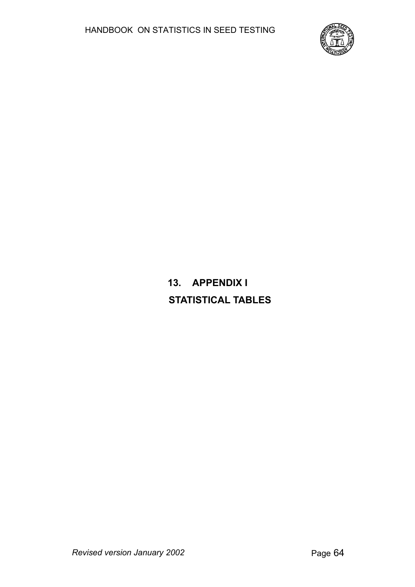

**13. APPENDIX I STATISTICAL TABLES**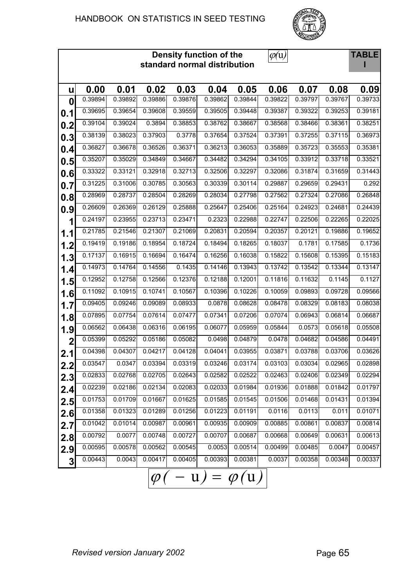

|                |         |         |           |         | Density function of the<br>standard normal distribution |         | $\varphi(u)$ |         |         | <b>TABLE</b>         |
|----------------|---------|---------|-----------|---------|---------------------------------------------------------|---------|--------------|---------|---------|----------------------|
| u              | 0.00    | 0.01    | 0.02      | 0.03    | 0.04                                                    | 0.05    | 0.06         | 0.07    | 0.08    | 0.09                 |
| 0              | 0.39894 | 0.39892 | 0.39886   | 0.39876 | 0.39862                                                 | 0.39844 | 0.39822      | 0.39797 | 0.39767 | 0.39733              |
| 0.1            | 0.39695 | 0.39654 | 0.39608   | 0.39559 | 0.39505                                                 | 0.39448 | 0.39387      | 0.39322 | 0.39253 | 0.39181              |
| 0.2            | 0.39104 | 0.39024 | 0.3894    | 0.38853 | 0.38762                                                 | 0.38667 | 0.38568      | 0.38466 | 0.38361 | 0.38251              |
| 0.3            | 0.38139 | 0.38023 | 0.37903   | 0.3778  | 0.37654                                                 | 0.37524 | 0.37391      | 0.37255 | 0.37115 | 0.36973              |
| 0.4            | 0.36827 | 0.36678 | 0.36526   | 0.36371 | 0.36213                                                 | 0.36053 | 0.35889      | 0.35723 | 0.35553 | 0.35381              |
| 0.5            | 0.35207 | 0.35029 | 0.34849   | 0.34667 | 0.34482                                                 | 0.34294 | 0.34105      | 0.33912 | 0.33718 | 0.33521              |
| 0.6            | 0.33322 | 0.33121 | 0.32918   | 0.32713 | 0.32506                                                 | 0.32297 | 0.32086      | 0.31874 | 0.31659 | 0.31443              |
| 0.7            | 0.31225 | 0.31006 | 0.30785   | 0.30563 | 0.30339                                                 | 0.30114 | 0.29887      | 0.29659 | 0.29431 | 0.292                |
| 0.8            | 0.28969 | 0.28737 | 0.28504   | 0.28269 | 0.28034                                                 | 0.27798 | 0.27562      | 0.27324 | 0.27086 | 0.26848              |
| 0.9            | 0.26609 | 0.26369 | 0.26129   | 0.25888 | 0.25647                                                 | 0.25406 | 0.25164      | 0.24923 | 0.24681 | 0.24439              |
| 1              | 0.24197 | 0.23955 | 0.23713   | 0.23471 | 0.2323                                                  | 0.22988 | 0.22747      | 0.22506 | 0.22265 | 0.22025              |
| 1.1            | 0.21785 | 0.21546 | 0.21307   | 0.21069 | 0.20831                                                 | 0.20594 | 0.20357      | 0.20121 | 0.19886 | 0.19652              |
| 1.2            | 0.19419 | 0.19186 | 0.18954   | 0.18724 | 0.18494                                                 | 0.18265 | 0.18037      | 0.1781  | 0.17585 | 0.1736               |
| 1.3            | 0.17137 | 0.16915 | 0.16694   | 0.16474 | 0.16256                                                 | 0.16038 | 0.15822      | 0.15608 | 0.15395 | 0.15183              |
| 1.4            | 0.14973 | 0.14764 | 0.14556   | 0.1435  | 0.14146                                                 | 0.13943 | 0.13742      | 0.13542 | 0.13344 | 0.13147              |
| 1.5            | 0.12952 | 0.12758 | 0.12566   | 0.12376 | 0.12188                                                 | 0.12001 | 0.11816      | 0.11632 | 0.1145  | 0.1127               |
| 1.6            | 0.11092 | 0.10915 | 0.10741   | 0.10567 | 0.10396                                                 | 0.10226 | 0.10059      | 0.09893 | 0.09728 | 0.09566              |
| 1.7            | 0.09405 | 0.09246 | 0.09089   | 0.08933 | 0.0878                                                  | 0.08628 | 0.08478      | 0.08329 | 0.08183 | 0.08038              |
| 1.8            | 0.07895 | 0.07754 | 0.07614   | 0.07477 | 0.07341                                                 | 0.07206 | 0.07074      | 0.06943 | 0.06814 | 0.06687              |
| 1.9            | 0.06562 | 0.06438 | 0.06316   | 0.06195 | 0.06077                                                 | 0.05959 | 0.05844      | 0.0573  | 0.05618 | 0.05508              |
| $\overline{2}$ | 0.05399 | 0.05292 | 0.05186   | 0.05082 | 0.0498                                                  | 0.04879 | 0.0478       | 0.04682 | 0.04586 | 0.04491              |
| 2.1            | 0.04398 | 0.04307 | 0.04217   | 0.04128 | 0.04041                                                 | 0.03955 | 0.03871      | 0.03788 | 0.03706 | 0.03626              |
| 2.2            | 0.03547 | 0.0347  | 0.03394   | 0.03319 | 0.03246                                                 | 0.03174 | 0.03103      | 0.03034 | 0.02965 | $\overline{0.02898}$ |
| 2.3            | 0.02833 | 0.02768 | 0.02705   | 0.02643 | 0.02582                                                 | 0.02522 | 0.02463      | 0.02406 | 0.02349 | 0.02294              |
| 2.4            | 0.02239 | 0.02186 | 0.02134   | 0.02083 | 0.02033                                                 | 0.01984 | 0.01936      | 0.01888 | 0.01842 | 0.01797              |
| 2.5            | 0.01753 | 0.01709 | 0.01667   | 0.01625 | 0.01585                                                 | 0.01545 | 0.01506      | 0.01468 | 0.01431 | 0.01394              |
| 2.6            | 0.01358 | 0.01323 | 0.01289   | 0.01256 | 0.01223                                                 | 0.01191 | 0.0116       | 0.0113  | 0.011   | 0.01071              |
| 2.7            | 0.01042 | 0.01014 | 0.00987   | 0.00961 | 0.00935                                                 | 0.00909 | 0.00885      | 0.00861 | 0.00837 | 0.00814              |
| 2.8            | 0.00792 | 0.0077  | 0.00748   | 0.00727 | 0.00707                                                 | 0.00687 | 0.00668      | 0.00649 | 0.00631 | 0.00613              |
| 2.9            | 0.00595 | 0.00578 | 0.00562   | 0.00545 | 0.0053                                                  | 0.00514 | 0.00499      | 0.00485 | 0.0047  | 0.00457              |
| $\mathbf{3}$   | 0.00443 | 0.0043  | 0.00417   | 0.00405 | 0.00393                                                 | 0.00381 | 0.0037       | 0.00358 | 0.00348 | 0.00337              |
|                |         |         | $\varphi$ |         | $- u) = \varphi(u)$                                     |         |              |         |         |                      |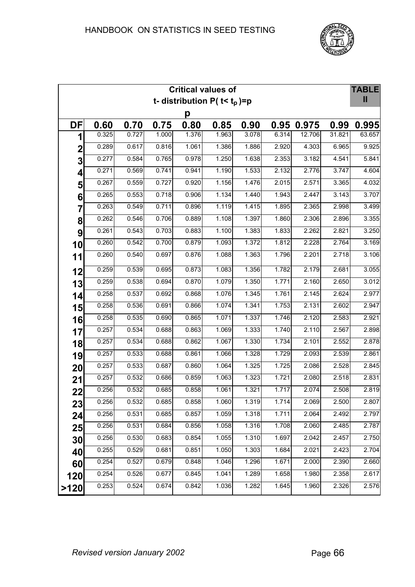

|      |       |       |       |       | <b>Critical values of</b>          |       |       |        |        | <b>TABLE</b> |
|------|-------|-------|-------|-------|------------------------------------|-------|-------|--------|--------|--------------|
|      |       |       |       |       | t- distribution P( $t$ < $t_p$ )=p |       |       |        |        | $\mathbf{I}$ |
|      |       |       |       | р     |                                    |       |       |        |        |              |
| DF   | 0.60  | 0.70  | 0.75  | 0.80  | 0.85                               | 0.90  | 0.95  | 0.975  | 0.99   | 0.995        |
| 1    | 0.325 | 0.727 | 1.000 | 1.376 | 1.963                              | 3.078 | 6.314 | 12.706 | 31.821 | 63.657       |
| 2    | 0.289 | 0.617 | 0.816 | 1.061 | 1.386                              | 1.886 | 2.920 | 4.303  | 6.965  | 9.925        |
| 3    | 0.277 | 0.584 | 0.765 | 0.978 | 1.250                              | 1.638 | 2.353 | 3.182  | 4.541  | 5.841        |
| 4    | 0.271 | 0.569 | 0.741 | 0.941 | 1.190                              | 1.533 | 2.132 | 2.776  | 3.747  | 4.604        |
| 5    | 0.267 | 0.559 | 0.727 | 0.920 | 1.156                              | 1.476 | 2.015 | 2.571  | 3.365  | 4.032        |
| 6    | 0.265 | 0.553 | 0.718 | 0.906 | 1.134                              | 1.440 | 1.943 | 2.447  | 3.143  | 3.707        |
| 7    | 0.263 | 0.549 | 0.711 | 0.896 | 1.119                              | 1.415 | 1.895 | 2.365  | 2.998  | 3.499        |
| 8    | 0.262 | 0.546 | 0.706 | 0.889 | 1.108                              | 1.397 | 1.860 | 2.306  | 2.896  | 3.355        |
| 9    | 0.261 | 0.543 | 0.703 | 0.883 | 1.100                              | 1.383 | 1.833 | 2.262  | 2.821  | 3.250        |
| 10   | 0.260 | 0.542 | 0.700 | 0.879 | 1.093                              | 1.372 | 1.812 | 2.228  | 2.764  | 3.169        |
| 11   | 0.260 | 0.540 | 0.697 | 0.876 | 1.088                              | 1.363 | 1.796 | 2.201  | 2.718  | 3.106        |
| 12   | 0.259 | 0.539 | 0.695 | 0.873 | 1.083                              | 1.356 | 1.782 | 2.179  | 2.681  | 3.055        |
| 13   | 0.259 | 0.538 | 0.694 | 0.870 | 1.079                              | 1.350 | 1.771 | 2.160  | 2.650  | 3.012        |
| 14   | 0.258 | 0.537 | 0.692 | 0.868 | 1.076                              | 1.345 | 1.761 | 2.145  | 2.624  | 2.977        |
| 15   | 0.258 | 0.536 | 0.691 | 0.866 | 1.074                              | 1.341 | 1.753 | 2.131  | 2.602  | 2.947        |
| 16   | 0.258 | 0.535 | 0.690 | 0.865 | 1.071                              | 1.337 | 1.746 | 2.120  | 2.583  | 2.921        |
| 17   | 0.257 | 0.534 | 0.688 | 0.863 | 1.069                              | 1.333 | 1.740 | 2.110  | 2.567  | 2.898        |
| 18   | 0.257 | 0.534 | 0.688 | 0.862 | 1.067                              | 1.330 | 1.734 | 2.101  | 2.552  | 2.878        |
| 19   | 0.257 | 0.533 | 0.688 | 0.861 | 1.066                              | 1.328 | 1.729 | 2.093  | 2.539  | 2.861        |
| 20   | 0.257 | 0.533 | 0.687 | 0.860 | 1.064                              | 1.325 | 1.725 | 2.086  | 2.528  | 2.845        |
| 21   | 0.257 | 0.532 | 0.686 | 0.859 | 1.063                              | 1.323 | 1.721 | 2.080  | 2.518  | 2.831        |
| 22   | 0.256 | 0.532 | 0.685 | 0.858 | 1.061                              | 1.321 | 1.717 | 2.074  | 2.508  | 2.819        |
| 23   | 0.256 | 0.532 | 0.685 | 0.858 | 1.060                              | 1.319 | 1.714 | 2.069  | 2.500  | 2.807        |
| 24   | 0.256 | 0.531 | 0.685 | 0.857 | 1.059                              | 1.318 | 1.711 | 2.064  | 2.492  | 2.797        |
| 25   | 0.256 | 0.531 | 0.684 | 0.856 | 1.058                              | 1.316 | 1.708 | 2.060  | 2.485  | 2.787        |
| 30   | 0.256 | 0.530 | 0.683 | 0.854 | 1.055                              | 1.310 | 1.697 | 2.042  | 2.457  | 2.750        |
| 40   | 0.255 | 0.529 | 0.681 | 0.851 | 1.050                              | 1.303 | 1.684 | 2.021  | 2.423  | 2.704        |
| 60   | 0.254 | 0.527 | 0.679 | 0.848 | 1.046                              | 1.296 | 1.671 | 2.000  | 2.390  | 2.660        |
| 120  | 0.254 | 0.526 | 0.677 | 0.845 | 1.041                              | 1.289 | 1.658 | 1.980  | 2.358  | 2.617        |
| >120 | 0.253 | 0.524 | 0.674 | 0.842 | 1.036                              | 1.282 | 1.645 | 1.960  | 2.326  | 2.576        |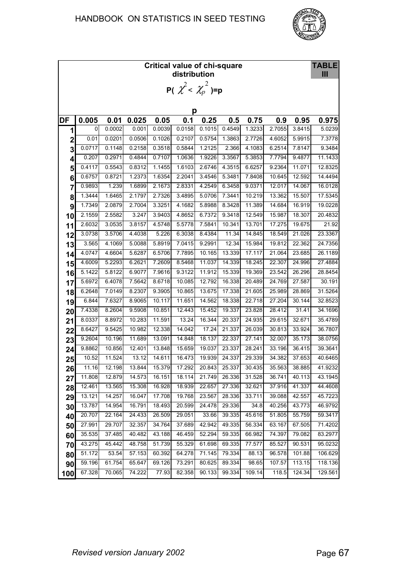

|                         | <b>TABLE</b><br><b>Critical value of chi-square</b><br>distribution |        |        |        |        |                                   |        |        |        |          |         |  |  |  |  |
|-------------------------|---------------------------------------------------------------------|--------|--------|--------|--------|-----------------------------------|--------|--------|--------|----------|---------|--|--|--|--|
|                         |                                                                     |        |        |        |        | <b>P(</b> $\chi^2 < \chi_p^2$ )=p |        |        |        |          |         |  |  |  |  |
|                         |                                                                     |        |        |        |        |                                   |        |        |        |          |         |  |  |  |  |
|                         | р                                                                   |        |        |        |        |                                   |        |        |        |          |         |  |  |  |  |
| DF                      | 0.005                                                               | 0.01   | 0.025  | 0.05   | 0.1    | 0.25                              | 0.5    | 0.75   | 0.9    | 0.95     | 0.975   |  |  |  |  |
| 1                       | 0                                                                   | 0.0002 | 0.001  | 0.0039 | 0.0158 | 0.1015                            | 0.4549 | 1.3233 | 2.7055 | 3.8415   | 5.0239  |  |  |  |  |
| $\mathbf 2$             | 0.01                                                                | 0.0201 | 0.0506 | 0.1026 | 0.2107 | 0.5754                            | 1.3863 | 2.7726 | 4.6052 | 5.9915   | 7.3778  |  |  |  |  |
| 3                       | 0.0717                                                              | 0.1148 | 0.2158 | 0.3518 | 0.5844 | 1.2125                            | 2.366  | 4.1083 | 6.2514 | 7.8147   | 9.3484  |  |  |  |  |
| $\overline{\mathbf{r}}$ | 0.207                                                               | 0.2971 | 0.4844 | 0.7107 | 1.0636 | 1.9226                            | 3.3567 | 5.3853 | 7.7794 | 9.4877   | 11.1433 |  |  |  |  |
| 5                       | 0.4117                                                              | 0.5543 | 0.8312 | 1.1455 | 1.6103 | 2.6746                            | 4.3515 | 6.6257 | 9.2364 | 11.071   | 12.8325 |  |  |  |  |
| 6                       | 0.6757                                                              | 0.8721 | 1.2373 | 1.6354 | 2.2041 | 3.4546                            | 5.3481 | 7.8408 | 10.645 | 12.592   | 14.4494 |  |  |  |  |
| $\overline{7}$          | 0.9893                                                              | 1.239  | 1.6899 | 2.1673 | 2.8331 | 4.2549                            | 6.3458 | 9.0371 | 12.017 | 14.067   | 16.0128 |  |  |  |  |
| 8                       | 1.3444                                                              | 1.6465 | 2.1797 | 2.7326 | 3.4895 | 5.0706                            | 7.3441 | 10.219 | 13.362 | 15.507   | 17.5345 |  |  |  |  |
| 9                       | 1.7349                                                              | 2.0879 | 2.7004 | 3.3251 | 4.1682 | 5.8988                            | 8.3428 | 11.389 | 14.684 | 16.919   | 19.0228 |  |  |  |  |
| 10                      | 2.1559                                                              | 2.5582 | 3.247  | 3.9403 | 4.8652 | 6.7372                            | 9.3418 | 12.549 | 15.987 | 18.307   | 20.4832 |  |  |  |  |
| 11                      | 2.6032                                                              | 3.0535 | 3.8157 | 4.5748 | 5.5778 | 7.5841                            | 10.341 | 13.701 | 17.275 | 19 6 7 5 | 21.92   |  |  |  |  |
| 12                      | 3.0738                                                              | 3.5706 | 4.4038 | 5.226  | 6.3038 | 8.4384                            | 11.34  | 14.845 | 18.549 | 21.026   | 23.3367 |  |  |  |  |
| 13                      | 3.565                                                               | 4.1069 | 5.0088 | 5.8919 | 7.0415 | 9.2991                            | 12.34  | 15.984 | 19.812 | 22.362   | 24.7356 |  |  |  |  |
| 14                      | 4.0747                                                              | 4.6604 | 5.6287 | 6.5706 | 7.7895 | 10.165                            | 13.339 | 17.117 | 21.064 | 23.685   | 26.1189 |  |  |  |  |
| 15                      | 4.6009                                                              | 5.2293 | 6.2621 | 7.2609 | 8.5468 | 11.037                            | 14.339 | 18.245 | 22.307 | 24.996   | 27.4884 |  |  |  |  |
| 16                      | 5.1422                                                              | 5.8122 | 6.9077 | 7.9616 | 9.3122 | 11.912                            | 15.339 | 19.369 | 23.542 | 26.296   | 28.8454 |  |  |  |  |
| 17                      | 5.6972                                                              | 6.4078 | 7.5642 | 8.6718 | 10.085 | 12.792                            | 16.338 | 20.489 | 24.769 | 27.587   | 30.191  |  |  |  |  |
| 18                      | 6.2648                                                              | 7.0149 | 8.2307 | 9.3905 | 10.865 | 13.675                            | 17.338 | 21.605 | 25.989 | 28.869   | 31.5264 |  |  |  |  |
| 19                      | 6.844                                                               | 7.6327 | 8.9065 | 10.117 | 11.651 | 14.562                            | 18.338 | 22.718 | 27.204 | 30.144   | 32.8523 |  |  |  |  |
| 20                      | 7.4338                                                              | 8.2604 | 9.5908 | 10.851 | 12.443 | 15.452                            | 19.337 | 23.828 | 28.412 | 31.41    | 34.1696 |  |  |  |  |
| 21                      | 8.0337                                                              | 8.8972 | 10.283 | 11.591 | 13.24  | 16.344                            | 20.337 | 24.935 | 29.615 | 32.671   | 35.4789 |  |  |  |  |
| 22                      | 8.6427                                                              | 9.5425 | 10.982 | 12.338 | 14.042 | 17.24                             | 21.337 | 26.039 | 30.813 | 33.924   | 36.7807 |  |  |  |  |
| 23                      | 9.2604                                                              | 10.196 | 11.689 | 13.091 | 14.848 | 18.137                            | 22.337 | 27.141 | 32.007 | 35.173   | 38.0756 |  |  |  |  |
| 24                      | 9.8862                                                              | 10.856 | 12.401 | 13.848 | 15.659 | 19.037                            | 23.337 | 28.241 | 33.196 | 36.415   | 39.3641 |  |  |  |  |
| 25                      | 10.52                                                               | 11.524 | 13.12  | 14.611 | 16.473 | 19.939                            | 24.337 | 29.339 | 34.382 | 37.653   | 40.6465 |  |  |  |  |
| 26                      | 11.16                                                               | 12.198 | 13.844 | 15.379 | 17.292 | 20.843                            | 25.337 | 30.435 | 35.563 | 38.885   | 41.9232 |  |  |  |  |
| 27                      | 11.808                                                              | 12.879 | 14.573 | 16.151 | 18.114 | 21.749                            | 26.336 | 31.528 | 36.741 | 40.113   | 43.1945 |  |  |  |  |
| 28                      | 12.461                                                              | 13.565 | 15.308 | 16.928 | 18.939 | 22.657                            | 27.336 | 32.621 | 37.916 | 41.337   | 44.4608 |  |  |  |  |
| 29                      | 13.121                                                              | 14.257 | 16.047 | 17.708 | 19.768 | 23.567                            | 28.336 | 33.711 | 39.088 | 42.557   | 45.7223 |  |  |  |  |
| 30                      | 13.787                                                              | 14.954 | 16.791 | 18.493 | 20.599 | 24.478                            | 29.336 | 34.8   | 40.256 | 43.773   | 46.9792 |  |  |  |  |
| 40                      | 20.707                                                              | 22.164 | 24.433 | 26.509 | 29.051 | 33.66                             | 39.335 | 45.616 | 51.805 | 55.759   | 59.3417 |  |  |  |  |
| 50                      | 27.991                                                              | 29.707 | 32.357 | 34.764 | 37.689 | 42.942                            | 49.335 | 56.334 | 63.167 | 67.505   | 71.4202 |  |  |  |  |
| 60                      | 35.535                                                              | 37.485 | 40.482 | 43.188 | 46.459 | 52.294                            | 59.335 | 66.982 | 74.397 | 79.082   | 83.2977 |  |  |  |  |
| 70                      | 43.275                                                              | 45.442 | 48.758 | 51.739 | 55.329 | 61.698                            | 69.335 | 77.577 | 85.527 | 90.531   | 95.0232 |  |  |  |  |
| 80                      | 51.172                                                              | 53.54  | 57.153 | 60.392 | 64.278 | 71.145                            | 79.334 | 88.13  | 96.578 | 101.88   | 106.629 |  |  |  |  |
| 90                      | 59.196                                                              | 61.754 | 65.647 | 69.126 | 73.291 | 80.625                            | 89.334 | 98.65  | 107.57 | 113.15   | 118.136 |  |  |  |  |
| 100                     | 67.328                                                              | 70.065 | 74.222 | 77.93  | 82.358 | 90.133                            | 99.334 | 109.14 | 118.5  | 124.34   | 129.561 |  |  |  |  |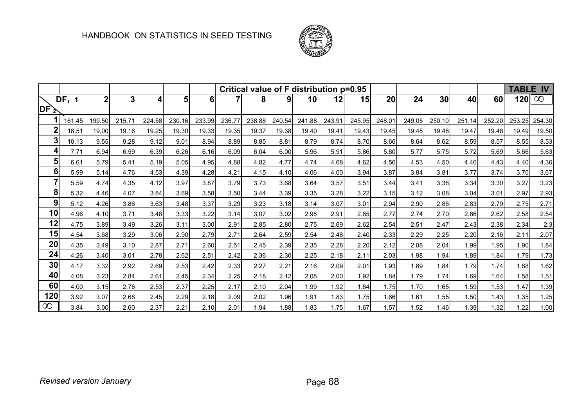

|                                   |         |        |                |        |        |          |        |        |        |        |        | Critical value of F distribution p=0.95 |        |        |        |        |        |        | <b>TABLE IV</b> |  |
|-----------------------------------|---------|--------|----------------|--------|--------|----------|--------|--------|--------|--------|--------|-----------------------------------------|--------|--------|--------|--------|--------|--------|-----------------|--|
|                                   | $DF1$ 1 | 2      | 3 <sub>l</sub> | Δ      | 5      | $6 \mid$ |        | 8      | 9      | 10     | 12     | 15                                      | 20     | 24     | 30     | 40     | 60     | 120    | $\infty$        |  |
| $\overline{\mathsf{DF}\geqslant}$ |         |        |                |        |        |          |        |        |        |        |        |                                         |        |        |        |        |        |        |                 |  |
|                                   | 161.45  | 199.50 | 215.71         | 224.58 | 230.16 | 233.99   | 236.77 | 238.88 | 240.54 | 241.88 | 243.91 | 245.95                                  | 248.01 | 249.05 | 250.10 | 251.14 | 252.20 | 253.25 | 254.30          |  |
| $\mathbf{2}$                      | 18.51   | 19.00  | 19.16          | 19.25  | 19.30  | 19.33    | 19.35  | 19.37  | 19.38  | 19.40  | 19.41  | 19.43                                   | 19.45  | 19.45  | 19.46  | 19.47  | 19.48  | 19.49  | 19.50           |  |
| 3                                 | 10.13   | 9.55   | 9.28           | 9.12   | 9.01   | 8.94     | 8.89   | 8.85   | 8.81   | 8.79   | 8.74   | 8.70                                    | 8.66   | 8.64   | 8.62   | 8.59   | 8.57   | 8.55   | 8.53            |  |
| 4                                 | 7.71    | 6.94   | 6.59           | 6.39   | 6.26   | 6.16     | 6.09   | 6.04   | 6.00   | 5.96   | 5.91   | 5.86                                    | 5.80   | 5.77   | 5.75   | 5.72   | 5.69   | 5.66   | 5.63            |  |
| 5                                 | 6.61    | 5.79   | 5.41           | 5.19   | 5.05   | 4.95     | 4.88   | 4.82   | 4.77   | 4.74   | 4.68   | 4.62                                    | 4.56   | 4.53   | 4.50   | 4.46   | 4.43   | 4.40   | 4.36            |  |
| 6                                 | 5.99    | 5.14   | 4.76           | 4.53   | 4.39   | 4.28     | 4.21   | 4.15   | 4.10   | 4.06   | 4.00   | 3.94                                    | 3.87   | 3.84   | 3.81   | 3.77   | 3.74   | 3.70   | 3.67            |  |
| $\overline{7}$                    | 5.59    | 4.74   | 4.35           | 4.12   | 3.97   | 3.87     | 3.79   | 3.73   | 3.68   | 3.64   | 3.57   | 3.51                                    | 3.44   | 3.41   | 3.38   | 3.34   | 3.30   | 3.27   | 3.23            |  |
| 8                                 | 5.32    | 4.46   | 4.07           | 3.84   | 3.69   | 3.58     | 3.50   | 3.44   | 3.39   | 3.35   | 3.28   | 3.22                                    | 3.15   | 3.12   | 3.08   | 3.04   | 3.01   | 2.97   | 2.93            |  |
| 9                                 | 5.12    | 4.26   | 3.86           | 3.63   | 3.48   | 3.37     | 3.29   | 3.23   | 3.18   | 3.14   | 3.07   | 3.01                                    | 2.94   | 2.90   | 2.86   | 2.83   | 2.79   | 2.75   | 2.71            |  |
| 10                                | 4.96    | 4.10   | 3.71           | 3.48   | 3.33   | 3.22     | 3.14   | 3.07   | 3.02   | 2.98   | 2.91   | 2.85                                    | 2.77   | 2.74   | 2.70   | 2.66   | 2.62   | 2.58   | 2.54            |  |
| 12                                | 4.75    | 3.89   | 3.49           | 3.26   | 3.11   | 3.00     | 2.91   | 2.85   | 2.80   | 2.75   | 2.69   | 2.62                                    | 2.54   | 2.51   | 2.47   | 2.43   | 2.38   | 2.34   | 2.3             |  |
| 15                                | 4.54    | 3.68   | 3.29           | 3.06   | 2.90   | 2.79     | 2.71   | 2.64   | 2.59   | 2.54   | 2.48   | 2.40                                    | 2.33   | 2.29   | 2.25   | 2.20   | 2.16   | 2.11   | 2.07            |  |
| 20                                | 4.35    | 3.49   | 3.10           | 2.87   | 2.71   | 2.60     | 2.51   | 2.45   | 2.39   | 2.35   | 2.28   | 2.20                                    | 2.12   | 2.08   | 2.04   | 1.99   | 1.95   | 1.90   | 1.84            |  |
| 24                                | 4.26    | 3.40   | 3.01           | 2.78   | 2.62   | 2.51     | 2.42   | 2.36   | 2.30   | 2.25   | 2.18   | 2.11                                    | 2.03   | 1.98   | 1.94   | 1.89   | 1.84   | 1.79   | 1.73            |  |
| 30                                | 4.17    | 3.32   | 2.92           | 2.69   | 2.53   | 2.42     | 2.33   | 2.27   | 2.21   | 2.16   | 2.09   | 2.01                                    | 1.93   | 1.89   | 1.84   | 1.79   | 1.74   | 1.68   | 1.62            |  |
| 40                                | 4.08    | 3.23   | 2.84           | 2.61   | 2.45   | 2.34     | 2.25   | 2.18   | 2.12   | 2.08   | 2.00   | 1.92                                    | 1.84   | 1.79   | 1.74   | 1.69   | 1.64   | 1.58   | 1.51            |  |
| 60                                | 4.00    | 3.15   | 2.76           | 2.53   | 2.37   | 2.25     | 2.17   | 2.10   | 2.04   | 1.99   | 1.92   | 1.84                                    | 1.75   | 1.70   | 1.65   | 1.59   | 1.53   | 1.47   | 1.39            |  |
| 120                               | 3.92    | 3.07   | 2.68           | 2.45   | 2.29   | 2.18     | 2.09   | 2.02   | 1.96   | 1.91   | 1.83   | 1.75                                    | 1.66   | 1.61   | 1.55   | 1.50   | 1.43   | 1.35   | 1.25            |  |
| $\infty$                          | 3.84    | 3.00   | 2.60           | 2.37   | 2.21   | 2.10     | 2.01   | 1.94   | 1.88   | 1.83   | 1.75   | 1.67                                    | 1.57   | 1.52   | 1.46   | 1.39   | 1.32   | 1.22   | 1.00            |  |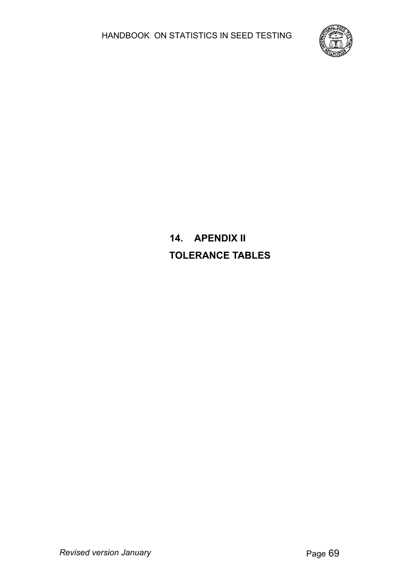

# **14. APENDIX II TOLERANCE TABLES**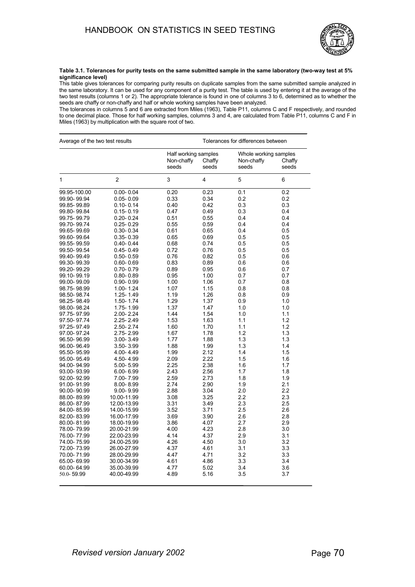

**Table 3.1. Tolerances for purity tests on the same submitted sample in the same laboratory (two-way test at 5% significance level)**

This table gives tolerances for comparing purity results on duplicate samples from the same submitted sample analyzed in the same laboratory. It can be used for any component of a purity test. The table is used by entering it at the average of the two test results (columns 1 or 2). The appropriate tolerance is found in one of columns 3 to 6, determined as to whether the seeds are chaffy or non-chaffy and half or whole working samples have been analyzed.

The tolerances in columns 5 and 6 are extracted from Miles (1963), Table P11, columns C and F respectively, and rounded to one decimal place. Those for half working samples, columns 3 and 4, are calculated from Table P11, columns C and F in Miles (1963) by multiplication with the square root of two.

| Average of the two test results |               |                     | Tolerances for differences between      |                     |                                          |  |  |  |
|---------------------------------|---------------|---------------------|-----------------------------------------|---------------------|------------------------------------------|--|--|--|
|                                 |               | Non-chaffy<br>seeds | Half working samples<br>Chaffy<br>seeds | Non-chaffy<br>seeds | Whole working samples<br>Chaffy<br>seeds |  |  |  |
| $\mathbf{1}$                    | 2             | 3                   | 4                                       | 5                   | 6                                        |  |  |  |
| 99.95-100.00                    | $0.00 - 0.04$ | 0.20                | 0.23                                    | 0.1                 | 0.2                                      |  |  |  |
| 99.90-99.94                     | $0.05 - 0.09$ | 0.33                | 0.34                                    | 0.2                 | 0.2                                      |  |  |  |
| 99.85-99.89                     | $0.10 - 0.14$ | 0.40                | 0.42                                    | 0.3                 | 0.3                                      |  |  |  |
| 99.80-99.84                     | $0.15 - 0.19$ | 0.47                | 0.49                                    | 0.3                 | 0.4                                      |  |  |  |
| 99.75-99.79                     | $0.20 - 0.24$ | 0.51                | 0.55                                    | 0.4                 | 0.4                                      |  |  |  |
| 99.70-99.74                     | $0.25 - 0.29$ | 0.55                | 0.59                                    | 0.4                 | 0.4                                      |  |  |  |
| 99.65-99.69                     | $0.30 - 0.34$ | 0.61                | 0.65                                    | 0.4                 | 0.5                                      |  |  |  |
| 99.60-99.64                     | $0.35 - 0.39$ | 0.65                | 0.69                                    | 0.5                 | 0.5                                      |  |  |  |
| 99.55-99.59                     | $0.40 - 0.44$ | 0.68                | 0.74                                    | 0.5                 | 0.5                                      |  |  |  |
| 99.50-99.54                     | $0.45 - 0.49$ | 0.72                | 0.76                                    | 0.5                 | 0.5                                      |  |  |  |
| 99.40-99.49                     | $0.50 - 0.59$ | 0.76                | 0.82                                    | 0.5                 | 0.6                                      |  |  |  |
| 99.30-99.39                     | $0.60 - 0.69$ | 0.83                | 0.89                                    | 0.6                 | 0.6                                      |  |  |  |
| 99.20-99.29                     | $0.70 - 0.79$ | 0.89                | 0.95                                    | 0.6                 | 0.7                                      |  |  |  |
| 99.10-99.19                     | $0.80 - 0.89$ | 0.95                | 1.00                                    | 0.7                 | 0.7                                      |  |  |  |
| 99.00-99.09                     | $0.90 - 0.99$ | 1.00                | 1.06                                    | 0.7                 | 0.8                                      |  |  |  |
| 98.75-98.99                     | 1.00-1.24     | 1.07                | 1.15                                    | 0.8                 | 0.8                                      |  |  |  |
| 98.50-98.74                     | 1.25-1.49     | 1.19                | 1.26                                    | 0.8                 | 0.9                                      |  |  |  |
| 98.25-98.49                     | 1.50-1.74     | 1.29                | 1.37                                    | 0.9                 | 1.0                                      |  |  |  |
| 98.00-98.24                     | 1.75-1.99     | 1.37                | 1.47                                    | 1.0                 | 1.0                                      |  |  |  |
| 97.75-97.99                     | 2.00-2.24     | 1.44                | 1.54                                    | 1.0                 | 1.1                                      |  |  |  |
| 97.50-97.74                     | 2.25-2.49     | 1.53                | 1.63                                    | 1.1                 | 1.2                                      |  |  |  |
| 97.25-97.49                     | 2.50-2.74     | 1.60                | 1.70                                    | 1.1                 | 1.2                                      |  |  |  |
| 97.00-97.24                     | 2.75-2.99     | 1.67                | 1.78                                    | 1.2                 | 1.3                                      |  |  |  |
| 96.50-96.99                     | 3.00-3.49     | 1.77                | 1.88                                    | 1.3                 | 1.3                                      |  |  |  |
| 96.00-96.49                     | 3.50-3.99     | 1.88                | 1.99                                    | 1.3                 | 1.4                                      |  |  |  |
| 95.50-95.99                     | 4.00-4.49     | 1.99                | 2.12                                    | 1.4                 | 1.5                                      |  |  |  |
| 95.00-95.49                     | 4.50-4.99     | 2.09                | 2.22                                    | 1.5                 | 1.6                                      |  |  |  |
| 94.00-94.99                     | 5.00-5.99     | 2.25                | 2.38                                    | 1.6                 | 1.7                                      |  |  |  |
| 93.00-93.99                     | 6.00-6.99     | 2.43                | 2.56                                    | 1.7                 | 1.8                                      |  |  |  |
| 92.00-92.99                     | 7.00-7.99     | 2.59                | 2.73                                    | 1.8                 | 1.9                                      |  |  |  |
| 91.00-91.99                     | $8.00 - 8.99$ | 2.74                | 2.90                                    | 1.9                 | 2.1                                      |  |  |  |
| 90.00-90.99                     | $9.00 - 9.99$ | 2.88                | 3.04                                    | 2.0                 | 2.2                                      |  |  |  |
| 88.00-89.99                     | 10.00-11.99   | 3.08                | 3.25                                    | 2.2                 | 2.3                                      |  |  |  |
| 86.00-87.99                     | 12.00-13.99   | 3.31                | 3.49                                    | 2.3                 | 2.5                                      |  |  |  |
| 84.00-85.99                     | 14.00-15.99   | 3.52                | 3.71                                    | 2.5                 | 2.6                                      |  |  |  |
| 82.00-83.99                     | 16.00-17.99   | 3.69                | 3.90                                    | 2.6                 | 2.8                                      |  |  |  |
| 80.00-81.99                     | 18.00-19.99   | 3.86                | 4.07                                    | 2.7                 | 2.9                                      |  |  |  |
| 78.00-79.99                     | 20.00-21.99   | 4.00                | 4.23                                    | 2.8                 | 3.0                                      |  |  |  |
| 76.00-77.99                     | 22.00-23.99   | 4.14                | 4.37                                    | 2.9                 | 3.1                                      |  |  |  |
| 74.00-75.99                     | 24.00-25.99   | 4.26                | 4.50                                    | 3.0                 | 3.2                                      |  |  |  |
| 72.00-73.99                     | 26.00-27.99   | 4.37                | 4.61                                    | 3.1                 | 3.3                                      |  |  |  |
| 70.00-71.99                     | 28.00-29.99   | 4.47                | 4.71                                    | 3.2                 | 3.3                                      |  |  |  |
| 65.00-69.99                     | 30.00-34.99   | 4.61                | 4.86                                    | 3.3                 | 3.4                                      |  |  |  |
| 60.00-64.99                     | 35.00-39.99   |                     | 5.02                                    | 3.4                 | 3.6                                      |  |  |  |
|                                 |               |                     |                                         |                     |                                          |  |  |  |
| 50.0-59.99                      | 40.00-49.99   | 4.77<br>4.89        | 5.16                                    | 3.5                 | 3.7                                      |  |  |  |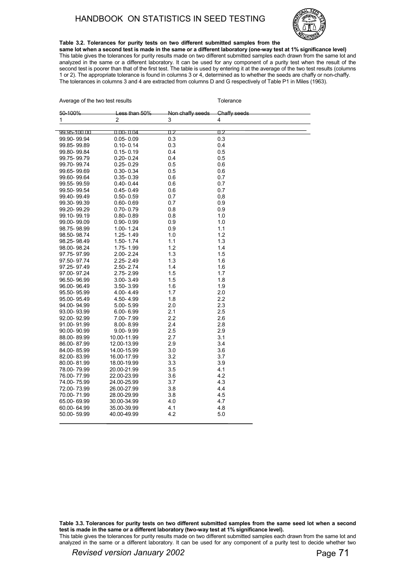#### HANDBOOK ON STATISTICS IN SEED TESTING

 $\mathbf{A}$  are two test results Tolerance test results Tolerance test results Tolerance test results Tolerance test results Tolerance test results Tolerance test results Tolerance test results Tolerance test results Toleran



**Table 3.2. Tolerances for purity tests on two different submitted samples from the same lot when a second test is made in the same or a different laboratory (one-way test at 1% significance level)**

This table gives the tolerances for purity results made on two different submitted samples each drawn from the same lot and analyzed in the same or a different laboratory. It can be used for any component of a purity test when the result of the second test is poorer than that of the first test. The table is used by entering it at the average of the two test results (columns 1 or 2). The appropriate tolerance is found in columns 3 or 4, determined as to whether the seeds are chaffy or non-chaffy. The tolerances in columns 3 and 4 are extracted from columns D and G respectively of Table P1 in Miles (1963).

| Average or the two test results |               |                  | <b>TOIERANCE</b> |
|---------------------------------|---------------|------------------|------------------|
| 50-100%                         | Less than 50% | Non chaffy seeds | Chaffy seeds     |
| 1                               | 2             | 3                | 4                |
|                                 |               |                  |                  |
| 99.95-100.00                    | $0.00 - 0.04$ | 0.2              | 0.2              |
| 99.90-99.94                     | $0.05 - 0.09$ | 0.3              | 0.3              |
| 99.85-99.89                     | $0.10 - 0.14$ | 0.3              | 0.4              |
| 99.80-99.84                     | $0.15 - 0.19$ | 0.4              | 0.5              |
| 99.75-99.79                     | $0.20 - 0.24$ | 0.4              | 0.5              |
| 99.70-99.74                     | $0.25 - 0.29$ | 0.5              | 0.6              |
| 99.65-99.69                     | $0.30 - 0.34$ | 0.5              | 0.6              |
| 99.60-99.64                     | $0.35 - 0.39$ | 0.6              | 0.7              |
| 99.55-99.59                     | $0.40 - 0.44$ | 0.6              | 0.7              |
| 99.50-99.54                     | $0.45 - 0.49$ | 0.6              | 0.7              |
| 99.40-99.49                     | $0.50 - 0.59$ | 0.7              | 0,8              |
| 99.30-99.39                     | $0.60 - 0.69$ | 0.7              | 0.9              |
| 99.20-99.29                     | $0.70 - 0.79$ | 0.8              | 0.9              |
| 99.10-99.19                     | $0.80 - 0.89$ | 0.8              | 1.0              |
| 99.00-99.09                     | $0.90 - 0.99$ | 0.9              | 1.0              |
| 98.75-98.99                     | 1.00-1.24     | 0.9              | 1.1              |
| 98.50-98.74                     | 1.25-1.49     | 1.0              | 1.2              |
| 98.25-98.49                     | 1.50-1.74     | 1.1              | 1.3              |
| 98.00-98.24                     | 1.75-1.99     | 1.2              | 1.4              |
| 97.75-97.99                     | 2.00-2.24     | 1.3              | 1.5              |
| 97.50-97.74                     | 2.25-2.49     | 1.3              | 1.6              |
| 97.25-97.49                     | 2.50-2.74     | 1.4              | 1.6              |
| 97.00-97.24                     | 2.75-2.99     | 1.5              | 1.7              |
| 96.50-96.99                     | 3.00-3.49     | 1.5              | 1.8              |
| 96.00-96.49                     | 3.50-3.99     | 1.6              | 1.9              |
| 95.50-95.99                     | 4.00-4.49     | 1.7              | 2.0              |
| 95.00-95.49                     | 4.50-4.99     | 1.8              | 2.2              |
| 94.00-94.99                     | 5.00-5.99     | 2.0              | 2.3              |
| 93.00-93.99                     | $6.00 - 6.99$ | 2.1              | 2.5              |
| 92.00-92.99                     | 7.00-7.99     | 2.2              | 2.6              |
| 91.00-91.99                     | $8.00 - 8.99$ | 2.4              | 2.8              |
|                                 |               | 2.5              | 2.9              |
| 90.00-90.99                     | 9.00-9.99     |                  | 3.1              |
| 88.00-89.99                     | 10 00-11 99   | 2.7              | 3.4              |
| 86.00-87.99                     | 12.00-13.99   | 2.9              |                  |
| 84.00-85.99                     | 14 00-15 99   | 3.0              | 3.6              |
| 82.00-83.99                     | 16.00-17.99   | 3.2              | 3.7              |
| 80.00-81.99                     | 18.00-19.99   | 3.3              | 3.9              |
| 78.00-79.99                     | 20.00-21.99   | 3.5              | 4.1              |
| 76.00-77.99                     | 22.00-23.99   | 3.6              | 4.2              |
| 74.00-75.99                     | 24.00-25.99   | 3.7              | 4.3              |
| 72.00-73.99                     | 26.00-27.99   | 3.8              | 4.4              |
| 70.00-71.99                     | 28.00-29.99   | 3.8              | 4.5              |
| 65.00-69.99                     | 30.00-34.99   | 4.0              | 4.7              |
| 60.00-64.99                     | 35 00-39 99   | 4.1              | 4.8              |
| 50.00-59.99                     | 40.00-49.99   | 4.2              | 5.0              |
|                                 |               |                  |                  |

**Table 3.3. Tolerances for purity tests on two different submitted samples from the same seed lot when a second test is made in the same or a different laboratory (two-way test at 1% significance level).**

This table gives the tolerances for purity results made on two different submitted samples each drawn from the same lot and analyzed in the same or a different laboratory. It can be used for any component of a purity test to decide whether two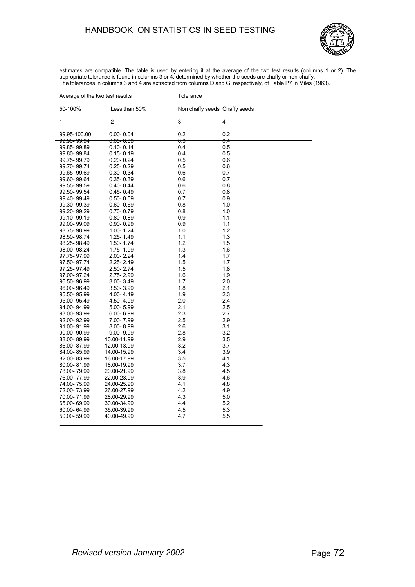#### HANDBOOK ON STATISTICS IN SEED TESTING



estimates are compatible. The table is used by entering it at the average of the two test results (columns 1 or 2). The appropriate tolerance is found in columns 3 or 4, determined by whether the seeds are chaffy or non-chaffy. The tolerances in columns 3 and 4 are extracted from columns D and G, respectively, of Table P7 in Miles (1963).

| Average of the two test results |                       | Tolerance      |                               |  |
|---------------------------------|-----------------------|----------------|-------------------------------|--|
| 50-100%                         | Less than 50%         |                | Non chaffy seeds Chaffy seeds |  |
| 1                               | $\overline{2}$        | $\overline{3}$ | 4                             |  |
| 99.95-100.00                    | $0.00 - 0.04$         | 0.2            | 0.2                           |  |
| <del>99.90- 99.94</del>         | <del>0.05- 0.09</del> | 0.3            | 0.4                           |  |
| 99.85-99.89                     | $0.10 - 0.14$         | 0.4            | 0.5                           |  |
| 99.80-99.84                     | 0.15-0.19             | 0.4            | 0.5                           |  |
| 99.75-99.79                     | 0.20-0.24             | 0.5            | 0.6                           |  |
| 99.70-99.74                     | $0.25 - 0.29$         | 0.5            | 0.6                           |  |
| 99.65-99.69                     | $0.30 - 0.34$         | 0.6            | 0.7                           |  |
| 99.60-99.64                     | $0.35 - 0.39$         | 0.6            | 0.7                           |  |
| 99.55-99.59                     | $0.40 - 0.44$         | 0.6            | 0.8                           |  |
| 99.50-99.54                     | $0.45 - 0.49$         | 0.7            | 0.8                           |  |
| 99.40-99.49                     | $0.50 - 0.59$         | 0.7            | 0.9                           |  |
| 99.30-99.39                     | $0.60 - 0.69$         | 0.8            | 1.0                           |  |
| 99.20-99.29                     | $0.70 - 0.79$         | 0.8            | 1.0                           |  |
| 99.10-99.19                     | $0.80 - 0.89$         | 0.9            | 1.1                           |  |
| 99.00-99.09                     | $0.90 - 0.99$         | 0.9            | 1.1                           |  |
| 98.75-98.99                     | 1.00-1.24             | 1.0            | 1.2                           |  |
| 98.50-98.74                     | 1.25-1.49             | 1.1            | 1.3                           |  |
| 98.25-98.49                     | 1.50-1.74             | 1.2            | 1.5                           |  |
| 98.00-98.24                     | 1.75-1.99             | 1.3            | 1.6                           |  |
| 97.75-97.99                     | 2.00-2.24             | 1.4            | 1.7                           |  |
| 97.50-97.74                     | 2.25-2.49             | 1.5            | 1.7                           |  |
| 97.25-97.49                     | $2.50 - 2.74$         | 1.5            | 1.8                           |  |
| 97.00-97.24                     | 2.75-2.99             | 1.6            | 1.9                           |  |
| 96.50-96.99                     | 3.00-3.49             | 1.7            | 2.0                           |  |
|                                 |                       | 1.8            | 2.1                           |  |
| 96.00-96.49                     | 3.50-3.99             | 1.9            | 2.3                           |  |
| 95.50-95.99                     | 4.00-4.49             |                |                               |  |
| 95.00-95.49                     | 4.50-4.99             | 2.0            | 2.4                           |  |
| 94.00-94.99                     | $5.00 - 5.99$         | 2.1            | 2.5                           |  |
| 93.00-93.99                     | $6.00 - 6.99$         | 2.3            | 2.7                           |  |
| 92.00-92.99                     | 7.00-7.99             | 2.5            | 2.9                           |  |
| 91.00-91.99                     | $8.00 - 8.99$         | 2.6            | 3.1                           |  |
| 90.00-90.99                     | $9.00 - 9.99$         | 2.8            | 3.2                           |  |
| 88.00-89.99                     | 10.00-11.99           | 2.9            | 3.5                           |  |
| 86.00-87.99                     | 12.00-13.99           | 3.2            | 3.7                           |  |
| 84.00-85.99                     | 14.00-15.99           | 3.4            | 3.9                           |  |
| 82.00-83.99                     | 16.00-17.99           | 3.5            | 4.1                           |  |
| 80.00-81.99                     | 18.00-19.99           | 3.7            | 4.3                           |  |
| 78.00-79.99                     | 20.00-21.99           | 3.8            | 4.5                           |  |
| 76.00-77.99                     | 22.00-23.99           | 3.9            | 4.6                           |  |
| 74.00-75.99                     | 24.00-25.99           | 4.1            | 4.8                           |  |
| 72.00-73.99                     | 26.00-27.99           | 4.2            | 4.9                           |  |
| 70.00-71.99                     | 28.00-29.99           | 4.3            | 5.0                           |  |
| 65.00-69.99                     | 30.00-34.99           | 4.4            | 5.2                           |  |
| 60.00-64.99                     | 35.00-39.99           | 4.5            | 5.3                           |  |
| 50.00-59.99                     | 40.00-49.99           | 4.7            | 5.5                           |  |
|                                 |                       |                |                               |  |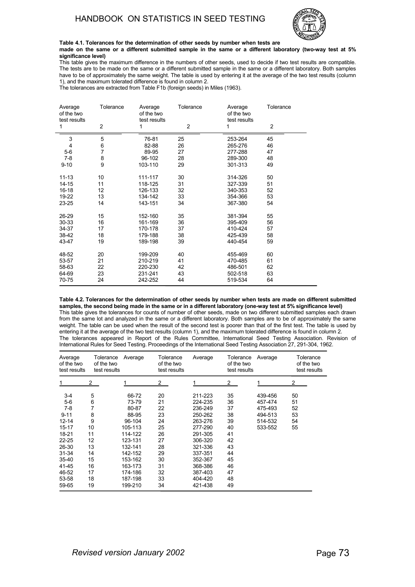

**Table 4.1. Tolerances for the determination of other seeds by number when tests are made on the same or a different submitted sample in the same or a different laboratory (two-way test at 5% significance level)**

This table gives the maximum difference in the numbers of other seeds, used to decide if two test results are compatible. The tests are to be made on the same or a different submitted sample in the same or a different laboratory. Both samples have to be of approximately the same weight. The table is used by entering it at the average of the two test results (column 1), and the maximum tolerated difference is found in column 2.

The tolerances are extracted from Table F1b (foreign seeds) in Miles (1963).

| Average<br>of the two<br>test results<br>1 | Tolerance<br>$\overline{2}$ | Average<br>of the two<br>test results<br>1 | Tolerance<br>$\overline{2}$ | Average<br>of the two<br>test results<br>1 | Tolerance<br>$\overline{2}$ |
|--------------------------------------------|-----------------------------|--------------------------------------------|-----------------------------|--------------------------------------------|-----------------------------|
|                                            |                             |                                            |                             |                                            |                             |
| 3                                          | 5                           | 76-81                                      | 25                          | 253-264                                    | 45                          |
| $\overline{4}$                             | 6                           | 82-88                                      | 26                          | 265-276                                    | 46                          |
| $5-6$                                      | 7                           | 89-95                                      | 27                          | 277-288                                    | 47                          |
| $7-8$                                      | 8                           | 96-102                                     | 28                          | 289-300                                    | 48                          |
| $9 - 10$                                   | 9                           | 103-110                                    | 29                          | 301-313                                    | 49                          |
|                                            |                             |                                            |                             |                                            |                             |
| $11 - 13$                                  | 10                          | 111-117                                    | 30                          | 314-326                                    | 50                          |
| $14 - 15$                                  | 11                          | 118-125                                    | 31                          | 327-339                                    | 51                          |
| 16-18                                      | 12                          | 126-133                                    | 32                          | 340-353                                    | 52                          |
| 19-22                                      | 13                          | 134-142                                    | 33                          | 354-366                                    | 53                          |
| 23-25                                      | 14                          | 143-151                                    | 34                          | 367-380                                    | 54                          |
|                                            |                             |                                            |                             |                                            |                             |
| 26-29                                      | 15                          | 152-160                                    | 35                          | 381-394                                    | 55                          |
| $30 - 33$                                  | 16                          | 161-169                                    | 36                          | 395-409                                    | 56                          |
| 34-37                                      | 17                          | 170-178                                    | 37                          | 410-424                                    | 57                          |
| 38-42                                      | 18                          | 179-188                                    | 38                          | 425-439                                    | 58                          |
| 43-47                                      | 19                          | 189-198                                    | 39                          | 440-454                                    | 59                          |
|                                            |                             |                                            |                             |                                            |                             |
| 48-52                                      | 20                          | 199-209                                    | 40                          | 455-469                                    | 60                          |
| 53-57                                      | 21                          | 210-219                                    | 41                          | 470-485                                    | 61                          |
| 58-63                                      | 22                          | 220-230                                    | 42                          | 486-501                                    | 62                          |
| 64-69                                      | 23                          | 231-241                                    | 43                          | 502-518                                    | 63                          |
| 70-75                                      | 24                          | 242-252                                    | 44                          | 519-534                                    | 64                          |

**Table 4.2. Tolerances for the determination of other seeds by number when tests are made on different submitted samples, the second being made in the same or in a different laboratory (one-way test at 5% significance level)** This table gives the tolerances for counts of number of other seeds, made on two different submitted samples each drawn from the same lot and analyzed in the same or a different laboratory. Both samples are to be of approximately the same weight. The table can be used when the result of the second test is poorer than that of the first test. The table is used by entering it at the average of the two test results (column 1), and the maximum tolerated difference is found in column 2. The tolerances appeared in Report of the Rules Committee, International Seed Testing Association. Revision of International Rules for Seed Testing. Proceedings of the International Seed Testing Association 27, 291-304, 1962.

| Average<br>of the two<br>test results                                                                                                                  | Tolerance<br>of the two<br>test results                                      | Average                                                                                                                                                  | Tolerance<br>of the two<br>test results                                                | Average                                                                                                                                                           | Tolerance<br>of the two<br>test results                                                | Average                                                        | Tolerance<br>of the two<br>test results |
|--------------------------------------------------------------------------------------------------------------------------------------------------------|------------------------------------------------------------------------------|----------------------------------------------------------------------------------------------------------------------------------------------------------|----------------------------------------------------------------------------------------|-------------------------------------------------------------------------------------------------------------------------------------------------------------------|----------------------------------------------------------------------------------------|----------------------------------------------------------------|-----------------------------------------|
| 1                                                                                                                                                      | $\mathbf{2}$                                                                 |                                                                                                                                                          | 2                                                                                      |                                                                                                                                                                   | $\mathbf{2}$                                                                           |                                                                | 2                                       |
| $3-4$<br>$5-6$<br>$7-8$<br>$9 - 11$<br>$12 - 14$<br>15-17<br>18-21<br>$22 - 25$<br>26-30<br>$31 - 34$<br>$35 - 40$<br>41-45<br>46-52<br>53-58<br>59-65 | 5<br>6<br>8<br>9<br>10<br>11<br>12<br>13<br>14<br>15<br>16<br>17<br>18<br>19 | 66-72<br>73-79<br>80-87<br>88-95<br>96-104<br>105-113<br>114-122<br>123-131<br>132-141<br>142-152<br>153-162<br>163-173<br>174-186<br>187-198<br>199-210 | 20<br>21<br>22<br>23<br>24<br>25<br>26<br>27<br>28<br>29<br>30<br>31<br>32<br>33<br>34 | 211-223<br>224-235<br>236-249<br>250-262<br>263-276<br>277-290<br>291-305<br>306-320<br>321-336<br>337-351<br>352-367<br>368-386<br>387-403<br>404-420<br>421-438 | 35<br>36<br>37<br>38<br>39<br>40<br>41<br>42<br>43<br>44<br>45<br>46<br>47<br>48<br>49 | 439-456<br>457-474<br>475-493<br>494-513<br>514-532<br>533-552 | 50<br>51<br>52<br>53<br>54<br>55        |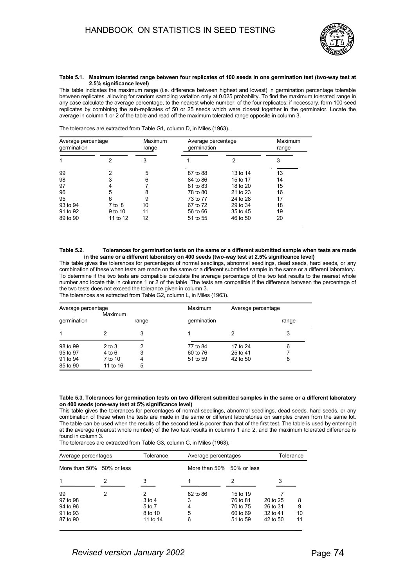

#### **Table 5.1. Maximum tolerated range between four replicates of 100 seeds in one germination test (two-way test at 2.5% significance level)**

This table indicates the maximum range (i.e. difference between highest and lowest) in germination percentage tolerable between replicates, allowing for random sampling variation only at 0.025 probability. To find the maximum tolerated range in any case calculate the average percentage, to the nearest whole number, of the four replicates: if necessary, form 100-seed replicates by combining the sub-replicates of 50 or 25 seeds which were closest together in the germinator. Locate the average in column 1 or 2 of the table and read off the maximum tolerated range opposite in column 3.

| The tolerances are extracted from Table G1, column D, in Miles (1963). |  |  |  |  |  |
|------------------------------------------------------------------------|--|--|--|--|--|
|------------------------------------------------------------------------|--|--|--|--|--|

| Average percentage<br>germination |            | Maximum<br>range | Average percentage<br>germination | Maximum<br>range |    |
|-----------------------------------|------------|------------------|-----------------------------------|------------------|----|
|                                   | 2          | 3                |                                   | 2                | 3  |
| 99                                |            | 5                | 87 to 88                          | 13 to 14         | 13 |
| 98                                |            | 6                | 84 to 86                          | 15 to 17         | 14 |
| 97                                |            |                  | 81 to 83                          | 18 to 20         | 15 |
| 96                                | 5          | 8                | 78 to 80                          | 21 to 23         | 16 |
| 95                                | 6          | 9                | 73 to 77                          | 24 to 28         | 17 |
| 93 to 94                          | $7$ to $8$ | 10               | 67 to 72                          | 29 to 34         | 18 |
| 91 to 92                          | 9 to 10    | 11               | 56 to 66                          | 35 to 45         | 19 |
| 89 to 90                          | 11 to 12   | 12               | 51 to 55                          | 46 to 50         | 20 |

#### **Table 5.2. Tolerances for germination tests on the same or a different submitted sample when tests are made in the same or a different laboratory on 400 seeds (two-way test at 2.5% significance level)**

This table gives the tolerances for percentages of normal seedlings, abnormal seedlings, dead seeds, hard seeds, or any combination of these when tests are made on the same or a different submitted sample in the same or a different laboratory. To determine if the two tests are compatible calculate the average percentage of the two test results to the nearest whole number and locate this in columns 1 or 2 of the table. The tests are compatible if the difference between the percentage of the two tests does not exceed the tolerance given in column 3.

| The tolerances are extracted from Table G2, column L, in Miles (1963). |  |
|------------------------------------------------------------------------|--|
|------------------------------------------------------------------------|--|

| Average percentage<br>Maximum |            |       | Maximum     | Average percentage |       |
|-------------------------------|------------|-------|-------------|--------------------|-------|
| germination                   |            | range | germination |                    | range |
| 1                             |            | 3     |             |                    | 3     |
| 98 to 99                      | $2$ to $3$ | 2     | 77 to 84    | 17 to 24           | 6     |
| 95 to 97                      | 4 to 6     | 3     | 60 to 76    | 25 to 41           |       |
| 91 to 94                      | 7 to 10    | 4     | 51 to 59    | 42 to 50           | 8     |
| 85 to 90                      | 11 to 16   | 5     |             |                    |       |

#### **Table 5.3. Tolerances for germination tests on two different submitted samples in the same or a different laboratory on 400 seeds (one-way test at 5% significance level)**

This table gives the tolerances for percentages of normal seedlings, abnormal seedlings, dead seeds, hard seeds, or any combination of these when the tests are made in the same or different laboratories on samples drawn from the same lot. The table can be used when the results of the second test is poorer than that of the first test. The table is used by entering it at the average (nearest whole number) of the two test results in columns 1 and 2, and the maximum tolerated difference is found in column 3.

The tolerances are extracted from Table G3, column C, in Miles (1963).

| Average percentages<br>More than $50\%$ 50% or less |   | Tolerance | Average percentages          |          | Tolerance |    |
|-----------------------------------------------------|---|-----------|------------------------------|----------|-----------|----|
|                                                     |   |           | More than $50\%$ 50% or less |          |           |    |
| 1                                                   |   | 3         |                              | 2        | 3         |    |
| 99                                                  | 2 | 2         | 82 to 86                     | 15 to 19 |           |    |
| 97 to 98                                            |   | $3$ to 4  | 3                            | 76 to 81 | 20 to 25  | 8  |
| 94 to 96                                            |   | 5 to 7    | 4                            | 70 to 75 | 26 to 31  | 9  |
| 91 to 93                                            |   | 8 to 10   | 5                            | 60 to 69 | 32 to 41  | 10 |
| 87 to 90                                            |   | 11 to 14  | 6                            | 51 to 59 | 42 to 50  | 11 |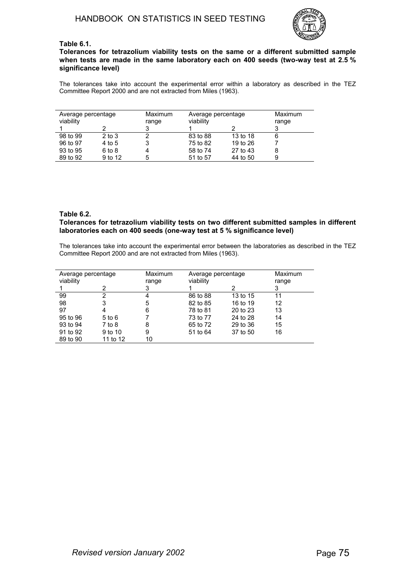

# **Table 6.1.**

**Tolerances for tetrazolium viability tests on the same or a different submitted sample when tests are made in the same laboratory each on 400 seeds (two-way test at 2.5 % significance level)**

The tolerances take into account the experimental error within a laboratory as described in the TEZ Committee Report 2000 and are not extracted from Miles (1963).

| Average percentage<br>viability |            | Maximum<br>range | Average percentage<br>viability |          | Maximum<br>range |
|---------------------------------|------------|------------------|---------------------------------|----------|------------------|
|                                 |            |                  |                                 |          |                  |
| 98 to 99                        | $2$ to $3$ |                  | 83 to 88                        | 13 to 18 | 6                |
| 96 to 97                        | 4 to 5     |                  | 75 to 82                        | 19 to 26 |                  |
| 93 to 95                        | 6 to 8     | 4                | 58 to 74                        | 27 to 43 | 8                |
| 89 to 92                        | 9 to 12    | 5                | 51 to 57                        | 44 to 50 | 9                |

## **Table 6.2.**

# **Tolerances for tetrazolium viability tests on two different submitted samples in different laboratories each on 400 seeds (one-way test at 5 % significance level)**

The tolerances take into account the experimental error between the laboratories as described in the TEZ Committee Report 2000 and are not extracted from Miles (1963).

| Average percentage |            | Maximum | Average percentage |          | Maximum |
|--------------------|------------|---------|--------------------|----------|---------|
| viability          |            | range   | viability          |          | range   |
|                    | 2          | 3       |                    |          | 3       |
| 99                 | 2          |         | 86 to 88           | 13 to 15 | 11      |
| 98                 | 3          | 5       | 82 to 85           | 16 to 19 | 12      |
| 97                 | 4          | 6       | 78 to 81           | 20 to 23 | 13      |
| 95 to 96           | $5$ to $6$ |         | 73 to 77           | 24 to 28 | 14      |
| 93 to 94           | 7 to 8     | 8       | 65 to 72           | 29 to 36 | 15      |
| 91 to 92           | 9 to 10    | 9       | 51 to 64           | 37 to 50 | 16      |
| 89 to 90           | 11 to 12   | 10      |                    |          |         |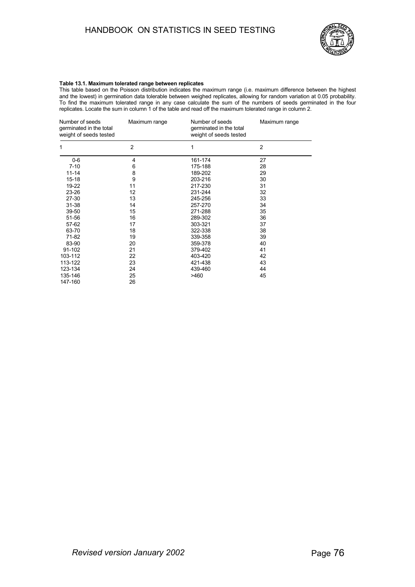# HANDBOOK ON STATISTICS IN SEED TESTING



### **Table 13.1. Maximum tolerated range between replicates**

This table based on the Poisson distribution indicates the maximum range (i.e. maximum difference between the highest and the lowest) in germination data tolerable between weighed replicates, allowing for random variation at 0.05 probability. To find the maximum tolerated range in any case calculate the sum of the numbers of seeds germinated in the four replicates. Locate the sum in column 1 of the table and read off the maximum tolerated range in column 2.

| Number of seeds<br>germinated in the total<br>weight of seeds tested | Maximum range     | Number of seeds<br>germinated in the total<br>weight of seeds tested | Maximum range  |
|----------------------------------------------------------------------|-------------------|----------------------------------------------------------------------|----------------|
| 1                                                                    | $\overline{2}$    | 1                                                                    | $\overline{2}$ |
| $0-6$                                                                | 4                 | 161-174                                                              | 27             |
| $7 - 10$                                                             | 6                 | 175-188                                                              | 28             |
| $11 - 14$                                                            | 8                 | 189-202                                                              | 29             |
| $15 - 18$                                                            | 9                 | 203-216                                                              | 30             |
| 19-22                                                                | 11                | 217-230                                                              | 31             |
| 23-26                                                                | $12 \overline{ }$ | 231-244                                                              | 32             |
| 27-30                                                                | 13                | 245-256                                                              | 33             |
| $31 - 38$                                                            | 14                | 257-270                                                              | 34             |
| 39-50                                                                | 15                | 271-288                                                              | 35             |
| 51-56                                                                | 16                | 289-302                                                              | 36             |
| 57-62                                                                | 17                | 303-321                                                              | 37             |
| 63-70                                                                | 18                | 322-338                                                              | 38             |
| 71-82                                                                | 19                | 339-358                                                              | 39             |
| 83-90                                                                | 20                | 359-378                                                              | 40             |
| 91-102                                                               | 21                | 379-402                                                              | 41             |
| 103-112                                                              | 22                | 403-420                                                              | 42             |
| 113-122                                                              | 23                | 421-438                                                              | 43             |
| 123-134                                                              | 24                | 439-460                                                              | 44             |
| 135-146                                                              | 25                | >460                                                                 | 45             |
| 147-160                                                              | 26                |                                                                      |                |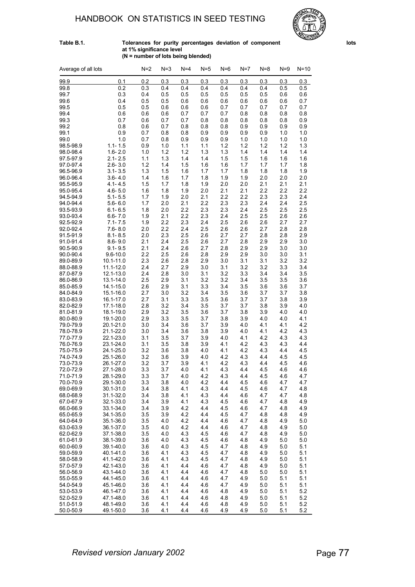# HANDBOOK ON STATISTICS IN SEED TESTING



#### **Table B.1. Tolerances for purity percentages deviation of component lots at 1% significance level (N = number of lots being blended)**

| Average of all lots    |                            | $N=2$      | $N = 3$    | $N=4$      | $N=5$      | $N=6$      | $N=7$      | $N=8$      | $N=9$      | $N = 10$   |
|------------------------|----------------------------|------------|------------|------------|------------|------------|------------|------------|------------|------------|
| 99.9                   | 0.1                        | 0.2        | 0.3        | 0.3        | 0.3        | 0.3        | 0.3        | 0.3        | 0.3        | 0.3        |
| 99.8                   | 0.2                        | 0.3        | 0.4        | 0.4        | 0.4        | 0.4        | 0.4        | 0.4        | 0.5        | 0.5        |
| 99.7                   | 0.3                        | 0.4        | 0.5        | 0.5        | 0.5        | 0.5        | 0.5        | 0.5        | 0.6        | 0.6        |
| 99.6                   | 0.4                        | 0.5        | 0.5        | 0.6        | 0.6        | 0.6        | 0.6        | 0.6        | 0.6        | 0.7        |
| 99.5                   | 0.5                        | 0.5        | 0.6        | 0.6        | 0.6        | 0.7        | 0.7        | 0.7        | 0.7        | 0.7        |
| 99.4                   | 0.6                        | 0.6        | 0.6        | 0.7        | 0.7        | 0.7        | 0.8        | 0.8        | 0.8        | 0.8        |
| 99.3                   | 0.7                        | 0.6        | 0.7        | 0.7        | 0.8        | 0.8        | 0.8        | 0.8        | 0.8        | 0.9        |
| 99.2                   | 0.8                        | 0.6        | 0.7        | 0.8        | 0.8        | 0.8        | 0.9        | 0.9        | 0.9        | 0.9        |
| 99.1                   | 0.9                        | 0.7        | 0.8        | 0.8        | 0.9        | 0.9        | 0.9        | 0.9        | 1.0        | 1.0        |
| 99.0                   | 1.0                        | 0.7        | 0.8        | 0.9        | 0.9        | 0.9        | 1.0        | 1.0        | 1.0        | 1.0        |
| 98.5-98.9              | $1.1 - 1.5$                | 0.9        | 1.0        | 1.1        | 1.1        | 1.2        | 1.2        | 1.2        | 1.2        | 1.3        |
| 98.0-98.4              | $1.6 - 2.0$                | 1.0        | 1.2        | 1.2        | 1.3        | 1.3        | 1.4        | 1.4        | 1.4        | 1.4        |
| 97.5-97.9              | $2.1 - 2.5$                | 1.1        | 1.3        | 1.4        | 1.4        | 1.5        | 1.5        | 1.6        | 1.6        | 1.6        |
| 97.0-97.4              | $2.6 - 3.0$                | 1.2        | 1.4        | 1.5        | 1.6        | 1.6        | 1.7        | 1.7        | 1.7        | 1.8        |
| 96.5-96.9              | $3.1 - 3.5$                | 1.3        | 1.5        | 1.6        | 1.7        | 1.7        | 1.8        | 1.8        | 1.8        | 1.9        |
| 96.0-96.4              | $3.6 - 4.0$                | 1.4        | 1.6        | 1.7        | 1.8        | 1.9        | 1.9        | 2.0        | 2.0        | 2.0        |
| 95.5-95.9<br>95.0-95.4 | $4.1 - 4.5$<br>$4.6 - 5.0$ | 1.5<br>1.6 | 1.7<br>1.8 | 1.8<br>1.9 | 1.9<br>2.0 | 2.0<br>2.1 | 2.0<br>2.1 | 2.1<br>2.2 | 2.1<br>2.2 | 2.1<br>2.2 |
| 94.5-94.9              | $5.1 - 5.5$                | 1.7        | 1.9        | 2.0        | 2.1        | 2.2        | 2.2        | 2.3        | 2.3        | 2.4        |
| 94.0-94.4              | $5.6 - 6.0$                | 1.7        | 2.0        | 2.1        | 2.2        | 2.3        | 2.3        | 2.4        | 2.4        | 2.5        |
| 93.5-93.9              | $6.1 - 6.5$                | 1.8        | 2.0        | 2.2        | 2.3        | 2.3        | 2.4        | 2.5        | 2.5        | 2.5        |
| 93.0-93.4              | $6.6 - 7.0$                | 1.9        | 2.1        | 2.2        | 2.3        | 2.4        | 2.5        | 2.5        | 2.6        | 2.6        |
| 92.5-92.9              | $7.1 - 7.5$                | 1.9        | 2.2        | 2.3        | 2.4        | 2.5        | 2.6        | 2.6        | 2.7        | 2.7        |
| 92.0-92.4              | $7.6 - 8.0$                | 2.0        | 2.2        | 2.4        | 2.5        | 2.6        | 2.6        | 2.7        | 2.8        | 2.8        |
| 91.5-91.9              | $8.1 - 8.5$                | 2.0        | 2.3        | 2.5        | 2.6        | 2.7        | 2.7        | 2.8        | 2.8        | 2.9        |
| 91.0-91.4              | $8.6 - 9.0$                | 2.1        | 2.4        | 2.5        | 2.6        | 2.7        | 2.8        | 2.9        | 2.9        | 3.0        |
| 90.5-90.9              | $9.1 - 9.5$                | 2.1        | 2.4        | 2.6        | 2.7        | 2.8        | 2.9        | 2.9        | 3.0        | 3.0        |
| 90.0-90.4              | $9.6 - 10.0$               | 2.2        | 2.5        | 2.6        | 2.8        | 2.9        | 2.9        | 3.0        | 3.0        | 3.1        |
| 89.0-89.9              | 10.1-11.0                  | 2.3        | 2.6        | 2.8        | 2.9        | 3.0        | 3.1        | 3.1        | 3.2        | 3.2        |
| 88.0-88.9              | 11.1-12.0                  | 2.4        | 2.7        | 2.9        | 3.0        | 3.1        | 3.2        | 3.2        | 3.3        | 3.4        |
| 87.0-87.9              | 12.1-13.0                  | 2.4        | 2.8        | 3.0        | 3.1        | 3.2        | 3.3        | 3.4        | 3.4        | 3.5        |
| 86.0-86.9<br>85.0-85.9 | 13.1-14.0<br>14.1-15.0     | 2.5<br>2.6 | 2.9<br>2.9 | 3.1<br>3.1 | 3.2<br>3.3 | 3.2<br>3.4 | 3.4<br>3.5 | 3.5<br>3.6 | 3.5<br>3.6 | 3.6<br>3.7 |
| 84.0-84.9              | 15.1-16.0                  | 2.7        | 3.0        | 3.2        | 3.4        | 3.5        | 3.6        | 3.7        | 3.7        | 3.8        |
| 83.0-83.9              | 16.1-17.0                  | 2.7        | 3.1        | 3.3        | 3.5        | 3.6        | 3.7        | 3.7        | 3.8        | 3.9        |
| 82.0-82.9              | 17.1-18.0                  | 2.8        | 3.2        | 3.4        | 3.5        | 3.7        | 3.7        | 3.8        | 3.9        | 4.0        |
| 81.0-81.9              | 18.1-19.0                  | 2.9        | 3.2        | 3.5        | 3.6        | 3.7        | 3.8        | 3.9        | 4.0        | 4.0        |
| 80.0-80.9              | 19.1-20.0                  | 2.9        | 3.3        | 3.5        | 3.7        | 3.8        | 3.9        | 4.0        | 4.0        | 4.1        |
| 79.0-79.9              | 20.1-21.0                  | 3.0        | 3.4        | 3.6        | 3.7        | 3.9        | 4.0        | 4.1        | 4.1        | 4.2        |
| 78.0-78.9              | 21.1-22.0                  | 3.0        | 3.4        | 3.6        | 3.8        | 3.9        | 4.0        | 4.1        | 4.2        | 4.3        |
| 77.0-77.9              | 22.1-23.0                  | 3.1        | 3.5        | 3.7        | 3.9        | 4.0        | 4.1        | 4.2        | 4.3        | 4.3        |
| 76.0-76.9              | 23.1-24.0                  | 3.1        | 3.5        | 3.8        | 3.9        | 4.1        | 4.2        | 4.3        | 4.3        | 4.4        |
| 75.0-75.9              | 24.1-25.0                  | 3.2        | 3.6        | 3.8        | 4.0        | 4.1        | 4.2        | 4.3        | 4.4        | 45         |
| 74 0-74 9              | 25.1-26.0<br>26.1-27.0     | 3.2        | 3.6        | 3.9        | 4.0        | 4.2        | 4.3        | 4.4        | 4.5        | 45         |
| 73.0-73.9<br>72.0-72.9 | 27.1-28.0                  | 3.2<br>3.3 | 3.7<br>3.7 | 3.9<br>4.0 | 4.1<br>4.1 | 4.2<br>4.3 | 4.3<br>4.4 | 4.4<br>45  | 4.5<br>4.6 | 4.6<br>4.6 |
| 71.0-71.9              | 28.1-29.0                  | 3.3        | 3.7        | 4.0        | 4.2        | 4.3        | 4.4        | 4.5        | 4.6        | 4.7        |
| 70.0-70.9              | 29.1-30.0                  | 3.3        | 3.8        | 4.0        | 4.2        | 4.4        | 4.5        | 4.6        | 4.7        | 4.7        |
| 69.0-69.9              | 30.1-31.0                  | 3.4        | 3.8        | 4.1        | 4.3        | 4.4        | 4.5        | 4.6        | 4.7        | 4.8        |
| 68.0-68.9              | 31.1-32.0                  | 3.4        | 3.8        | 4.1        | 4.3        | 4.4        | 4.6        | 4.7        | 4.7        | 4.8        |
| 67.0-67.9              | 32.1-33.0                  | 3.4        | 3.9        | 4.1        | 4.3        | 45         | 4.6        | 4.7        | 4.8        | 4.9        |
| 66.0-66.9              | 33.1-34.0                  | 3.4        | 3.9        | 4.2        | 4.4        | 4.5        | 4.6        | 4.7        | 4.8        | 4.9        |
| 65.0-65.9              | 34.1-35.0                  | 3.5        | 3.9        | 4.2        | 4.4        | 4.5        | 4.7        | 4.8        | 4.8        | 4.9        |
| 64.0-64.9              | 35.1-36.0                  | 3.5        | 4.0        | 4.2        | 4.4        | 4.6        | 4.7        | 4.8        | 4.9        | 5.0        |
| 63.0-63.9              | 36.1-37.0                  | 3.5        | 4.0        | 4.2        | 4.4        | 4.6        | 4.7        | 4.8        | 4.9        | 5.0        |
| 62.0-62.9              | 37.1-38.0                  | 3.5        | 4.0        | 4.3        | 4.5        | 4.6        | 4.7        | 4.8        | 4.9        | 5.0        |
| 61.0-61.9              | 38.1-39.0                  | 3.6        | 4.0        | 4.3        | 4.5        | 4.6        | 4.8        | 4.9        | 5.0        | 5.0        |
| 60.0-60.9<br>59.0-59.9 | 39.1-40.0<br>40.1-41.0     | 3.6        | 4.0<br>4.1 | 4.3<br>4.3 | 4.5<br>45  | 4.7<br>4.7 | 4.8<br>4.8 | 4.9        | 5.0        | 5.1<br>5.1 |
| 58.0-58.9              | 41.1-42.0                  | 3.6<br>3.6 | 4.1        | 4.3        | 45         | 4.7        | 4.8        | 4.9<br>4.9 | 5.0<br>5.0 | 5.1        |
| 57.0-57.9              | 42.1-43.0                  | 3.6        | 4.1        | 4.4        | 4.6        | 4.7        | 4.8        | 4.9        | 5.0        | 5.1        |
| 56.0-56.9              | 43.1-44.0                  | 3.6        | 4.1        | 4.4        | 4.6        | 4.7        | 4.8        | 5.0        | 5.0        | 5.1        |
| 55.0-55.9              | 44.1-45.0                  | 3.6        | 4.1        | 4.4        | 4.6        | 4.7        | 4.9        | 5.0        | 5.1        | 5.1        |
| 54.0-54.9              | 45.1-46.0                  | 3.6        | 4.1        | 4.4        | 4.6        | 4.7        | 4.9        | 5.0        | 5.1        | 5.1        |
| 53.0-53.9              | 46.1-47.0                  | 3.6        | 4.1        | 4.4        | 4.6        | 4.8        | 4.9        | 5.0        | 5.1        | 5.2        |
| 52.0-52.9              | 47.1-48.0                  | 3.6        | 4.1        | 4.4        | 4.6        | 4.8        | 4.9        | 5.0        | 5.1        | 5.2        |
| 51.0-51.9              | 48.1-49.0                  | 3.6        | 4.1        | 4.4        | 4.6        | 4.8        | 4.9        | 5.0        | 5.1        | 5.2        |
| 50.0-50.9              | 49.1-50.0                  | 3.6        | 4.1        | 4.4        | 4.6        | 4.9        | 4.9        | 5.0        | 5.1        | 5.2        |

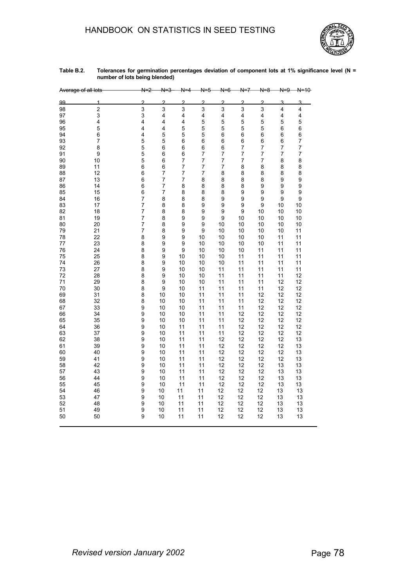

| Table B.2. | Tolerances for germination percentages deviation of component lots at 1% significance level (N = |
|------------|--------------------------------------------------------------------------------------------------|
|            | number of lots being blended)                                                                    |

|    | Average of all lots | N<br>2                  | N              |                         | N.<br>-5                 | N-<br>-6       | N=7            | Ν.<br>-8 | $N=9$          | $N = 10$       |
|----|---------------------|-------------------------|----------------|-------------------------|--------------------------|----------------|----------------|----------|----------------|----------------|
| 99 | 1                   | $\overline{c}$          | $\overline{2}$ | $\overline{2}$          | $\mathcal{P}$            | $\mathcal{P}$  | $\mathcal{P}$  | 2        | 3              | 3              |
| 98 | $\overline{c}$      | 3                       | 3              | 3                       | 3                        | 3              | 3              | 3        | 4              | 4              |
| 97 | 3                   | $\overline{3}$          | 4              | $\overline{\mathbf{4}}$ | $\overline{\mathbf{4}}$  | 4              | 4              | 4        | 4              | 4              |
| 96 | 4                   | $\overline{\mathbf{4}}$ | 4              | $\overline{\mathbf{4}}$ | 5                        | 5              | 5              | 5        | 5              | 5              |
| 95 | 5                   | 4                       | 4              | 5                       | 5                        | 5              | 5              | 5        | 6              | 6              |
| 94 | 6                   | 4                       | 5              | 5                       | 5                        | 6              | 6              | 6        | 6              | 6              |
| 93 | 7                   | 5                       | 5              | 6                       | 6                        | 6              | 6              | 6        | 6              | $\overline{7}$ |
| 92 | 8                   | 5                       | 6              | 6                       | 6                        | 6              | 7              | 7        | 7              | $\overline{7}$ |
| 91 | 9                   | 5                       | 6              | 6                       | $\overline{7}$           | 7              | $\overline{7}$ | 7        | $\overline{7}$ | $\overline{7}$ |
| 90 | 10                  | 5                       | 6              | $\overline{7}$          | $\overline{7}$           | 7              | 7              | 7        | 8              | 8              |
| 89 | 11                  | 6                       | 6              | $\overline{7}$          | $\overline{7}$           | $\overline{7}$ | 8              | 8        | 8              | 8              |
| 88 | 12                  | 6                       | $\overline{7}$ | $\overline{7}$          | $\overline{\mathcal{I}}$ | 8              | 8              | 8        | 8              | 8              |
| 87 | 13                  | 6                       | $\overline{7}$ | $\overline{7}$          | 8                        | 8              | 8              | 8        | 9              | 9              |
| 86 | 14                  | 6                       | $\overline{7}$ | 8                       | 8                        | 8              | 8              | 9        | 9              | 9              |
| 85 | 15                  | 6                       | 7              | 8                       | 8                        | 8              | 9              | 9        | 9              | 9              |
| 84 | 16                  | $\overline{7}$          | 8              | 8                       | 8                        | 9              | 9              | 9        | 9              | 9              |
| 83 | 17                  | $\overline{7}$          | 8              | 8                       | 9                        | 9              | 9              | 9        | 10             | 10             |
| 82 | 18                  | $\overline{7}$          | 8              | 8                       | 9                        | 9              | 9              | 10       | 10             | 10             |
| 81 | 19                  | $\overline{7}$          | 8              | 9                       | 9                        | 9              | 10             | 10       | 10             | 10             |
| 80 | 20                  | 7                       | 8              | 9                       | 9                        | 10             | 10             | 10       | 10             | 10             |
| 79 | 21                  | $\overline{7}$          | 8              | 9                       | $\boldsymbol{9}$         | 10             | 10             | 10       | 10             | 11             |
| 78 | 22                  | 8                       | 9              | 9                       | 10                       | 10             | 10             | 10       | 11             | 11             |
| 77 | 23                  | 8                       | 9              | 9                       | 10                       | 10             | 10             | 10       | 11             | 11             |
| 76 | 24                  | 8                       | 9              | 9                       | 10                       | 10             | 10             | 11       | 11             | 11             |
| 75 | 25                  | 8                       | 9              | 10                      | 10                       | 10             | 11             | 11       | 11             | 11             |
| 74 | 26                  | 8                       | 9              | 10                      | 10                       | 10             | 11             | 11       | 11             | 11             |
| 73 | 27                  | 8                       | 9              | 10                      | 10                       | 11             | 11             | 11       | 11             | 11             |
| 72 | 28                  | 8                       | 9              | 10                      | 10                       | 11             | 11             | 11       | 11             | 12             |
| 71 | 29                  | 8                       | 9              | 10                      | 10                       | 11             | 11             | 11       | 12             | 12             |
| 70 | 30                  | 8                       | 9              | 10                      | 11                       | 11             | 11             | 11       | 12             | 12             |
| 69 | 31                  | 8                       | 10             | 10                      | 11                       | 11             | 11             | 12       | 12             | 12             |
| 68 | 32                  | 8                       | 10             | 10                      | 11                       | 11             | 11             | 12       | 12             | 12             |
| 67 | 33                  | 9                       | 10             | 10                      | 11                       | 11             | 11             | 12       | 12             | 12             |
| 66 | 34                  | 9                       | 10             | 10                      | 11                       | 11             | 12             | 12       | 12             | 12             |
| 65 | 35                  | 9                       | 10             | 10                      | 11                       | 11             | 12             | 12       | 12             | 12             |
| 64 | 36                  | 9                       | 10             | 11                      | 11                       | 11             | 12             | 12       | 12             | 12             |
| 63 | 37                  | 9                       | 10             | 11                      | 11                       | 11             | 12             | 12       | 12             | 12             |
| 62 | 38                  | 9                       | 10             | 11                      | 11                       | 12             | 12             | 12       | 12             | 13             |
| 61 | 39                  | 9                       | 10             | 11                      | 11                       | 12             | 12             | 12       | 12             | 13             |
| 60 | 40                  | 9                       | 10             | 11                      | 11                       | 12             | 12             | 12       | 12             | 13             |
| 59 | 41                  | 9                       | 10             | 11                      | 11                       | 12             | 12             | 12       | 12             | 13             |
| 58 | 42                  | 9                       | 10             | 11                      | 11                       | 12             | 12             | 12       | 13             | 13             |
| 57 | 43                  | 9                       | 10             | 11                      | 11                       | 12             | 12             | 12       | 13             | 13             |
| 56 | 44                  | 9                       | 10             | 11                      | 11                       | 12             | 12             | 12       | 13             | 13             |
| 55 | 45                  | 9                       | 10             | 11                      | 11                       | 12             | 12             | 12       | 13             | 13             |
| 54 | 46                  | 9                       | 10             | 11                      | 11                       | 12             | 12             | 12       | 13             | 13             |
| 53 | 47                  | 9                       | 10             | 11                      | 11                       | 12             | 12             | 12       | 13             | 13             |
| 52 | 48                  | 9                       | 10             | 11                      | 11                       | 12             | 12             | 12       | 13             | 13             |
| 51 | 49                  | 9                       | 10             | 11                      | 11                       | 12             | 12             | 12       | 13             | 13             |
| 50 | 50                  | 9                       | 10             | 11                      | 11                       | 12             | 12             | 12       | 13             | 13             |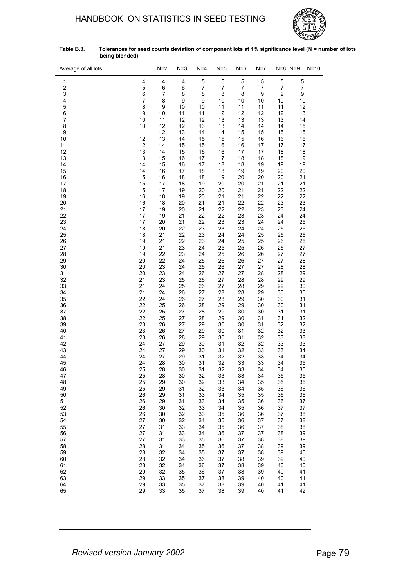

| Table B.3. | Tolerances for seed counts deviation of component lots at 1% significance level (N = number of lots |
|------------|-----------------------------------------------------------------------------------------------------|
|            | being blended)                                                                                      |

| Average of all lots          |          | $N=2$    | $N=3$    | $N=4$    | N=5                 | $N=6$    | N=7                 |          | $N=8$ $N=9$ | $N = 10$ |
|------------------------------|----------|----------|----------|----------|---------------------|----------|---------------------|----------|-------------|----------|
| 1                            | 4        | 4        | 4        | 5        | 5                   | 5        | 5                   | 5        | 5           |          |
| $\overline{\mathbf{c}}$<br>3 | 5<br>6   | 6<br>7   | 6<br>8   | 7<br>8   | $\overline{7}$<br>8 | 7<br>8   | $\overline{7}$<br>9 | 7<br>9   | 7<br>9      |          |
| 4                            | 7        | 8        | 9        | 9        | 10                  | 10       | 10                  | 10       | 10          |          |
| 5                            | 8        | 9        | 10       | $10$     | 11                  | 11       | 11                  | 11       | 12          |          |
| 6                            | 9        | 10       | 11       | 11       | 12                  | 12       | 12                  | 12       | 13          |          |
| 7<br>8                       | 10<br>10 | 11<br>12 | 12<br>12 | 12<br>13 | 13<br>13            | 13<br>14 | 13<br>14            | 13<br>14 | 14<br>15    |          |
| 9                            | 11       | 12       | 13       | 14       | 14                  | 15       | 15                  | 15       | 15          |          |
| 10                           | 12       | 13       | 14       | 15       | 15                  | 15       | 16                  | 16       | 16          |          |
| 11<br>12                     | 12       | 14<br>14 | 15<br>15 | 15       | 16                  | 16       | 17                  | 17       | 17          |          |
| 13                           | 13<br>13 | 15       | 16       | 16<br>17 | 16<br>17            | 17<br>18 | 17<br>18            | 18<br>18 | 18<br>19    |          |
| 14                           | 14       | 15       | 16       | 17       | 18                  | 18       | 19                  | 19       | 19          |          |
| 15                           | 14       | 16       | 17       | 18       | 18                  | 19       | 19                  | 20       | 20          |          |
| 16<br>17                     | 15<br>15 | 16<br>17 | 18<br>18 | 18<br>19 | 19<br>20            | 20<br>20 | 20<br>21            | 20<br>21 | 21<br>21    |          |
| 18                           | 15       | 17       | 19       | 20       | 20                  | 21       | 21                  | 22       | 22          |          |
| 19                           | 16       | 18       | 19       | 20       | 21                  | 21       | 22                  | 22       | 22          |          |
| 20<br>21                     | 16<br>17 | 18<br>19 | 20<br>20 | 21<br>21 | 21<br>22            | 22<br>22 | 22<br>23            | 23<br>23 | 23<br>24    |          |
| 22                           | 17       | 19       | 21       | 22       | 22                  | 23       | 23                  | 24       | 24          |          |
| 23                           | 17       | 20       | 21       | 22       | 23                  | 23       | 24                  | 24       | 25          |          |
| 24                           | 18       | 20       | 22       | 23       | 23                  | 24       | 24                  | 25       | 25          |          |
| 25<br>26                     | 18<br>19 | 21<br>21 | 22<br>22 | 23<br>23 | 24<br>24            | 24<br>25 | 25<br>25            | 25<br>26 | 26<br>26    |          |
| 27                           | 19       | 21       | 23       | 24       | 25                  | 25       | 26                  | 26       | 27          |          |
| 28                           | 19       | 22       | 23       | 24       | 25                  | 26       | 26                  | 27       | 27          |          |
| 29<br>30                     | 20<br>20 | 22<br>23 | 24<br>24 | 25<br>25 | 26<br>26            | 26<br>27 | 27<br>27            | 27<br>28 | 28<br>28    |          |
| 31                           | 20       | 23       | 24       | 26       | 27                  | 27       | 28                  | 28       | 29          |          |
| 32                           | 21       | 23       | 25       | 26       | 27                  | 28       | 28                  | 29       | 29          |          |
| 33                           | 21<br>21 | 24       | 25       | 26<br>27 | 27                  | 28       | 29                  | 29       | 30          |          |
| 34<br>35                     | 22       | 24<br>24 | 26<br>26 | 27       | 28<br>28            | 28<br>29 | 29<br>30            | 30<br>30 | 30<br>31    |          |
| 36                           | 22       | 25       | 26       | 28       | 29                  | 29       | 30                  | 30       | 31          |          |
| 37                           | 22       | 25       | 27       | 28       | 29                  | 30       | 30                  | 31       | 31          |          |
| 38<br>39                     | 22<br>23 | 25<br>26 | 27<br>27 | 28<br>29 | 29<br>30            | 30<br>30 | 31<br>31            | 31<br>32 | 32<br>32    |          |
| 40                           | 23       | 26       | 27       | 29       | 30                  | 31       | 32                  | 32       | 33          |          |
| 41                           | 23       | 26       | 28       | 29       | 30                  | 31       | 32                  | 33       | 33          |          |
| 42<br>43                     | 24<br>24 | 27<br>27 | 29<br>29 | 30<br>30 | 31<br>31            | 32<br>32 | 32<br>33            | 33<br>33 | 33<br>34    |          |
| 44                           | 24       | 27       | 29       | 31       | 32                  | 32       | 33                  | 34       | 34          |          |
| 45                           | 24       | 28       | 30       | 31       | 32                  | 33       | 33                  | 34       | 35          |          |
| 46                           | 25       | 28       | 30       | 31       | 32                  | 33       | 34                  | 34       | 35          |          |
| 47<br>48                     | 25<br>25 | 28<br>29 | 30<br>30 | 32<br>32 | 33<br>33            | 33<br>34 | 34<br>35            | 35<br>35 | 35<br>36    |          |
| 49                           | 25       | 29       | 31       | 32       | 33                  | 34       | 35                  | 36       | 36          |          |
| 50                           | 26       | 29       | 31       | 33       | 34                  | 35       | 35                  | 36       | 36          |          |
| 51<br>52                     | 26<br>26 | 29<br>30 | 31<br>32 | 33<br>33 | 34<br>34            | 35<br>35 | 36<br>36            | 36<br>37 | 37<br>37    |          |
| 53                           | 26       | 30       | 32       | 33       | 35                  | 36       | 36                  | 37       | 38          |          |
| 54                           | 27       | 30       | 32       | 34       | 35                  | 36       | 37                  | 37       | 38          |          |
| 55<br>56                     | 27<br>27 | 31<br>31 | 33<br>33 | 34<br>34 | 35<br>36            | 36<br>37 | 37<br>37            | 38<br>38 | 38<br>39    |          |
| 57                           | 27       | 31       | 33       | 35       | 36                  | 37       | 38                  | 38       | 39          |          |
| 58                           | 28       | 31       | 34       | 35       | 36                  | 37       | 38                  | 39       | 39          |          |
| 59                           | 28       | 32       | 34       | 35       | 37                  | 37       | 38                  | 39       | 40          |          |
| 60<br>61                     | 28<br>28 | 32<br>32 | 34<br>34 | 36<br>36 | 37<br>37            | 38<br>38 | 39<br>39            | 39<br>40 | 40<br>40    |          |
| 62                           | 29       | 32       | 35       | 36       | 37                  | 38       | 39                  | 40       | 41          |          |
| 63                           | 29       | 33       | 35       | 37       | 38                  | 39       | 40                  | 40       | 41          |          |
| 64<br>65                     | 29<br>29 | 33<br>33 | 35<br>35 | 37<br>37 | 38<br>38            | 39<br>39 | 40<br>40            | 41<br>41 | 41<br>42    |          |
|                              |          |          |          |          |                     |          |                     |          |             |          |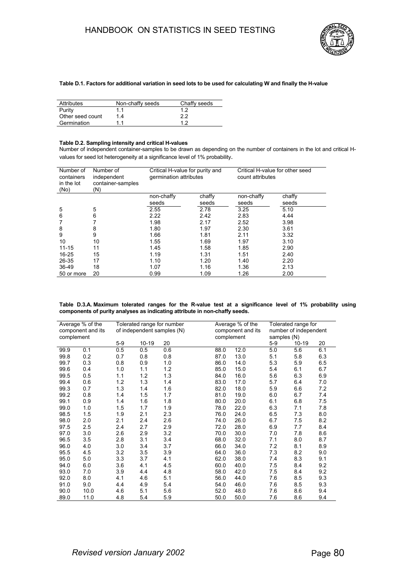

## **Table D.1. Factors for additional variation in seed lots to be used for calculating W and finally the H-value**

| <b>Attributes</b> | Non-chaffy seeds | Chaffy seeds |
|-------------------|------------------|--------------|
| Purity            | 11               | 12           |
| Other seed count  | 14               | 22           |
| Germination       | 11               | 19           |

#### **Table D.2. Sampling intensity and critical H-values**

Number of independent container-samples to be drawn as depending on the number of containers in the lot and critical Hvalues for seed lot heterogeneity at a significance level of 1% probability.

| Number of<br>containers<br>in the lot<br>(No) | Number of<br>independent<br>container-samples<br>(N) | Critical H-value for purity and<br>germination attributes |       | Critical H-value for other seed<br>count attributes |        |  |  |
|-----------------------------------------------|------------------------------------------------------|-----------------------------------------------------------|-------|-----------------------------------------------------|--------|--|--|
|                                               |                                                      | non-chaffy<br>chaffy                                      |       | non-chaffy                                          | chaffy |  |  |
|                                               |                                                      | seeds                                                     | seeds | seeds                                               | seeds  |  |  |
| 5                                             | 5                                                    | 2.55                                                      | 2.78  | 3.25                                                | 5.10   |  |  |
| 6                                             | 6                                                    | 2.22                                                      | 2.42  | 2.83                                                | 4.44   |  |  |
|                                               | 7                                                    | 1.98                                                      | 2.17  | 2.52                                                | 3.98   |  |  |
| 8                                             | 8                                                    | 1.80                                                      | 1.97  | 2.30                                                | 3.61   |  |  |
| 9                                             | 9                                                    | 1.66                                                      | 1.81  | 2.11                                                | 3.32   |  |  |
| 10                                            | 10                                                   | 1.55                                                      | 1.69  | 1.97                                                | 3.10   |  |  |
| $11 - 15$                                     | 11                                                   | 1.45                                                      | 1.58  | 1.85                                                | 2.90   |  |  |
| $16 - 25$                                     | 15                                                   | 1.19                                                      | 1.31  | 1.51                                                | 2.40   |  |  |
| 26-35                                         | 17                                                   | 1.10                                                      | 1.20  | 1.40                                                | 2.20   |  |  |
| 36-49                                         | 18                                                   | 1.07                                                      | 1.16  | 1.36                                                | 2.13   |  |  |
| 50 or more                                    | 20                                                   | 0.99                                                      | 1.09  | 1.26                                                | 2.00   |  |  |

| Table D.3.A. Maximum tolerated ranges for the R-value test at a significance level of 1% probability using |  |  |  |  |  |  |  |
|------------------------------------------------------------------------------------------------------------|--|--|--|--|--|--|--|
| components of purity analyses as indicating attribute in non-chaffy seeds.                                 |  |  |  |  |  |  |  |

| complement | Average % of the<br>component and its |       | Tolerated range for number<br>of independent samples (N) |     |  | Average % of the<br>component and its<br>complement |      |       | Tolerated range for<br>number of independent<br>samples (N) |     |  |  |
|------------|---------------------------------------|-------|----------------------------------------------------------|-----|--|-----------------------------------------------------|------|-------|-------------------------------------------------------------|-----|--|--|
|            |                                       | $5-9$ | $10 - 19$                                                | 20  |  |                                                     |      | $5-9$ | 10-19                                                       | 20  |  |  |
| 99.9       | 0.1                                   | 0.5   | 0.5                                                      | 0.6 |  | 88.0                                                | 12.0 | 5.0   | 5.6                                                         | 6.1 |  |  |
| 99.8       | 0.2                                   | 0.7   | 0.8                                                      | 0.8 |  | 87.0                                                | 13.0 | 5.1   | 5.8                                                         | 6.3 |  |  |
| 99.7       | 0.3                                   | 0.8   | 0.9                                                      | 1.0 |  | 86.0                                                | 14.0 | 5.3   | 5.9                                                         | 6.5 |  |  |
| 99.6       | 0.4                                   | 1.0   | 1.1                                                      | 1.2 |  | 85.0                                                | 15.0 | 5.4   | 6.1                                                         | 6.7 |  |  |
| 99.5       | 0.5                                   | 1.1   | 1.2                                                      | 1.3 |  | 84.0                                                | 16.0 | 5.6   | 6.3                                                         | 6.9 |  |  |
| 99.4       | 0.6                                   | 1.2   | 1.3                                                      | 1.4 |  | 83.0                                                | 17.0 | 5.7   | 6.4                                                         | 7.0 |  |  |
| 99.3       | 0.7                                   | 1.3   | 1.4                                                      | 1.6 |  | 82.0                                                | 18.0 | 5.9   | 6.6                                                         | 7.2 |  |  |
| 99.2       | 0.8                                   | 1.4   | 1.5                                                      | 1.7 |  | 81.0                                                | 19.0 | 6.0   | 6.7                                                         | 7.4 |  |  |
| 99.1       | 0.9                                   | 1.4   | 1.6                                                      | 1.8 |  | 80.0                                                | 20.0 | 6.1   | 6.8                                                         | 7.5 |  |  |
| 99.0       | 1.0                                   | 1.5   | 1.7                                                      | 1.9 |  | 78.0                                                | 22.0 | 6.3   | 7.1                                                         | 7.8 |  |  |
| 98.5       | 1.5                                   | 1.9   | 2.1                                                      | 2.3 |  | 76.0                                                | 24.0 | 6.5   | 7.3                                                         | 8.0 |  |  |
| 98.0       | 2.0                                   | 2.1   | 2.4                                                      | 2.6 |  | 74.0                                                | 26.0 | 6.7   | 75                                                          | 8.2 |  |  |
| 97.5       | 2.5                                   | 2.4   | 2.7                                                      | 2.9 |  | 72.0                                                | 28.0 | 6.9   | 7.7                                                         | 8.4 |  |  |
| 97.0       | 3.0                                   | 2.6   | 2.9                                                      | 3.2 |  | 70.0                                                | 30.0 | 7.0   | 7.8                                                         | 8.6 |  |  |
| 96.5       | 3.5                                   | 2.8   | 3.1                                                      | 3.4 |  | 68.0                                                | 32.0 | 7.1   | 8.0                                                         | 8.7 |  |  |
| 96.0       | 4.0                                   | 3.0   | 3.4                                                      | 3.7 |  | 66.0                                                | 34.0 | 7.2   | 8.1                                                         | 8.9 |  |  |
| 95.5       | 4.5                                   | 3.2   | 3.5                                                      | 3.9 |  | 64.0                                                | 36.0 | 7.3   | 8.2                                                         | 9.0 |  |  |
| 95.0       | 5.0                                   | 3.3   | 3.7                                                      | 4.1 |  | 62.0                                                | 38.0 | 7.4   | 8.3                                                         | 9.1 |  |  |
| 94.0       | 6.0                                   | 3.6   | 4.1                                                      | 4.5 |  | 60.0                                                | 40.0 | 7.5   | 8.4                                                         | 9.2 |  |  |
| 93.0       | 7.0                                   | 3.9   | 4.4                                                      | 4.8 |  | 58.0                                                | 42.0 | 7.5   | 8.4                                                         | 9.2 |  |  |
| 92.0       | 8.0                                   | 4.1   | 4.6                                                      | 5.1 |  | 56.0                                                | 44.0 | 7.6   | 8.5                                                         | 9.3 |  |  |
| 91.0       | 9.0                                   | 4.4   | 4.9                                                      | 5.4 |  | 54.0                                                | 46.0 | 7.6   | 8.5                                                         | 9.3 |  |  |
| 90.0       | 10.0                                  | 4.6   | 5.1                                                      | 5.6 |  | 52.0                                                | 48.0 | 7.6   | 8.6                                                         | 9.4 |  |  |
| 89.0       | 11.0                                  | 4.8   | 5.4                                                      | 5.9 |  | 50.0                                                | 50.0 | 7.6   | 8.6                                                         | 9.4 |  |  |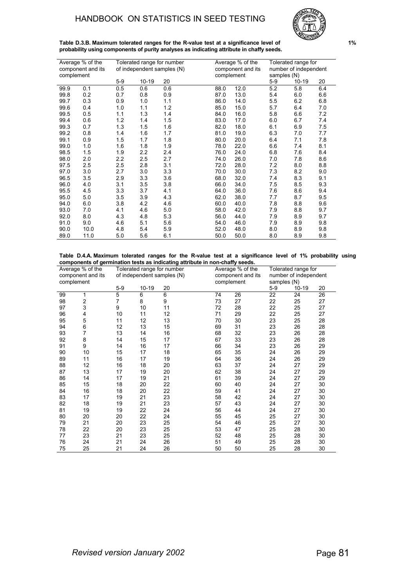

**Table D.3.B. Maximum tolerated ranges for the R-value test at a significance level of 1% probability using components of purity analyses as indicating attribute in chaffy seeds.**

|            | Average % of the  |       |         | Tolerated range for number |            | Average % of the  |             | Tolerated range for   |     |
|------------|-------------------|-------|---------|----------------------------|------------|-------------------|-------------|-----------------------|-----|
|            | component and its |       |         | of independent samples (N) |            | component and its |             | number of independent |     |
| complement |                   |       |         |                            | complement |                   | samples (N) |                       |     |
|            |                   | $5-9$ | $10-19$ | 20                         |            |                   | $5-9$       | $10 - 19$             | 20  |
| 99.9       | 0.1               | 0.5   | 0.6     | 0.6                        | 88.0       | 12.0              | 5.2         | 5.8                   | 6.4 |
| 99.8       | 0.2               | 0.7   | 0.8     | 0.9                        | 87.0       | 13.0              | 5.4         | 6.0                   | 6.6 |
| 99.7       | 0.3               | 0.9   | 1.0     | 1.1                        | 86.0       | 14.0              | 5.5         | 6.2                   | 6.8 |
| 99.6       | 0.4               | 1.0   | 1.1     | 1.2                        | 85.0       | 15.0              | 5.7         | 6.4                   | 7.0 |
| 99.5       | 0.5               | 1.1   | 1.3     | 1.4                        | 84.0       | 16.0              | 5.8         | 6.6                   | 7.2 |
| 99.4       | 0.6               | 1.2   | 1.4     | 1.5                        | 83.0       | 17.0              | 6.0         | 6.7                   | 7.4 |
| 99.3       | 0.7               | 1.3   | 1.5     | 1.6                        | 82.0       | 18.0              | 6.1         | 6.9                   | 7.5 |
| 99.2       | 0.8               | 1.4   | 1.6     | 1.7                        | 81.0       | 19.0              | 6.3         | 7.0                   | 7.7 |
| 99.1       | 0.9               | 1.5   | 1.7     | 1.8                        | 80.0       | 20.0              | 6.4         | 7.1                   | 7.8 |
| 99.0       | 1.0               | 1.6   | 1.8     | 1.9                        | 78.0       | 22.0              | 6.6         | 74                    | 8.1 |
| 98.5       | 1.5               | 1.9   | 2.2     | 2.4                        | 76.0       | 24.0              | 6.8         | 7.6                   | 8.4 |
| 98.0       | 2.0               | 2.2   | 2.5     | 2.7                        | 74.0       | 26.0              | 7.0         | 7.8                   | 8.6 |
| 97.5       | 2.5               | 2.5   | 2.8     | 3.1                        | 72.0       | 28.0              | 7.2         | 8.0                   | 8.8 |
| 97.0       | 3.0               | 2.7   | 3.0     | 3.3                        | 70.0       | 30.0              | 7.3         | 8.2                   | 9.0 |
| 96.5       | 3.5               | 2.9   | 3.3     | 3.6                        | 68.0       | 32.0              | 7.4         | 8.3                   | 9.1 |
| 96.0       | 4.0               | 3.1   | 3.5     | 3.8                        | 66.0       | 34.0              | 7.5         | 8.5                   | 9.3 |
| 95.5       | 4.5               | 3.3   | 3.7     | 4.1                        | 64.0       | 36.0              | 7.6         | 8.6                   | 9.4 |
| 95.0       | 5.0               | 3.5   | 3.9     | 4.3                        | 62.0       | 38.0              | 7.7         | 8.7                   | 9.5 |
| 94.0       | 6.0               | 3.8   | 4.2     | 4.6                        | 60.0       | 40.0              | 7.8         | 8.8                   | 9.6 |
| 93.0       | 7.0               | 4.1   | 4.6     | 5.0                        | 58.0       | 42.0              | 7.9         | 8.8                   | 9.7 |
| 92.0       | 8.0               | 4.3   | 4.8     | 5.3                        | 56.0       | 44.0              | 7.9         | 8.9                   | 9.7 |
| 91.0       | 9.0               | 4.6   | 5.1     | 5.6                        | 54.0       | 46.0              | 7.9         | 8.9                   | 9.8 |
| 90.0       | 10.0              | 4.8   | 5.4     | 5.9                        | 52.0       | 48.0              | 8.0         | 8.9                   | 9.8 |
| 89.0       | 11.0              | 5.0   | 5.6     | 6.1                        | 50.0       | 50.0              | 8.0         | 8.9                   | 9.8 |

**Table D.4.A. Maximum tolerated ranges for the R-value test at a significance level of 1% probability using components of germination tests as indicating attribute in non-chaffy seeds.**

|    | Average % of the<br>component and its<br>complement |       | Tolerated range for number<br>of independent samples (N) |    |  | Average % of the<br>component and its<br>complement |    |       | Tolerated range for<br>number of independent<br>samples (N) |    |  |
|----|-----------------------------------------------------|-------|----------------------------------------------------------|----|--|-----------------------------------------------------|----|-------|-------------------------------------------------------------|----|--|
|    |                                                     | $5-9$ | $10-19$                                                  | 20 |  |                                                     |    | $5-9$ | 10-19                                                       | 20 |  |
| 99 | 1                                                   | 5     | 6                                                        | 6  |  | 74                                                  | 26 | 22    | 24                                                          | 26 |  |
| 98 | 2                                                   | 7     | 8                                                        | 9  |  | 73                                                  | 27 | 22    | 25                                                          | 27 |  |
| 97 | 3                                                   | 9     | 10                                                       | 11 |  | 72                                                  | 28 | 22    | 25                                                          | 27 |  |
| 96 | 4                                                   | 10    | 11                                                       | 12 |  | 71                                                  | 29 | 22    | 25                                                          | 27 |  |
| 95 | 5                                                   | 11    | 12                                                       | 13 |  | 70                                                  | 30 | 23    | 25                                                          | 28 |  |
| 94 | 6                                                   | 12    | 13                                                       | 15 |  | 69                                                  | 31 | 23    | 26                                                          | 28 |  |
| 93 | 7                                                   | 13    | 14                                                       | 16 |  | 68                                                  | 32 | 23    | 26                                                          | 28 |  |
| 92 | 8                                                   | 14    | 15                                                       | 17 |  | 67                                                  | 33 | 23    | 26                                                          | 28 |  |
| 91 | 9                                                   | 14    | 16                                                       | 17 |  | 66                                                  | 34 | 23    | 26                                                          | 29 |  |
| 90 | 10                                                  | 15    | 17                                                       | 18 |  | 65                                                  | 35 | 24    | 26                                                          | 29 |  |
| 89 | 11                                                  | 16    | 17                                                       | 19 |  | 64                                                  | 36 | 24    | 26                                                          | 29 |  |
| 88 | 12                                                  | 16    | 18                                                       | 20 |  | 63                                                  | 37 | 24    | 27                                                          | 29 |  |
| 87 | 13                                                  | 17    | 19                                                       | 20 |  | 62                                                  | 38 | 24    | 27                                                          | 29 |  |
| 86 | 14                                                  | 17    | 19                                                       | 21 |  | 61                                                  | 39 | 24    | 27                                                          | 29 |  |
| 85 | 15                                                  | 18    | 20                                                       | 22 |  | 60                                                  | 40 | 24    | 27                                                          | 30 |  |
| 84 | 16                                                  | 18    | 20                                                       | 22 |  | 59                                                  | 41 | 24    | 27                                                          | 30 |  |
| 83 | 17                                                  | 19    | 21                                                       | 23 |  | 58                                                  | 42 | 24    | 27                                                          | 30 |  |
| 82 | 18                                                  | 19    | 21                                                       | 23 |  | 57                                                  | 43 | 24    | 27                                                          | 30 |  |
| 81 | 19                                                  | 19    | 22                                                       | 24 |  | 56                                                  | 44 | 24    | 27                                                          | 30 |  |
| 80 | 20                                                  | 20    | 22                                                       | 24 |  | 55                                                  | 45 | 25    | 27                                                          | 30 |  |
| 79 | 21                                                  | 20    | 23                                                       | 25 |  | 54                                                  | 46 | 25    | 27                                                          | 30 |  |
| 78 | 22                                                  | 20    | 23                                                       | 25 |  | 53                                                  | 47 | 25    | 28                                                          | 30 |  |
| 77 | 23                                                  | 21    | 23                                                       | 25 |  | 52                                                  | 48 | 25    | 28                                                          | 30 |  |
| 76 | 24                                                  | 21    | 24                                                       | 26 |  | 51                                                  | 49 | 25    | 28                                                          | 30 |  |
| 75 | 25                                                  | 21    | 24                                                       | 26 |  | 50                                                  | 50 | 25    | 28                                                          | 30 |  |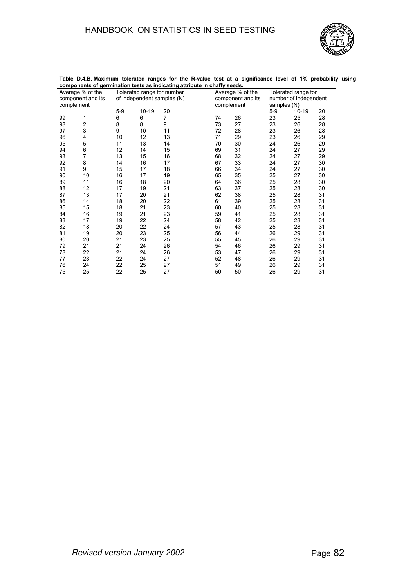

|    | - ອ               |       |           |                            |    |                   |                       |           |    |  |
|----|-------------------|-------|-----------|----------------------------|----|-------------------|-----------------------|-----------|----|--|
|    | Average % of the  |       |           | Tolerated range for number |    | Average % of the  | Tolerated range for   |           |    |  |
|    | component and its |       |           | of independent samples (N) |    | component and its | number of independent |           |    |  |
|    | complement        |       |           |                            |    | complement        | samples (N)           |           |    |  |
|    |                   | $5-9$ | $10 - 19$ | 20                         |    |                   | $5-9$                 | $10 - 19$ | 20 |  |
| 99 | 1                 | 6     | 6         | 7                          | 74 | 26                | 23                    | 25        | 28 |  |
| 98 | 2                 | 8     | 8         | 9                          | 73 | 27                | 23                    | 26        | 28 |  |
| 97 | 3                 | 9     | 10        | 11                         | 72 | 28                | 23                    | 26        | 28 |  |
| 96 | 4                 | 10    | 12        | 13                         | 71 | 29                | 23                    | 26        | 29 |  |
| 95 | 5                 | 11    | 13        | 14                         | 70 | 30                | 24                    | 26        | 29 |  |
| 94 | 6                 | 12    | 14        | 15                         | 69 | 31                | 24                    | 27        | 29 |  |
| 93 | 7                 | 13    | 15        | 16                         | 68 | 32                | 24                    | 27        | 29 |  |
| 92 | 8                 | 14    | 16        | 17                         | 67 | 33                | 24                    | 27        | 30 |  |
| 91 | 9                 | 15    | 17        | 18                         | 66 | 34                | 24                    | 27        | 30 |  |
| 90 | 10                | 16    | 17        | 19                         | 65 | 35                | 25                    | 27        | 30 |  |
| 89 | 11                | 16    | 18        | 20                         | 64 | 36                | 25                    | 28        | 30 |  |
| 88 | 12                | 17    | 19        | 21                         | 63 | 37                | 25                    | 28        | 30 |  |
| 87 | 13                | 17    | 20        | 21                         | 62 | 38                | 25                    | 28        | 31 |  |
| 86 | 14                | 18    | 20        | 22                         | 61 | 39                | 25                    | 28        | 31 |  |
| 85 | 15                | 18    | 21        | 23                         | 60 | 40                | 25                    | 28        | 31 |  |
| 84 | 16                | 19    | 21        | 23                         | 59 | 41                | 25                    | 28        | 31 |  |
| 83 | 17                | 19    | 22        | 24                         | 58 | 42                | 25                    | 28        | 31 |  |
| 82 | 18                | 20    | 22        | 24                         | 57 | 43                | 25                    | 28        | 31 |  |
| 81 | 19                | 20    | 23        | 25                         | 56 | 44                | 26                    | 29        | 31 |  |
| 80 | 20                | 21    | 23        | 25                         | 55 | 45                | 26                    | 29        | 31 |  |
| 79 | 21                | 21    | 24        | 26                         | 54 | 46                | 26                    | 29        | 31 |  |
| 78 | 22                | 21    | 24        | 26                         | 53 | 47                | 26                    | 29        | 31 |  |
| 77 | 23                | 22    | 24        | 27                         | 52 | 48                | 26                    | 29        | 31 |  |
| 76 | 24                | 22    | 25        | 27                         | 51 | 49                | 26                    | 29        | 31 |  |
| 75 | 25                | 22    | 25        | 27                         | 50 | 50                | 26                    | 29        | 31 |  |

**Table D.4.B. Maximum tolerated ranges for the R-value test at a significance level of 1% probability using components of germination tests as indicating attribute in chaffy seeds.**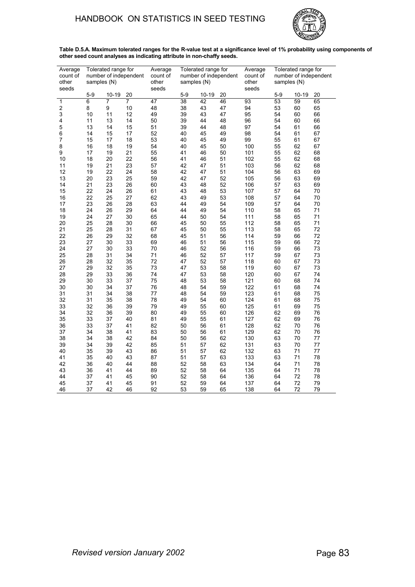# HANDBOOK ON STATISTICS IN SEED TESTING



**Table D.5.A. Maximum tolerated ranges for the R-value test at a significance level of 1% probability using components of other seed count analyses as indicating attribute in non-chaffy seeds.**

| Average<br>count of<br>other<br>seeds | Tolerated range for<br>number of independent<br>samples (N) |       |                | Average<br>count of<br>other<br>seeds | Tolerated range for<br>number of independent<br>samples (N) |       |    | Average<br>count of<br>other<br>seeds | Tolerated range for<br>number of independent<br>samples (N) |           |    |
|---------------------------------------|-------------------------------------------------------------|-------|----------------|---------------------------------------|-------------------------------------------------------------|-------|----|---------------------------------------|-------------------------------------------------------------|-----------|----|
|                                       | $5 - 9$                                                     | 10-19 | 20             |                                       | $5-9$                                                       | 10-19 | 20 |                                       | $5-9$                                                       | $10 - 19$ | 20 |
| 1                                     | 6                                                           | 7     | $\overline{7}$ | 47                                    | 38                                                          | 42    | 46 | 93                                    | 53                                                          | 59        | 65 |
| $\overline{\mathbf{c}}$               | 8                                                           | 9     | 10             | 48                                    | 38                                                          | 43    | 47 | 94                                    | 53                                                          | 60        | 65 |
| 3                                     | 10                                                          | 11    | 12             | 49                                    | 39                                                          | 43    | 47 | 95                                    | 54                                                          | 60        | 66 |
| 4                                     | 11                                                          | 13    | 14             | 50                                    | 39                                                          | 44    | 48 | 96                                    | 54                                                          | 60        | 66 |
| 5                                     | 13                                                          | 14    | 15             | 51                                    | 39                                                          | 44    | 48 | 97                                    | 54                                                          | 61        | 66 |
| 6                                     | 14                                                          | 15    | 17             | 52                                    | 40                                                          | 45    | 49 | 98                                    | 54                                                          | 61        | 67 |
| 7                                     | 15                                                          | 17    | 18             | 53                                    | 40                                                          | 45    | 49 | 99                                    | 55                                                          | 61        | 67 |
| 8                                     | 16                                                          | 18    | 19             | 54                                    | 40                                                          | 45    | 50 | 100                                   | 55                                                          | 62        | 67 |
| 9                                     | 17                                                          | 19    | 21             | 55                                    | 41                                                          | 46    | 50 | 101                                   | 55                                                          | 62        | 68 |
| 10                                    | 18                                                          | 20    | 22             | 56                                    | 41                                                          | 46    | 51 | 102                                   | 55                                                          | 62        | 68 |
| 11                                    | 19                                                          | 21    | 23             | 57                                    | 42                                                          | 47    | 51 | 103                                   | 56                                                          | 62        | 68 |
| 12                                    | 19                                                          | 22    | 24             | 58                                    | 42                                                          | 47    | 51 | 104                                   | 56                                                          | 63        | 69 |
| 13                                    | 20                                                          | 23    | 25             | 59                                    | 42                                                          | 47    | 52 | 105                                   | 56                                                          | 63        | 69 |
| 14                                    | 21                                                          | 23    | 26             | 60                                    | 43                                                          | 48    | 52 | 106                                   | 57                                                          | 63        | 69 |
| 15                                    | 22                                                          | 24    | 26             | 61                                    | 43                                                          | 48    | 53 | 107                                   | 57                                                          | 64        | 70 |
| 16                                    | 22                                                          | 25    | 27             | 62                                    | 43                                                          | 49    | 53 | 108                                   | 57                                                          | 64        | 70 |
| 17                                    | 23                                                          | 26    | 28             | 63                                    | 44                                                          | 49    | 54 | 109                                   | 57                                                          | 64        | 70 |
| 18                                    | 24                                                          | 26    | 29             | 64                                    | 44                                                          | 49    | 54 | 110                                   | 58                                                          | 65        | 71 |
| 19                                    | 24                                                          | 27    | 30             | 65                                    | 44                                                          | 50    | 54 | 111                                   | 58                                                          | 65        | 71 |
| 20                                    | 25                                                          | 28    | 30             | 66                                    | 45                                                          | 50    | 55 | 112                                   | 58                                                          | 65        | 71 |
| 21                                    | 25                                                          | 28    | 31             | 67                                    | 45                                                          | 50    | 55 | 113                                   | 58                                                          | 65        | 72 |
| 22                                    | 26                                                          | 29    | 32             | 68                                    | 45                                                          | 51    | 56 | 114                                   | 59                                                          | 66        | 72 |
| 23                                    | 27                                                          | 30    | 33             | 69                                    | 46                                                          | 51    | 56 | 115                                   | 59                                                          | 66        | 72 |
| 24                                    | 27                                                          | 30    | 33             | 70                                    | 46                                                          | 52    | 56 | 116                                   | 59                                                          | 66        | 73 |
| 25                                    | 28                                                          | 31    | 34             | 71                                    | 46                                                          | 52    | 57 | 117                                   | 59                                                          | 67        | 73 |
| 26                                    | 28                                                          | 32    | 35             | 72                                    | 47                                                          | 52    | 57 | 118                                   | 60                                                          | 67        | 73 |
| 27                                    | 29                                                          | 32    | 35             | 73                                    | 47                                                          | 53    | 58 | 119                                   | 60                                                          | 67        | 73 |
| 28                                    | 29                                                          | 33    | 36             | 74                                    | 47                                                          | 53    | 58 | 120                                   | 60                                                          | 67        | 74 |
| 29                                    | 30                                                          | 33    | 37             | 75                                    | 48                                                          | 53    | 58 | 121                                   | 60                                                          | 68        | 74 |
| 30                                    | 30                                                          | 34    | 37             | 76                                    | 48                                                          | 54    | 59 | 122                                   | 61                                                          | 68        | 74 |
| 31                                    | 31                                                          | 34    | 38             | 77                                    | 48                                                          | 54    | 59 | 123                                   | 61                                                          | 68        | 75 |
| 32                                    | 31                                                          | 35    | 38             | 78                                    | 49                                                          | 54    | 60 | 124                                   | 61                                                          | 68        | 75 |
| 33                                    | 32                                                          | 36    | 39             | 79                                    | 49                                                          | 55    | 60 | 125                                   | 61                                                          | 69        | 75 |
| 34                                    | 32                                                          | 36    | 39             | 80                                    | 49                                                          | 55    | 60 | 126                                   | 62                                                          | 69        | 76 |
| 35                                    | 33                                                          | 37    | 40             | 81                                    | 49                                                          | 55    | 61 | 127                                   | 62                                                          | 69        | 76 |
| 36                                    | 33                                                          | 37    | 41             | 82                                    | 50                                                          | 56    | 61 | 128                                   | 62                                                          | 70        | 76 |
| 37                                    | 34                                                          | 38    | 41             | 83                                    | 50                                                          | 56    | 61 | 129                                   | 62                                                          | 70        | 76 |
| 38                                    | 34                                                          | 38    | 42             | 84                                    | 50                                                          | 56    | 62 | 130                                   | 63                                                          | 70        | 77 |
| 39                                    | 34                                                          | 39    | 42             | 85                                    | 51                                                          | 57    | 62 | 131                                   | 63                                                          | 70        | 77 |
| 40                                    | 35                                                          | 39    | 43             | 86                                    | 51                                                          | 57    | 62 | 132                                   | 63                                                          | 71        | 77 |
| 41                                    | 35                                                          | 40    | 43             | 87                                    | 51                                                          | 57    | 63 | 133                                   | 63                                                          | 71        | 78 |
| 42                                    | 36                                                          | 40    | 44             | 88                                    | 52                                                          | 58    | 63 | 134                                   | 64                                                          | 71        | 78 |
| 43                                    | 36                                                          | 41    | 44             | 89                                    | 52                                                          | 58    | 64 | 135                                   | 64                                                          | 71        | 78 |
| 44                                    | 37                                                          | 41    | 45             | 90                                    | 52                                                          | 58    | 64 | 136                                   | 64                                                          | 72        | 78 |
| 45                                    | 37                                                          | 41    | 45             | 91                                    | 52                                                          | 59    | 64 | 137                                   | 64                                                          | 72        | 79 |
| 46                                    | 37                                                          | 42    | 46             | 92                                    | 53                                                          | 59    | 65 | 138                                   | 64                                                          | 72        | 79 |